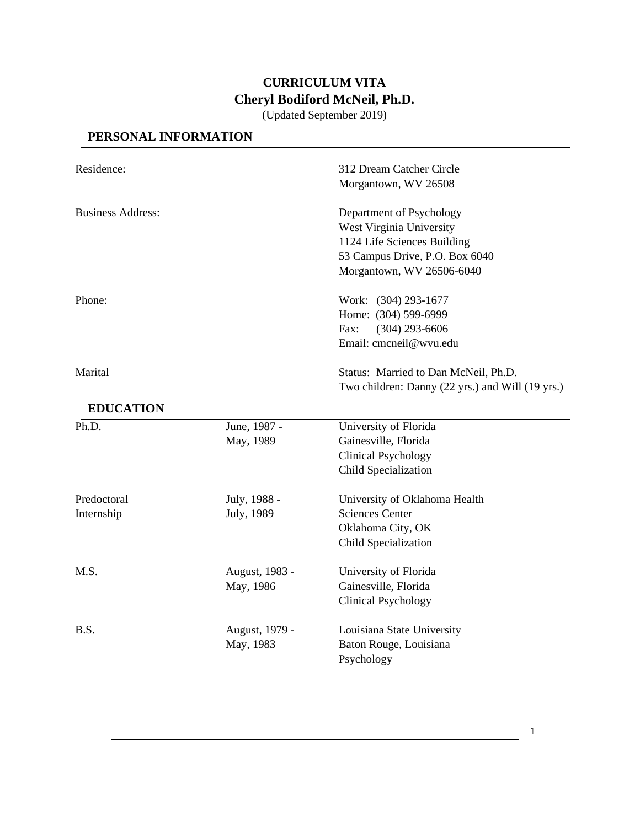# **CURRICULUM VITA Cheryl Bodiford McNeil, Ph.D.**

(Updated September 2019)

# **PERSONAL INFORMATION**

| Residence:<br><b>Business Address:</b> |                             | 312 Dream Catcher Circle<br>Morgantown, WV 26508<br>Department of Psychology<br>West Virginia University<br>1124 Life Sciences Building<br>53 Campus Drive, P.O. Box 6040<br>Morgantown, WV 26506-6040 |  |
|----------------------------------------|-----------------------------|--------------------------------------------------------------------------------------------------------------------------------------------------------------------------------------------------------|--|
|                                        |                             |                                                                                                                                                                                                        |  |
| Marital                                |                             | Status: Married to Dan McNeil, Ph.D.<br>Two children: Danny (22 yrs.) and Will (19 yrs.)                                                                                                               |  |
| <b>EDUCATION</b>                       |                             |                                                                                                                                                                                                        |  |
| Ph.D.                                  | June, 1987 -<br>May, 1989   | University of Florida<br>Gainesville, Florida<br><b>Clinical Psychology</b><br>Child Specialization                                                                                                    |  |
| Predoctoral<br>Internship              | July, 1988 -<br>July, 1989  | University of Oklahoma Health<br><b>Sciences Center</b><br>Oklahoma City, OK<br>Child Specialization                                                                                                   |  |
| M.S.                                   | August, 1983 -<br>May, 1986 | University of Florida<br>Gainesville, Florida<br><b>Clinical Psychology</b>                                                                                                                            |  |
| B.S.                                   | August, 1979 -<br>May, 1983 | Louisiana State University<br>Baton Rouge, Louisiana<br>Psychology                                                                                                                                     |  |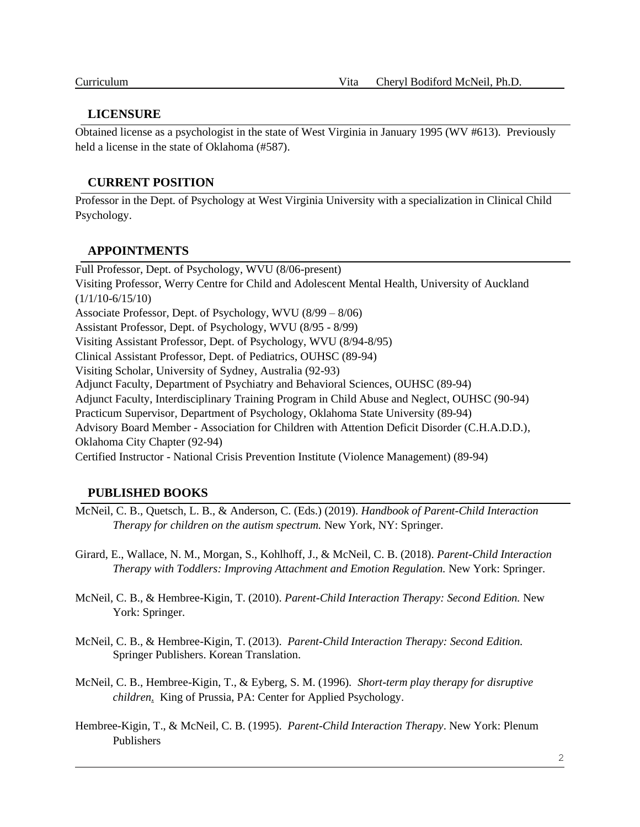### **LICENSURE**

Obtained license as a psychologist in the state of West Virginia in January 1995 (WV #613). Previously held a license in the state of Oklahoma (#587).

### **CURRENT POSITION**

Professor in the Dept. of Psychology at West Virginia University with a specialization in Clinical Child Psychology.

### **APPOINTMENTS**

Full Professor, Dept. of Psychology, WVU (8/06-present) Visiting Professor, Werry Centre for Child and Adolescent Mental Health, University of Auckland  $(1/1/10-6/15/10)$ Associate Professor, Dept. of Psychology, WVU (8/99 – 8/06) Assistant Professor, Dept. of Psychology, WVU (8/95 - 8/99) Visiting Assistant Professor, Dept. of Psychology, WVU (8/94-8/95) Clinical Assistant Professor, Dept. of Pediatrics, OUHSC (89-94) Visiting Scholar, University of Sydney, Australia (92-93) Adjunct Faculty, Department of Psychiatry and Behavioral Sciences, OUHSC (89-94) Adjunct Faculty, Interdisciplinary Training Program in Child Abuse and Neglect, OUHSC (90-94) Practicum Supervisor, Department of Psychology, Oklahoma State University (89-94) Advisory Board Member - Association for Children with Attention Deficit Disorder (C.H.A.D.D.), Oklahoma City Chapter (92-94) Certified Instructor - National Crisis Prevention Institute (Violence Management) (89-94)

### **PUBLISHED BOOKS**

- McNeil, C. B., Quetsch, L. B., & Anderson, C. (Eds.) (2019). *Handbook of Parent-Child Interaction Therapy for children on the autism spectrum.* New York, NY: Springer.
- Girard, E., Wallace, N. M., Morgan, S., Kohlhoff, J., & McNeil, C. B. (2018). *Parent-Child Interaction Therapy with Toddlers: Improving Attachment and Emotion Regulation.* New York: Springer.
- McNeil, C. B., & Hembree-Kigin, T. (2010). *Parent-Child Interaction Therapy: Second Edition.* New York: Springer.
- McNeil, C. B., & Hembree-Kigin, T. (2013). *Parent-Child Interaction Therapy: Second Edition.* Springer Publishers. Korean Translation.
- McNeil, C. B., Hembree-Kigin, T., & Eyberg, S. M. (1996)*. Short-term play therapy for disruptive children*. King of Prussia, PA: Center for Applied Psychology.
- Hembree-Kigin, T., & McNeil, C. B. (1995). *Parent-Child Interaction Therapy*. New York: Plenum Publishers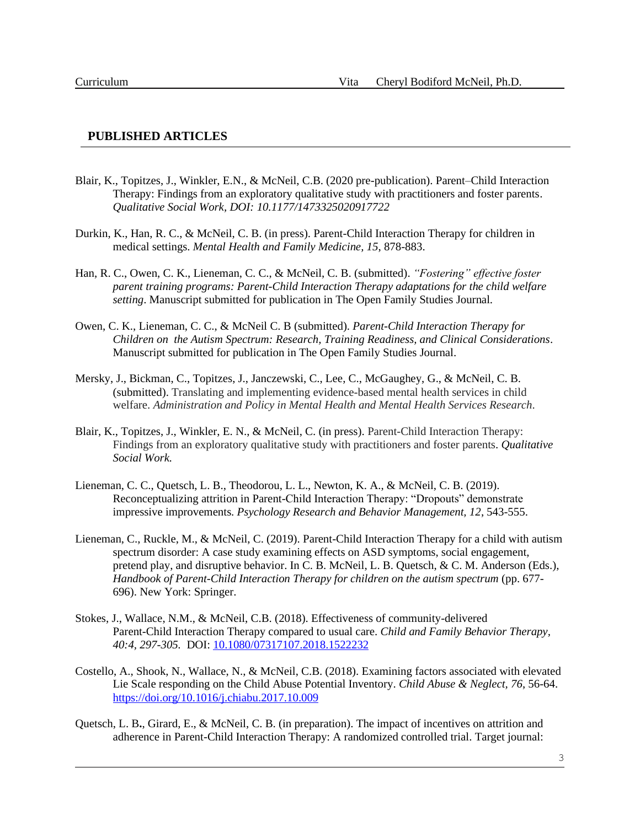#### **PUBLISHED ARTICLES**

- Blair, K., Topitzes, J., Winkler, E.N., & McNeil, C.B. (2020 pre-publication). Parent–Child Interaction Therapy: Findings from an exploratory qualitative study with practitioners and foster parents. *Qualitative Social Work, DOI: 10.1177/1473325020917722*
- Durkin, K., Han, R. C., & McNeil, C. B. (in press). Parent-Child Interaction Therapy for children in medical settings. *Mental Health and Family Medicine, 15*, 878-883.
- Han, R. C., Owen, C. K., Lieneman, C. C., & McNeil, C. B. (submitted). *"Fostering" effective foster parent training programs: Parent-Child Interaction Therapy adaptations for the child welfare setting*. Manuscript submitted for publication in The Open Family Studies Journal.
- Owen, C. K., Lieneman, C. C., & McNeil C. B (submitted). *Parent-Child Interaction Therapy for Children on the Autism Spectrum: Research, Training Readiness, and Clinical Considerations*. Manuscript submitted for publication in The Open Family Studies Journal.
- Mersky, J., Bickman, C., Topitzes, J., Janczewski, C., Lee, C., McGaughey, G., & McNeil, C. B. (submitted). Translating and implementing evidence-based mental health services in child welfare. *Administration and Policy in Mental Health and Mental Health Services Research.*
- Blair, K., Topitzes, J., Winkler, E. N., & McNeil, C. (in press). Parent-Child Interaction Therapy: Findings from an exploratory qualitative study with practitioners and foster parents. *Qualitative Social Work.*
- Lieneman, C. C., Quetsch, L. B., Theodorou, L. L., Newton, K. A., & McNeil, C. B. (2019). Reconceptualizing attrition in Parent-Child Interaction Therapy: "Dropouts" demonstrate impressive improvements. *Psychology Research and Behavior Management, 12*, 543-555.
- Lieneman, C., Ruckle, M., & McNeil, C. (2019). Parent-Child Interaction Therapy for a child with autism spectrum disorder: A case study examining effects on ASD symptoms, social engagement, pretend play, and disruptive behavior. In C. B. McNeil, L. B. Quetsch, & C. M. Anderson (Eds.), *Handbook of Parent-Child Interaction Therapy for children on the autism spectrum* (pp. 677- 696). New York: Springer.
- Stokes, J., Wallace, N.M., & McNeil, C.B. (2018). Effectiveness of community-delivered Parent-Child Interaction Therapy compared to usual care. *Child and Family Behavior Therapy, 40:4, 297-305.* DOI: [10.1080/07317107.2018.1522232](https://doi.org/10.1080/07317107.2018.1522232)
- Costello, A., Shook, N., Wallace, N., & McNeil, C.B. (2018). Examining factors associated with elevated Lie Scale responding on the Child Abuse Potential Inventory. *Child Abuse & Neglect, 76*, 56-64. <https://doi.org/10.1016/j.chiabu.2017.10.009>
- Quetsch, L. B**.**, Girard, E., & McNeil, C. B. (in preparation). The impact of incentives on attrition and adherence in Parent-Child Interaction Therapy: A randomized controlled trial. Target journal: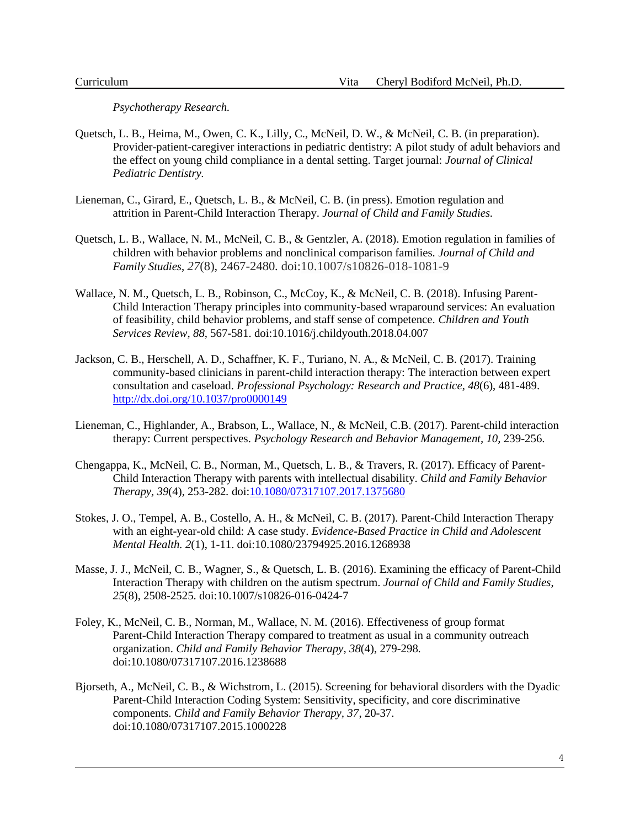*Psychotherapy Research.*

- Quetsch, L. B., Heima, M., Owen, C. K., Lilly, C., McNeil, D. W., & McNeil, C. B. (in preparation). Provider-patient-caregiver interactions in pediatric dentistry: A pilot study of adult behaviors and the effect on young child compliance in a dental setting. Target journal: *Journal of Clinical Pediatric Dentistry.*
- Lieneman, C., Girard, E., Quetsch, L. B., & McNeil, C. B. (in press). Emotion regulation and attrition in Parent-Child Interaction Therapy. *Journal of Child and Family Studies.*
- Quetsch, L. B., Wallace, N. M., McNeil, C. B., & Gentzler, A. (2018). Emotion regulation in families of children with behavior problems and nonclinical comparison families. *Journal of Child and Family Studies*, *27*(8), 2467-2480*.* doi:10.1007/s10826-018-1081-9
- Wallace, N. M., Quetsch, L. B., Robinson, C., McCoy, K., & McNeil, C. B. (2018). Infusing Parent-Child Interaction Therapy principles into community-based wraparound services: An evaluation of feasibility, child behavior problems, and staff sense of competence. *Children and Youth Services Review, 88*, 567-581. doi:10.1016/j.childyouth.2018.04.007
- Jackson, C. B., Herschell, A. D., Schaffner, K. F., Turiano, N. A., & McNeil, C. B. (2017). Training community-based clinicians in parent-child interaction therapy: The interaction between expert consultation and caseload. *Professional Psychology: Research and Practice, 48*(6), 481-489. [http://dx.doi.org/10.1037/pro0000149](http://psycnet.apa.org/doi/10.1037/pro0000149)
- Lieneman, C., Highlander, A., Brabson, L., Wallace, N., & McNeil, C.B. (2017). Parent-child interaction therapy: Current perspectives. *Psychology Research and Behavior Management*, 10, 239-256.
- Chengappa, K., McNeil, C. B., Norman, M., Quetsch, L. B., & Travers, R. (2017). Efficacy of Parent-Child Interaction Therapy with parents with intellectual disability. *Child and Family Behavior Therapy, 39*(4), 253-282*.* doi[:10.1080/07317107.2017.1375680](https://doi.org/10.1080/07317107.2017.1375680)
- Stokes, J. O., Tempel, A. B., Costello, A. H., & McNeil, C. B. (2017). Parent-Child Interaction Therapy with an eight-year-old child: A case study. *Evidence-Based Practice in Child and Adolescent Mental Health. 2*(1), 1-11. doi:10.1080/23794925.2016.1268938
- Masse, J. J., McNeil, C. B., Wagner, S., & Quetsch, L. B. (2016). Examining the efficacy of Parent-Child Interaction Therapy with children on the autism spectrum. *Journal of Child and Family Studies*, *25*(8), 2508-2525. doi:10.1007/s10826-016-0424-7
- Foley, K., McNeil, C. B., Norman, M., Wallace, N. M. (2016). Effectiveness of group format Parent-Child Interaction Therapy compared to treatment as usual in a community outreach organization. *Child and Family Behavior Therapy, 38*(4), 279-298*.* doi:10.1080/07317107.2016.1238688
- Bjorseth, A., McNeil, C. B., & Wichstrom, L. (2015). Screening for behavioral disorders with the Dyadic Parent-Child Interaction Coding System: Sensitivity, specificity, and core discriminative components. *Child and Family Behavior Therapy, 37*, 20-37. doi:10.1080/07317107.2015.1000228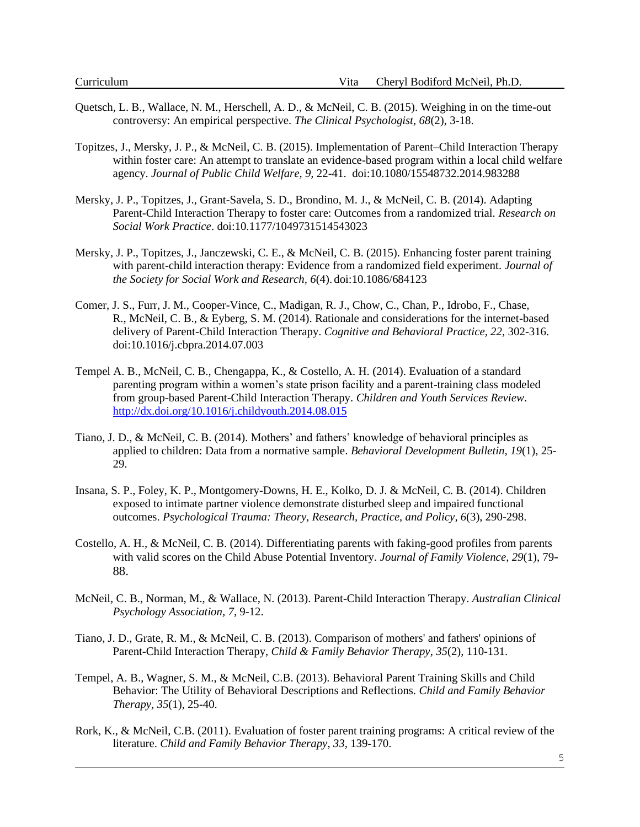- Quetsch, L. B., Wallace, N. M., Herschell, A. D., & McNeil, C. B. (2015). Weighing in on the time-out controversy: An empirical perspective. *The Clinical Psychologist, 68*(2), 3-18.
- Topitzes, J., Mersky, J. P., & McNeil, C. B. (2015). Implementation of Parent–Child Interaction Therapy within foster care: An attempt to translate an evidence-based program within a local child welfare agency. *Journal of Public Child Welfare, 9,* 22-41. doi:10.1080/15548732.2014.983288
- Mersky, J. P., Topitzes, J., Grant-Savela, S. D., Brondino, M. J., & McNeil, C. B. (2014). Adapting Parent-Child Interaction Therapy to foster care: Outcomes from a randomized trial. *Research on Social Work Practice*. doi:10.1177/1049731514543023
- Mersky, J. P., Topitzes, J., Janczewski, C. E., & McNeil, C. B. (2015). Enhancing foster parent training with parent-child interaction therapy: Evidence from a randomized field experiment. *Journal of the Society for Social Work and Research, 6*(4). doi:10.1086/684123
- Comer, J. S., Furr, J. M., Cooper-Vince, C., Madigan, R. J., Chow, C., Chan, P., Idrobo, F., Chase, R., McNeil, C. B., & Eyberg, S. M. (2014). Rationale and considerations for the internet-based delivery of Parent-Child Interaction Therapy. *Cognitive and Behavioral Practice, 22,* 302-316. doi:10.1016/j.cbpra.2014.07.003
- Tempel A. B., McNeil, C. B., Chengappa, K., & Costello, A. H. (2014). Evaluation of a standard parenting program within a women's state prison facility and a parent-training class modeled from group-based Parent-Child Interaction Therapy. *Children and Youth Services Review*. <http://dx.doi.org/10.1016/j.childyouth.2014.08.015>
- Tiano, J. D., & McNeil, C. B. (2014). Mothers' and fathers' knowledge of behavioral principles as applied to children: Data from a normative sample. *Behavioral Development Bulletin, 19*(1), 25- 29.
- Insana, S. P., Foley, K. P., Montgomery-Downs, H. E., Kolko, D. J. & McNeil, C. B. (2014). Children exposed to intimate partner violence demonstrate disturbed sleep and impaired functional outcomes. *Psychological Trauma: Theory, Research, Practice, and Policy, 6*(3), 290-298.
- Costello, A. H., & McNeil, C. B. (2014). Differentiating parents with faking-good profiles from parents with valid scores on the Child Abuse Potential Inventory. *Journal of Family Violence, 29*(1), 79- 88.
- McNeil, C. B., Norman, M., & Wallace, N. (2013). Parent-Child Interaction Therapy. *Australian Clinical Psychology Association, 7*, 9-12.
- Tiano, J. D., Grate, R. M., & McNeil, C. B. (2013). Comparison of mothers' and fathers' opinions of Parent-Child Interaction Therapy, *Child & Family Behavior Therapy*, *35*(2), 110-131.
- Tempel, A. B., Wagner, S. M., & McNeil, C.B. (2013). Behavioral Parent Training Skills and Child Behavior: The Utility of Behavioral Descriptions and Reflections. *Child and Family Behavior Therapy, 35*(1), 25-40.
- Rork, K., & McNeil, C.B. (2011). Evaluation of foster parent training programs: A critical review of the literature. *Child and Family Behavior Therapy*, *33,* 139-170.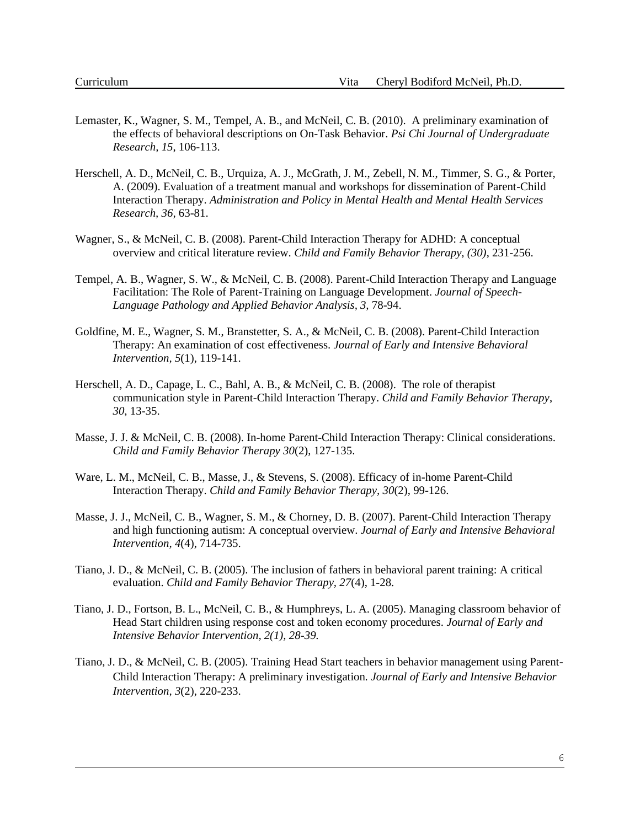- Lemaster, K., Wagner, S. M., Tempel, A. B., and McNeil, C. B. (2010). A preliminary examination of the effects of behavioral descriptions on On-Task Behavior. *Psi Chi Journal of Undergraduate Research, 15*, 106-113.
- Herschell, A. D., McNeil, C. B., Urquiza, A. J., McGrath, J. M., Zebell, N. M., Timmer, S. G., & Porter, A. (2009). Evaluation of a treatment manual and workshops for dissemination of Parent-Child Interaction Therapy. *Administration and Policy in Mental Health and Mental Health Services Research, 36,* 63-81.
- Wagner, S., & McNeil, C. B. (2008). Parent-Child Interaction Therapy for ADHD: A conceptual overview and critical literature review. *Child and Family Behavior Therapy, (30)*, 231-256.
- Tempel, A. B., Wagner, S. W., & McNeil, C. B. (2008). Parent-Child Interaction Therapy and Language Facilitation: The Role of Parent-Training on Language Development. *Journal of Speech-Language Pathology and Applied Behavior Analysis, 3,* 78-94.
- Goldfine, M. E., Wagner, S. M., Branstetter, S. A., & McNeil, C. B. (2008). Parent-Child Interaction Therapy: An examination of cost effectiveness. *Journal of Early and Intensive Behavioral Intervention, 5*(1)*,* 119-141.
- Herschell, A. D., Capage, L. C., Bahl, A. B., & McNeil, C. B. (2008). The role of therapist communication style in Parent-Child Interaction Therapy. *Child and Family Behavior Therapy*, *30*, 13-35.
- Masse, J. J. & McNeil, C. B. (2008). In-home Parent-Child Interaction Therapy: Clinical considerations. *Child and Family Behavior Therapy 30*(2), 127-135.
- Ware, L. M., McNeil, C. B., Masse, J., & Stevens, S. (2008). Efficacy of in-home Parent-Child Interaction Therapy. *Child and Family Behavior Therapy, 30*(2), 99-126.
- Masse, J. J., McNeil, C. B., Wagner, S. M., & Chorney, D. B. (2007). Parent-Child Interaction Therapy and high functioning autism: A conceptual overview. *Journal of Early and Intensive Behavioral Intervention, 4*(4), 714-735.
- Tiano, J. D., & McNeil, C. B. (2005). The inclusion of fathers in behavioral parent training: A critical evaluation. *Child and Family Behavior Therapy, 27*(4), 1-28.
- Tiano, J. D., Fortson, B. L., McNeil, C. B., & Humphreys, L. A. (2005). Managing classroom behavior of Head Start children using response cost and token economy procedures. *Journal of Early and Intensive Behavior Intervention, 2(1), 28-39.*
- Tiano, J. D., & McNeil, C. B. (2005). Training Head Start teachers in behavior management using Parent-Child Interaction Therapy: A preliminary investigation*. Journal of Early and Intensive Behavior Intervention, 3*(2), 220-233.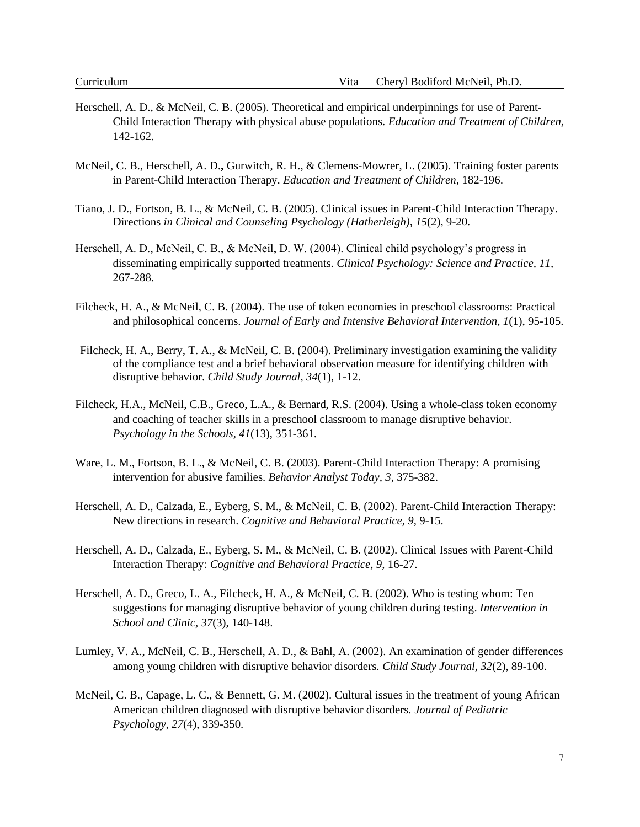- Herschell, A. D., & McNeil, C. B. (2005). Theoretical and empirical underpinnings for use of Parent-Child Interaction Therapy with physical abuse populations. *Education and Treatment of Children,*  142-162.
- McNeil, C. B., Herschell, A. D.**,** Gurwitch, R. H., & Clemens-Mowrer, L. (2005). Training foster parents in Parent-Child Interaction Therapy. *Education and Treatment of Children*, 182-196.
- Tiano, J. D., Fortson, B. L., & McNeil, C. B. (2005). Clinical issues in Parent-Child Interaction Therapy. Directions *in Clinical and Counseling Psychology (Hatherleigh), 15*(2), 9-20.
- Herschell, A. D., McNeil, C. B., & McNeil, D. W. (2004). Clinical child psychology's progress in disseminating empirically supported treatments*. Clinical Psychology: Science and Practice, 11,*  267-288.
- Filcheck, H. A., & McNeil, C. B. (2004). The use of token economies in preschool classrooms: Practical and philosophical concerns. *Journal of Early and Intensive Behavioral Intervention, 1*(1), 95-105.
- Filcheck, H. A., Berry, T. A., & McNeil, C. B. (2004). Preliminary investigation examining the validity of the compliance test and a brief behavioral observation measure for identifying children with disruptive behavior. *Child Study Journal, 34*(1), 1-12.
- Filcheck, H.A., McNeil, C.B., Greco, L.A., & Bernard, R.S. (2004). Using a whole-class token economy and coaching of teacher skills in a preschool classroom to manage disruptive behavior. *Psychology in the Schools, 41*(13), 351-361.
- Ware, L. M., Fortson, B. L., & McNeil, C. B. (2003). Parent-Child Interaction Therapy: A promising intervention for abusive families. *Behavior Analyst Today, 3,* 375-382.
- Herschell, A. D., Calzada, E., Eyberg, S. M., & McNeil, C. B. (2002). Parent-Child Interaction Therapy: New directions in research. *Cognitive and Behavioral Practice, 9,* 9-15.
- Herschell, A. D., Calzada, E., Eyberg, S. M., & McNeil, C. B. (2002). Clinical Issues with Parent-Child Interaction Therapy: *Cognitive and Behavioral Practice, 9,* 16-27.
- Herschell, A. D., Greco, L. A., Filcheck, H. A., & McNeil, C. B. (2002). Who is testing whom: Ten suggestions for managing disruptive behavior of young children during testing. *Intervention in School and Clinic, 37*(3), 140-148.
- Lumley, V. A., McNeil, C. B., Herschell, A. D., & Bahl, A. (2002). An examination of gender differences among young children with disruptive behavior disorders. *Child Study Journal, 32*(2), 89-100.
- McNeil, C. B., Capage, L. C., & Bennett, G. M. (2002). Cultural issues in the treatment of young African American children diagnosed with disruptive behavior disorders. *Journal of Pediatric Psychology, 27*(4), 339-350.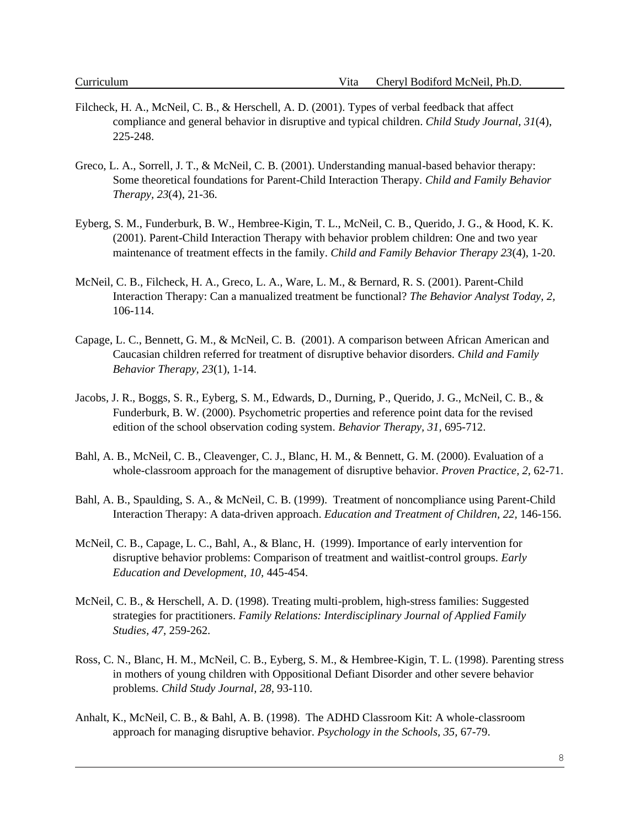- Filcheck, H. A., McNeil, C. B., & Herschell, A. D. (2001). Types of verbal feedback that affect compliance and general behavior in disruptive and typical children. *Child Study Journal, 31*(4), 225-248.
- Greco, L. A., Sorrell, J. T., & McNeil, C. B. (2001). Understanding manual-based behavior therapy: Some theoretical foundations for Parent-Child Interaction Therapy. *Child and Family Behavior Therapy, 23*(4), 21-36.
- Eyberg, S. M., Funderburk, B. W., Hembree-Kigin, T. L., McNeil, C. B., Querido, J. G., & Hood, K. K. (2001). Parent-Child Interaction Therapy with behavior problem children: One and two year maintenance of treatment effects in the family. *Child and Family Behavior Therapy 23*(4), 1-20.
- McNeil, C. B., Filcheck, H. A., Greco, L. A., Ware, L. M., & Bernard, R. S. (2001). Parent-Child Interaction Therapy: Can a manualized treatment be functional? *The Behavior Analyst Today, 2,*  106-114.
- Capage, L. C., Bennett, G. M., & McNeil, C. B. (2001). A comparison between African American and Caucasian children referred for treatment of disruptive behavior disorders. *Child and Family Behavior Therapy, 23*(1), 1-14.
- Jacobs, J. R., Boggs, S. R., Eyberg, S. M., Edwards, D., Durning, P., Querido, J. G., McNeil, C. B., & Funderburk, B. W. (2000). Psychometric properties and reference point data for the revised edition of the school observation coding system. *Behavior Therapy, 31,* 695-712.
- Bahl, A. B., McNeil, C. B., Cleavenger, C. J., Blanc, H. M., & Bennett, G. M. (2000). Evaluation of a whole-classroom approach for the management of disruptive behavior. *Proven Practice, 2,* 62-71.
- Bahl, A. B., Spaulding, S. A., & McNeil, C. B. (1999). Treatment of noncompliance using Parent-Child Interaction Therapy: A data-driven approach. *Education and Treatment of Children, 22,* 146-156.
- McNeil, C. B., Capage, L. C., Bahl, A., & Blanc, H. (1999). Importance of early intervention for disruptive behavior problems: Comparison of treatment and waitlist-control groups. *Early Education and Development, 10,* 445-454.
- McNeil, C. B., & Herschell, A. D. (1998). Treating multi-problem, high-stress families: Suggested strategies for practitioners. *Family Relations: Interdisciplinary Journal of Applied Family Studies, 47*, 259-262.
- Ross, C. N., Blanc, H. M., McNeil, C. B., Eyberg, S. M., & Hembree-Kigin, T. L. (1998). Parenting stress in mothers of young children with Oppositional Defiant Disorder and other severe behavior problems. *Child Study Journal, 28,* 93-110.
- Anhalt, K., McNeil, C. B., & Bahl, A. B. (1998). The ADHD Classroom Kit: A whole-classroom approach for managing disruptive behavior. *Psychology in the Schools, 35,* 67-79.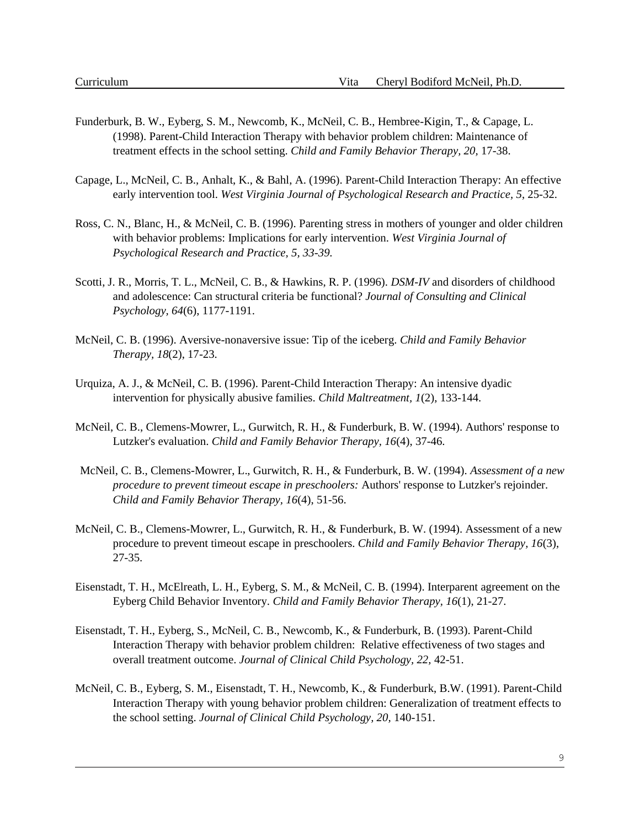- Funderburk, B. W., Eyberg, S. M., Newcomb, K., McNeil, C. B., Hembree-Kigin, T., & Capage, L. (1998). Parent-Child Interaction Therapy with behavior problem children: Maintenance of treatment effects in the school setting. *Child and Family Behavior Therapy, 20,* 17-38.
- Capage, L., McNeil, C. B., Anhalt, K., & Bahl, A. (1996). Parent-Child Interaction Therapy: An effective early intervention tool. *West Virginia Journal of Psychological Research and Practice, 5*, 25-32.
- Ross, C. N., Blanc, H., & McNeil, C. B. (1996). Parenting stress in mothers of younger and older children with behavior problems: Implications for early intervention. *West Virginia Journal of Psychological Research and Practice, 5, 33-39.*
- Scotti, J. R., Morris, T. L., McNeil, C. B., & Hawkins, R. P. (1996). *DSM-IV* and disorders of childhood and adolescence: Can structural criteria be functional? *Journal of Consulting and Clinical Psychology, 64*(6), 1177-1191.
- McNeil, C. B. (1996). Aversive-nonaversive issue: Tip of the iceberg. *Child and Family Behavior Therapy, 18*(2), 17-23.
- Urquiza, A. J., & McNeil, C. B. (1996). Parent-Child Interaction Therapy: An intensive dyadic intervention for physically abusive families. *Child Maltreatment, 1*(2), 133-144.
- McNeil, C. B., Clemens-Mowrer, L., Gurwitch, R. H., & Funderburk, B. W. (1994). Authors' response to Lutzker's evaluation. *Child and Family Behavior Therapy, 16*(4), 37-46.
- McNeil, C. B., Clemens-Mowrer, L., Gurwitch, R. H., & Funderburk, B. W. (1994). *Assessment of a new procedure to prevent timeout escape in preschoolers:* Authors' response to Lutzker's rejoinder. *Child and Family Behavior Therapy, 16*(4), 51-56.
- McNeil, C. B., Clemens-Mowrer, L., Gurwitch, R. H., & Funderburk, B. W. (1994). Assessment of a new procedure to prevent timeout escape in preschoolers. *Child and Family Behavior Therapy, 16*(3), 27-35.
- Eisenstadt, T. H., McElreath, L. H., Eyberg, S. M., & McNeil, C. B. (1994). Interparent agreement on the Eyberg Child Behavior Inventory. *Child and Family Behavior Therapy, 16*(1), 21-27.
- Eisenstadt, T. H., Eyberg, S., McNeil, C. B., Newcomb, K., & Funderburk, B. (1993). Parent-Child Interaction Therapy with behavior problem children: Relative effectiveness of two stages and overall treatment outcome. *Journal of Clinical Child Psychology, 22,* 42-51.
- McNeil, C. B., Eyberg, S. M., Eisenstadt, T. H., Newcomb, K., & Funderburk, B.W. (1991). Parent-Child Interaction Therapy with young behavior problem children: Generalization of treatment effects to the school setting. *Journal of Clinical Child Psychology, 20,* 140-151.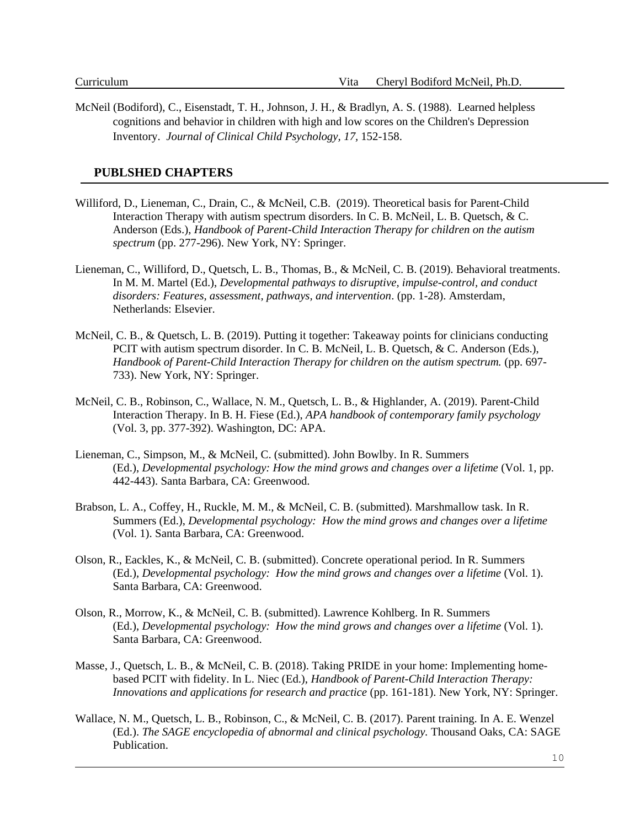McNeil (Bodiford), C., Eisenstadt, T. H., Johnson, J. H., & Bradlyn, A. S. (1988). Learned helpless cognitions and behavior in children with high and low scores on the Children's Depression Inventory. *Journal of Clinical Child Psychology, 17,* 152-158.

### **PUBLSHED CHAPTERS**

- Williford, D., Lieneman, C., Drain, C., & McNeil, C.B. (2019). Theoretical basis for Parent-Child Interaction Therapy with autism spectrum disorders. In C. B. McNeil, L. B. Quetsch, & C. Anderson (Eds.), *Handbook of Parent-Child Interaction Therapy for children on the autism spectrum* (pp. 277-296). New York, NY: Springer.
- Lieneman, C., Williford, D., Quetsch, L. B., Thomas, B., & McNeil, C. B. (2019). Behavioral treatments. In M. M. Martel (Ed.), *Developmental pathways to disruptive, impulse-control, and conduct disorders: Features, assessment, pathways, and intervention*. (pp. 1-28). Amsterdam, Netherlands: Elsevier.
- McNeil, C. B., & Quetsch, L. B. (2019). Putting it together: Takeaway points for clinicians conducting PCIT with autism spectrum disorder. In C. B. McNeil, L. B. Quetsch, & C. Anderson (Eds.), *Handbook of Parent-Child Interaction Therapy for children on the autism spectrum.* (pp. 697- 733). New York, NY: Springer.
- McNeil, C. B., Robinson, C., Wallace, N. M., Quetsch, L. B., & Highlander, A. (2019). Parent-Child Interaction Therapy. In B. H. Fiese (Ed.), *APA handbook of contemporary family psychology* (Vol. 3, pp. 377-392). Washington, DC: APA.
- Lieneman, C., Simpson, M., & McNeil, C. (submitted). John Bowlby. In R. Summers (Ed.), *Developmental psychology: How the mind grows and changes over a lifetime* (Vol. 1, pp. 442-443). Santa Barbara, CA: Greenwood.
- Brabson, L. A., Coffey, H., Ruckle, M. M., & McNeil, C. B. (submitted). Marshmallow task. In R. Summers (Ed.), *Developmental psychology: How the mind grows and changes over a lifetime*  (Vol. 1). Santa Barbara, CA: Greenwood.
- Olson, R., Eackles, K., & McNeil, C. B. (submitted). Concrete operational period. In R. Summers (Ed.), *Developmental psychology: How the mind grows and changes over a lifetime* (Vol. 1). Santa Barbara, CA: Greenwood.
- Olson, R., Morrow, K., & McNeil, C. B. (submitted). Lawrence Kohlberg. In R. Summers (Ed.), *Developmental psychology: How the mind grows and changes over a lifetime* (Vol. 1). Santa Barbara, CA: Greenwood.
- Masse, J., Quetsch, L. B., & McNeil, C. B. (2018). Taking PRIDE in your home: Implementing homebased PCIT with fidelity. In L. Niec (Ed.), *Handbook of Parent-Child Interaction Therapy: Innovations and applications for research and practice* (pp. 161-181). New York, NY: Springer.
- Wallace, N. M., Quetsch, L. B., Robinson, C., & McNeil, C. B. (2017). Parent training. In A. E. Wenzel (Ed.). *The SAGE encyclopedia of abnormal and clinical psychology.* Thousand Oaks, CA: SAGE **Publication**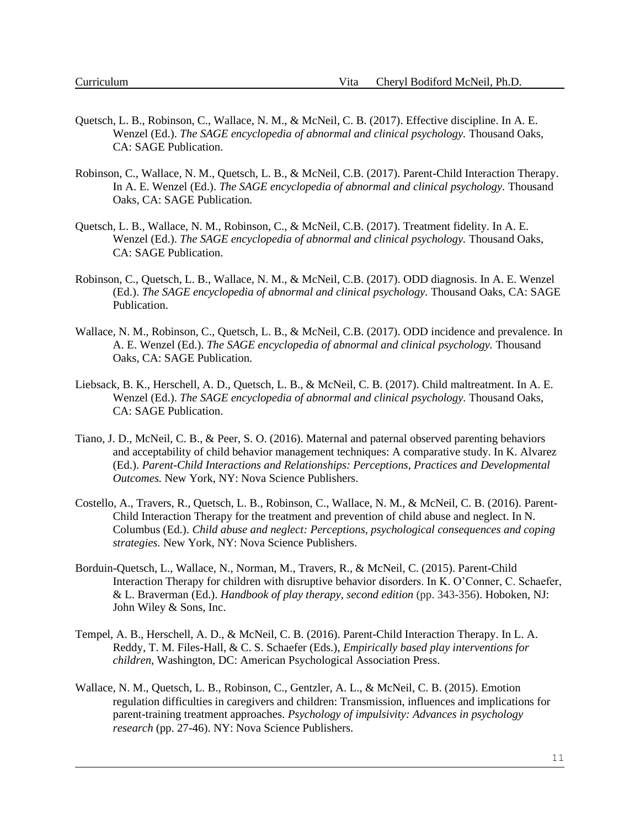- Quetsch, L. B., Robinson, C., Wallace, N. M., & McNeil, C. B. (2017). Effective discipline. In A. E. Wenzel (Ed.). *The SAGE encyclopedia of abnormal and clinical psychology.* Thousand Oaks, CA: SAGE Publication.
- Robinson, C., Wallace, N. M., Quetsch, L. B., & McNeil, C.B. (2017). Parent-Child Interaction Therapy. In A. E. Wenzel (Ed.). *The SAGE encyclopedia of abnormal and clinical psychology.* Thousand Oaks, CA: SAGE Publication.
- Quetsch, L. B., Wallace, N. M., Robinson, C., & McNeil, C.B. (2017). Treatment fidelity. In A. E. Wenzel (Ed.). *The SAGE encyclopedia of abnormal and clinical psychology.* Thousand Oaks, CA: SAGE Publication.
- Robinson, C., Quetsch, L. B., Wallace, N. M., & McNeil, C.B. (2017). ODD diagnosis. In A. E. Wenzel (Ed.). *The SAGE encyclopedia of abnormal and clinical psychology.* Thousand Oaks, CA: SAGE Publication.
- Wallace, N. M., Robinson, C., Quetsch, L. B., & McNeil, C.B. (2017). ODD incidence and prevalence. In A. E. Wenzel (Ed.). *The SAGE encyclopedia of abnormal and clinical psychology.* Thousand Oaks, CA: SAGE Publication.
- Liebsack, B. K., Herschell, A. D., Quetsch, L. B., & McNeil, C. B. (2017). Child maltreatment. In A. E. Wenzel (Ed.). *The SAGE encyclopedia of abnormal and clinical psychology.* Thousand Oaks, CA: SAGE Publication.
- Tiano, J. D., McNeil, C. B., & Peer, S. O. (2016). Maternal and paternal observed parenting behaviors and acceptability of child behavior management techniques: A comparative study. In K. Alvarez (Ed.). *Parent-Child Interactions and Relationships: Perceptions, Practices and Developmental Outcomes.* New York, NY: Nova Science Publishers.
- Costello, A., Travers, R., Quetsch, L. B., Robinson, C., Wallace, N. M., & McNeil, C. B. (2016). Parent-Child Interaction Therapy for the treatment and prevention of child abuse and neglect. In N. Columbus (Ed.). *Child abuse and neglect: Perceptions, psychological consequences and coping strategies.* New York, NY: Nova Science Publishers.
- Borduin-Quetsch, L., Wallace, N., Norman, M., Travers, R., & McNeil, C. (2015). Parent-Child Interaction Therapy for children with disruptive behavior disorders. In K. O'Conner, C. Schaefer, & L. Braverman (Ed.). *Handbook of play therapy, second edition* (pp. 343-356). Hoboken, NJ: John Wiley & Sons, Inc.
- Tempel, A. B., Herschell, A. D., & McNeil, C. B. (2016). Parent-Child Interaction Therapy. In L. A. Reddy, T. M. Files-Hall, & C. S. Schaefer (Eds.), *Empirically based play interventions for children,* Washington, DC: American Psychological Association Press.
- Wallace, N. M., Quetsch, L. B., Robinson, C., Gentzler, A. L., & McNeil, C. B. (2015). Emotion regulation difficulties in caregivers and children: Transmission, influences and implications for parent-training treatment approaches. *Psychology of impulsivity: Advances in psychology research* (pp. 27-46). NY: Nova Science Publishers.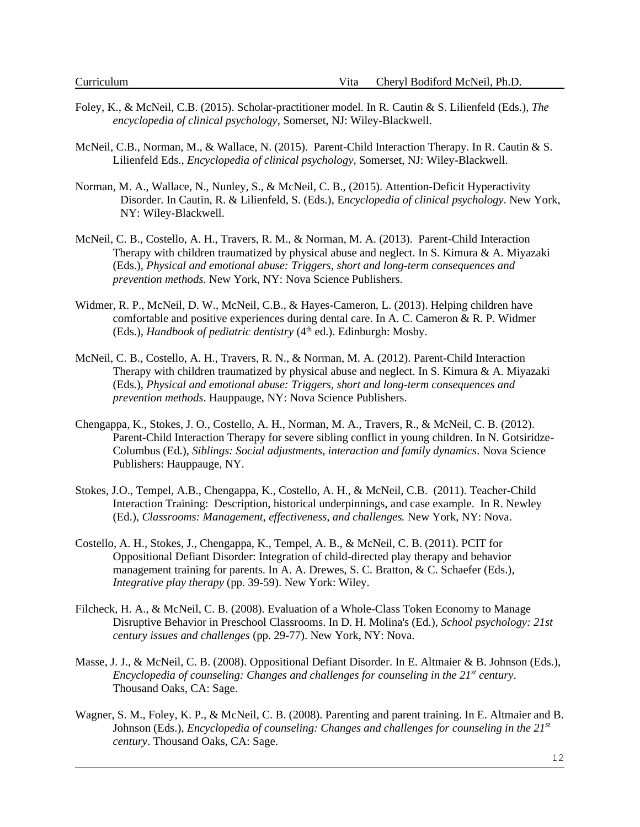- Foley, K., & McNeil, C.B. (2015). Scholar-practitioner model. In R. Cautin & S. Lilienfeld (Eds.), *The encyclopedia of clinical psychology*, Somerset, NJ: Wiley-Blackwell.
- McNeil, C.B., Norman, M., & Wallace, N. (2015). Parent-Child Interaction Therapy. In R. Cautin & S. Lilienfeld Eds., *Encyclopedia of clinical psychology*, Somerset, NJ: Wiley-Blackwell.
- Norman, M. A., Wallace, N., Nunley, S., & McNeil, C. B., (2015). Attention-Deficit Hyperactivity Disorder. In Cautin, R. & Lilienfeld, S. (Eds.), E*ncyclopedia of clinical psychology*. New York, NY: Wiley-Blackwell.
- McNeil, C. B., Costello, A. H., Travers, R. M., & Norman, M. A. (2013). Parent-Child Interaction Therapy with children traumatized by physical abuse and neglect. In S. Kimura & A. Miyazaki (Eds.), *Physical and emotional abuse: Triggers, short and long-term consequences and prevention methods.* New York, NY: Nova Science Publishers.
- Widmer, R. P., McNeil, D. W., McNeil, C.B., & Hayes-Cameron, L. (2013). Helping children have comfortable and positive experiences during dental care. In A. C. Cameron & R. P. Widmer (Eds.), *Handbook of pediatric dentistry* (4<sup>th</sup> ed.). Edinburgh: Mosby.
- McNeil, C. B., Costello, A. H., Travers, R. N., & Norman, M. A. (2012). Parent-Child Interaction Therapy with children traumatized by physical abuse and neglect. In S. Kimura  $\&$  A. Miyazaki (Eds.), *Physical and emotional abuse: Triggers, short and long-term consequences and prevention methods*. Hauppauge, NY: Nova Science Publishers.
- Chengappa, K., Stokes, J. O., Costello, A. H., Norman, M. A., Travers, R., & McNeil, C. B. (2012). Parent-Child Interaction Therapy for severe sibling conflict in young children. In N. Gotsiridze-Columbus (Ed.), *Siblings: Social adjustments, interaction and family dynamics*. Nova Science Publishers: Hauppauge, NY.
- Stokes, J.O., Tempel, A.B., Chengappa, K., Costello, A. H., & McNeil, C.B. (2011). Teacher-Child Interaction Training: Description, historical underpinnings, and case example. In R. Newley (Ed.), *Classrooms: Management, effectiveness, and challenges.* New York, NY: Nova.
- Costello, A. H., Stokes, J., Chengappa, K., Tempel, A. B., & McNeil, C. B. (2011). PCIT for Oppositional Defiant Disorder: Integration of child-directed play therapy and behavior management training for parents. In A. A. Drewes, S. C. Bratton, & C. Schaefer (Eds.), *Integrative play therapy* (pp. 39-59). New York: Wiley.
- Filcheck, H. A., & McNeil, C. B. (2008). Evaluation of a Whole-Class Token Economy to Manage Disruptive Behavior in Preschool Classrooms. In D. H. Molina's (Ed.), *School psychology: 21st century issues and challenges* (pp. 29-77). New York, NY: Nova.
- Masse, J. J., & McNeil, C. B. (2008). Oppositional Defiant Disorder. In E. Altmaier & B. Johnson (Eds.), *Encyclopedia of counseling: Changes and challenges for counseling in the 21st century*. Thousand Oaks, CA: Sage.
- Wagner, S. M., Foley, K. P., & McNeil, C. B. (2008). Parenting and parent training. In E. Altmaier and B. Johnson (Eds.), *Encyclopedia of counseling: Changes and challenges for counseling in the 21st century*. Thousand Oaks, CA: Sage.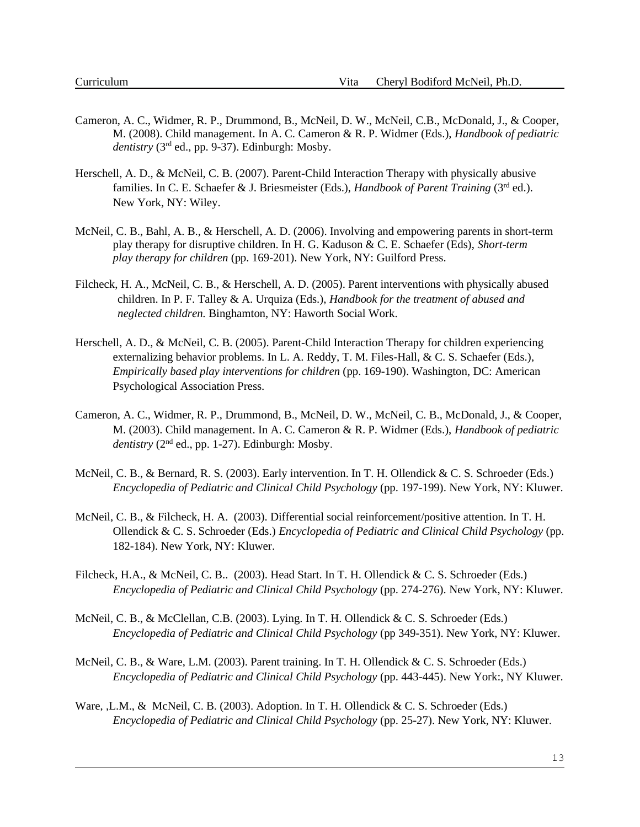- Cameron, A. C., Widmer, R. P., Drummond, B., McNeil, D. W., McNeil, C.B., McDonald, J., & Cooper, M. (2008). Child management. In A. C. Cameron & R. P. Widmer (Eds.), *Handbook of pediatric dentistry* (3rd ed., pp. 9-37). Edinburgh: Mosby.
- Herschell, A. D., & McNeil, C. B. (2007). Parent-Child Interaction Therapy with physically abusive families. In C. E. Schaefer & J. Briesmeister (Eds.), *Handbook of Parent Training* (3rd ed.). New York, NY: Wiley.
- McNeil, C. B., Bahl, A. B., & Herschell, A. D. (2006). Involving and empowering parents in short-term play therapy for disruptive children. In H. G. Kaduson & C. E. Schaefer (Eds), *Short-term play therapy for children* (pp. 169-201). New York, NY: Guilford Press.
- Filcheck, H. A., McNeil, C. B., & Herschell, A. D. (2005). Parent interventions with physically abused children. In P. F. Talley & A. Urquiza (Eds.), *Handbook for the treatment of abused and neglected children.* Binghamton, NY: Haworth Social Work.
- Herschell, A. D., & McNeil, C. B. (2005). Parent-Child Interaction Therapy for children experiencing externalizing behavior problems. In L. A. Reddy, T. M. Files-Hall, & C. S. Schaefer (Eds.), *Empirically based play interventions for children* (pp. 169-190). Washington, DC: American Psychological Association Press.
- Cameron, A. C., Widmer, R. P., Drummond, B., McNeil, D. W., McNeil, C. B., McDonald, J., & Cooper, M. (2003). Child management. In A. C. Cameron & R. P. Widmer (Eds.), *Handbook of pediatric*   $$
- McNeil, C. B., & Bernard, R. S. (2003). Early intervention. In T. H. Ollendick & C. S. Schroeder (Eds.) *Encyclopedia of Pediatric and Clinical Child Psychology* (pp. 197-199). New York, NY: Kluwer.
- McNeil, C. B., & Filcheck, H. A. (2003). Differential social reinforcement/positive attention. In T. H. Ollendick & C. S. Schroeder (Eds.) *Encyclopedia of Pediatric and Clinical Child Psychology* (pp. 182-184). New York, NY: Kluwer.
- Filcheck, H.A., & McNeil, C. B.. (2003). Head Start. In T. H. Ollendick & C. S. Schroeder (Eds.) *Encyclopedia of Pediatric and Clinical Child Psychology* (pp. 274-276). New York, NY: Kluwer.
- McNeil, C. B., & McClellan, C.B. (2003). Lying. In T. H. Ollendick & C. S. Schroeder (Eds.) *Encyclopedia of Pediatric and Clinical Child Psychology* (pp 349-351). New York, NY: Kluwer.
- McNeil, C. B., & Ware, L.M. (2003). Parent training. In T. H. Ollendick & C. S. Schroeder (Eds.) *Encyclopedia of Pediatric and Clinical Child Psychology* (pp. 443-445). New York:, NY Kluwer.
- Ware, ,L.M., & McNeil, C. B. (2003). Adoption. In T. H. Ollendick & C. S. Schroeder (Eds.) *Encyclopedia of Pediatric and Clinical Child Psychology* (pp. 25-27). New York, NY: Kluwer.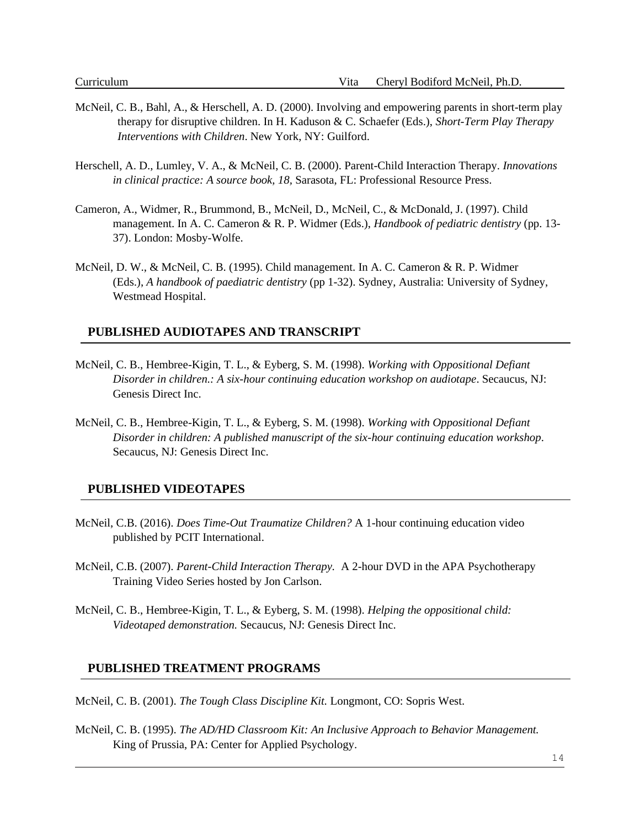- McNeil, C. B., Bahl, A., & Herschell, A. D. (2000). Involving and empowering parents in short-term play therapy for disruptive children. In H. Kaduson & C. Schaefer (Eds.), *Short-Term Play Therapy Interventions with Children*. New York, NY: Guilford.
- Herschell, A. D., Lumley, V. A., & McNeil, C. B. (2000). Parent-Child Interaction Therapy. *Innovations in clinical practice: A source book, 18,* Sarasota, FL: Professional Resource Press.
- Cameron, A., Widmer, R., Brummond, B., McNeil, D., McNeil, C., & McDonald, J. (1997). Child management. In A. C. Cameron & R. P. Widmer (Eds.), *Handbook of pediatric dentistry* (pp. 13- 37). London: Mosby-Wolfe.
- McNeil, D. W., & McNeil, C. B. (1995). Child management. In A. C. Cameron & R. P. Widmer (Eds.), *A handbook of paediatric dentistry* (pp 1-32). Sydney, Australia: University of Sydney, Westmead Hospital.

#### **PUBLISHED AUDIOTAPES AND TRANSCRIPT**

- McNeil, C. B., Hembree-Kigin, T. L., & Eyberg, S. M. (1998). *Working with Oppositional Defiant Disorder in children.: A six-hour continuing education workshop on audiotape*. Secaucus, NJ: Genesis Direct Inc.
- McNeil, C. B., Hembree-Kigin, T. L., & Eyberg, S. M. (1998). *Working with Oppositional Defiant Disorder in children: A published manuscript of the six-hour continuing education workshop*. Secaucus, NJ: Genesis Direct Inc.

#### **PUBLISHED VIDEOTAPES**

- McNeil, C.B. (2016). *Does Time-Out Traumatize Children?* A 1-hour continuing education video published by PCIT International.
- McNeil, C.B. (2007). *Parent-Child Interaction Therapy.* A 2-hour DVD in the APA Psychotherapy Training Video Series hosted by Jon Carlson.
- McNeil, C. B., Hembree-Kigin, T. L., & Eyberg, S. M. (1998). *Helping the oppositional child: Videotaped demonstration.* Secaucus, NJ: Genesis Direct Inc.

#### **PUBLISHED TREATMENT PROGRAMS**

McNeil, C. B. (2001). *The Tough Class Discipline Kit.* Longmont, CO: Sopris West.

McNeil, C. B. (1995). *The AD/HD Classroom Kit: An Inclusive Approach to Behavior Management.* King of Prussia, PA: Center for Applied Psychology.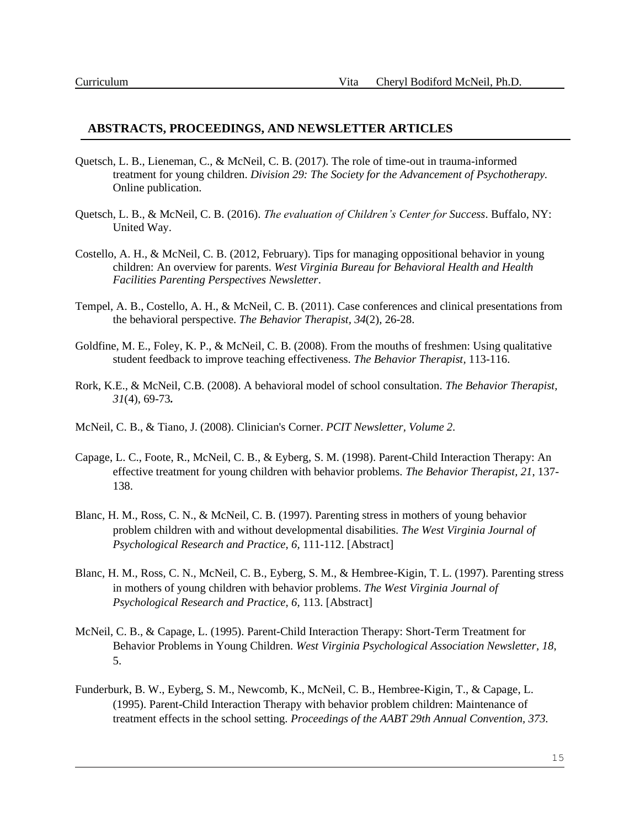#### **ABSTRACTS, PROCEEDINGS, AND NEWSLETTER ARTICLES**

- Quetsch, L. B., Lieneman, C., & McNeil, C. B. (2017). The role of time-out in trauma-informed treatment for young children. *Division 29: The Society for the Advancement of Psychotherapy.*  Online publication.
- Quetsch, L. B., & McNeil, C. B. (2016). *The evaluation of Children's Center for Success*. Buffalo, NY: United Way.
- Costello, A. H., & McNeil, C. B. (2012, February). Tips for managing oppositional behavior in young children: An overview for parents. *West Virginia Bureau for Behavioral Health and Health Facilities Parenting Perspectives Newsletter*.
- Tempel, A. B., Costello, A. H., & McNeil, C. B. (2011). Case conferences and clinical presentations from the behavioral perspective*. The Behavior Therapist, 34*(2), 26-28.
- Goldfine, M. E., Foley, K. P., & McNeil, C. B. (2008). From the mouths of freshmen: Using qualitative student feedback to improve teaching effectiveness. *The Behavior Therapist,* 113-116.
- Rork, K.E., & McNeil, C.B. (2008). A behavioral model of school consultation. *The Behavior Therapist, 31*(4), 69-73*.*
- McNeil, C. B., & Tiano, J. (2008). Clinician's Corner. *PCIT Newsletter, Volume 2*.
- Capage, L. C., Foote, R., McNeil, C. B., & Eyberg, S. M. (1998). Parent-Child Interaction Therapy: An effective treatment for young children with behavior problems. *The Behavior Therapist, 21*, 137- 138.
- Blanc, H. M., Ross, C. N., & McNeil, C. B. (1997). Parenting stress in mothers of young behavior problem children with and without developmental disabilities. *The West Virginia Journal of Psychological Research and Practice, 6,* 111-112. [Abstract]
- Blanc, H. M., Ross, C. N., McNeil, C. B., Eyberg, S. M., & Hembree-Kigin, T. L. (1997). Parenting stress in mothers of young children with behavior problems. *The West Virginia Journal of Psychological Research and Practice, 6,* 113. [Abstract]
- McNeil, C. B., & Capage, L. (1995). Parent-Child Interaction Therapy: Short-Term Treatment for Behavior Problems in Young Children. *West Virginia Psychological Association Newsletter, 18*, 5.
- Funderburk, B. W., Eyberg, S. M., Newcomb, K., McNeil, C. B., Hembree-Kigin, T., & Capage, L. (1995). Parent-Child Interaction Therapy with behavior problem children: Maintenance of treatment effects in the school setting. *Proceedings of the AABT 29th Annual Convention, 373.*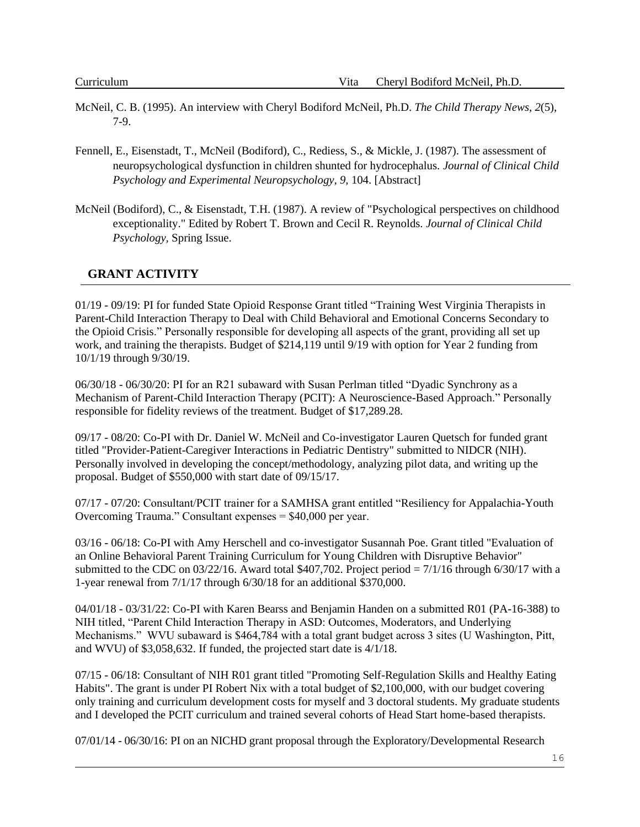- McNeil, C. B. (1995). An interview with Cheryl Bodiford McNeil, Ph.D. *The Child Therapy News, 2*(5), 7-9.
- Fennell, E., Eisenstadt, T., McNeil (Bodiford), C., Rediess, S., & Mickle, J. (1987). The assessment of neuropsychological dysfunction in children shunted for hydrocephalus. *Journal of Clinical Child Psychology and Experimental Neuropsychology, 9,* 104. [Abstract]
- McNeil (Bodiford), C., & Eisenstadt, T.H. (1987). A review of "Psychological perspectives on childhood exceptionality." Edited by Robert T. Brown and Cecil R. Reynolds. *Journal of Clinical Child Psychology,* Spring Issue.

## **GRANT ACTIVITY**

01/19 - 09/19: PI for funded State Opioid Response Grant titled "Training West Virginia Therapists in Parent-Child Interaction Therapy to Deal with Child Behavioral and Emotional Concerns Secondary to the Opioid Crisis." Personally responsible for developing all aspects of the grant, providing all set up work, and training the therapists. Budget of \$214,119 until 9/19 with option for Year 2 funding from 10/1/19 through 9/30/19.

06/30/18 - 06/30/20: PI for an R21 subaward with Susan Perlman titled "Dyadic Synchrony as a Mechanism of Parent-Child Interaction Therapy (PCIT): A Neuroscience-Based Approach." Personally responsible for fidelity reviews of the treatment. Budget of \$17,289.28.

09/17 - 08/20: Co-PI with Dr. Daniel W. McNeil and Co-investigator Lauren Quetsch for funded grant titled "Provider-Patient-Caregiver Interactions in Pediatric Dentistry" submitted to NIDCR (NIH). Personally involved in developing the concept/methodology, analyzing pilot data, and writing up the proposal. Budget of \$550,000 with start date of 09/15/17.

07/17 - 07/20: Consultant/PCIT trainer for a SAMHSA grant entitled "Resiliency for Appalachia-Youth Overcoming Trauma." Consultant expenses = \$40,000 per year.

03/16 - 06/18: Co-PI with Amy Herschell and co-investigator Susannah Poe. Grant titled "Evaluation of an Online Behavioral Parent Training Curriculum for Young Children with Disruptive Behavior" submitted to the CDC on  $03/22/16$ . Award total \$407,702. Project period =  $7/1/16$  through 6/30/17 with a 1-year renewal from 7/1/17 through 6/30/18 for an additional \$370,000.

04/01/18 - 03/31/22: Co-PI with Karen Bearss and Benjamin Handen on a submitted R01 (PA-16-388) to NIH titled, "Parent Child Interaction Therapy in ASD: Outcomes, Moderators, and Underlying Mechanisms." WVU subaward is \$464,784 with a total grant budget across 3 sites (U Washington, Pitt, and WVU) of \$3,058,632. If funded, the projected start date is 4/1/18.

07/15 - 06/18: Consultant of NIH R01 grant titled "Promoting Self-Regulation Skills and Healthy Eating Habits". The grant is under PI Robert Nix with a total budget of \$2,100,000, with our budget covering only training and curriculum development costs for myself and 3 doctoral students. My graduate students and I developed the PCIT curriculum and trained several cohorts of Head Start home-based therapists.

07/01/14 - 06/30/16: PI on an NICHD grant proposal through the Exploratory/Developmental Research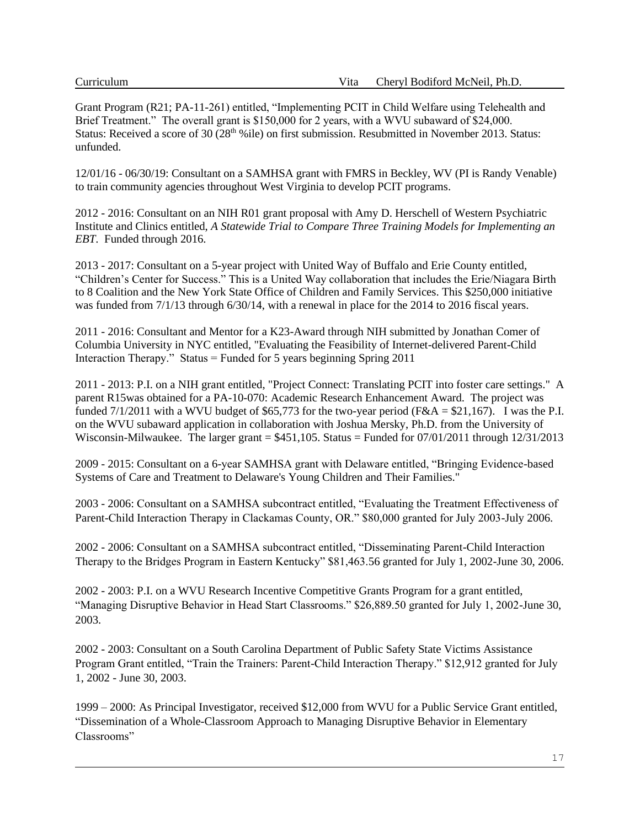Grant Program (R21; PA-11-261) entitled, "Implementing PCIT in Child Welfare using Telehealth and Brief Treatment." The overall grant is \$150,000 for 2 years, with a WVU subaward of \$24,000. Status: Received a score of 30 (28<sup>th %</sup>ile) on first submission. Resubmitted in November 2013. Status: unfunded.

12/01/16 - 06/30/19: Consultant on a SAMHSA grant with FMRS in Beckley, WV (PI is Randy Venable) to train community agencies throughout West Virginia to develop PCIT programs.

2012 - 2016: Consultant on an NIH R01 grant proposal with Amy D. Herschell of Western Psychiatric Institute and Clinics entitled, *A Statewide Trial to Compare Three Training Models for Implementing an EBT*. Funded through 2016.

2013 - 2017: Consultant on a 5-year project with United Way of Buffalo and Erie County entitled, "Children's Center for Success." This is a United Way collaboration that includes the Erie/Niagara Birth to 8 Coalition and the New York State Office of Children and Family Services. This \$250,000 initiative was funded from 7/1/13 through 6/30/14, with a renewal in place for the 2014 to 2016 fiscal years.

2011 - 2016: Consultant and Mentor for a K23-Award through NIH submitted by Jonathan Comer of Columbia University in NYC entitled, "Evaluating the Feasibility of Internet-delivered Parent-Child Interaction Therapy." Status = Funded for 5 years beginning Spring 2011

2011 - 2013: P.I. on a NIH grant entitled, "Project Connect: Translating PCIT into foster care settings." A parent R15was obtained for a PA-10-070: Academic Research Enhancement Award. The project was funded  $7/1/2011$  with a WVU budget of \$65,773 for the two-year period (F&A = \$21,167). I was the P.I. on the WVU subaward application in collaboration with Joshua Mersky, Ph.D. from the University of Wisconsin-Milwaukee. The larger grant = \$451,105. Status = Funded for 07/01/2011 through 12/31/2013

2009 - 2015: Consultant on a 6-year SAMHSA grant with Delaware entitled, "Bringing Evidence-based Systems of Care and Treatment to Delaware's Young Children and Their Families."

2003 - 2006: Consultant on a SAMHSA subcontract entitled, "Evaluating the Treatment Effectiveness of Parent-Child Interaction Therapy in Clackamas County, OR." \$80,000 granted for July 2003-July 2006.

2002 - 2006: Consultant on a SAMHSA subcontract entitled, "Disseminating Parent-Child Interaction Therapy to the Bridges Program in Eastern Kentucky" \$81,463.56 granted for July 1, 2002-June 30, 2006.

2002 - 2003: P.I. on a WVU Research Incentive Competitive Grants Program for a grant entitled, "Managing Disruptive Behavior in Head Start Classrooms." \$26,889.50 granted for July 1, 2002-June 30, 2003.

2002 - 2003: Consultant on a South Carolina Department of Public Safety State Victims Assistance Program Grant entitled, "Train the Trainers: Parent-Child Interaction Therapy." \$12,912 granted for July 1, 2002 - June 30, 2003.

1999 – 2000: As Principal Investigator, received \$12,000 from WVU for a Public Service Grant entitled, "Dissemination of a Whole-Classroom Approach to Managing Disruptive Behavior in Elementary Classrooms"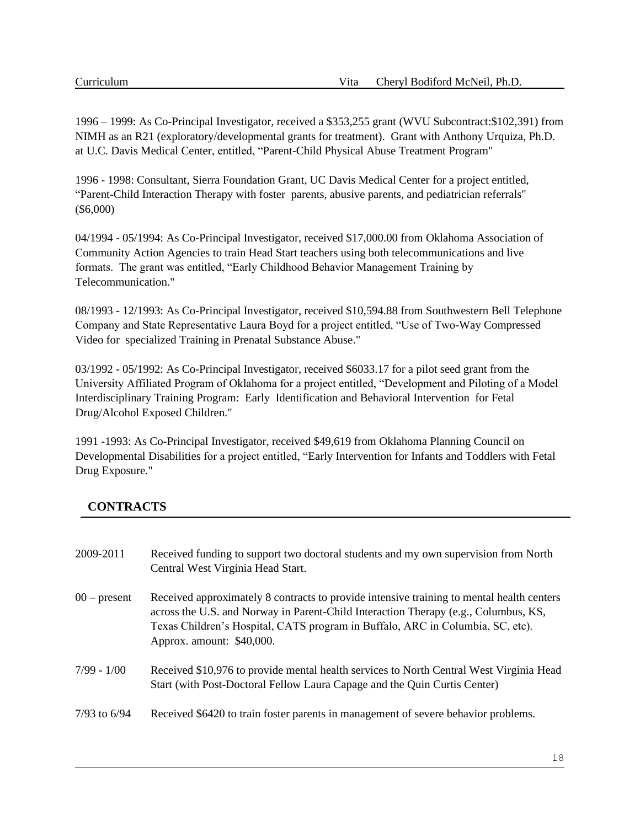1996 – 1999: As Co-Principal Investigator, received a \$353,255 grant (WVU Subcontract:\$102,391) from NIMH as an R21 (exploratory/developmental grants for treatment). Grant with Anthony Urquiza, Ph.D. at U.C. Davis Medical Center, entitled, "Parent-Child Physical Abuse Treatment Program"

1996 - 1998: Consultant, Sierra Foundation Grant, UC Davis Medical Center for a project entitled, "Parent-Child Interaction Therapy with foster parents, abusive parents, and pediatrician referrals" (\$6,000)

04/1994 - 05/1994: As Co-Principal Investigator, received \$17,000.00 from Oklahoma Association of Community Action Agencies to train Head Start teachers using both telecommunications and live formats. The grant was entitled, "Early Childhood Behavior Management Training by Telecommunication."

08/1993 - 12/1993: As Co-Principal Investigator, received \$10,594.88 from Southwestern Bell Telephone Company and State Representative Laura Boyd for a project entitled, "Use of Two-Way Compressed Video for specialized Training in Prenatal Substance Abuse."

03/1992 - 05/1992: As Co-Principal Investigator, received \$6033.17 for a pilot seed grant from the University Affiliated Program of Oklahoma for a project entitled, "Development and Piloting of a Model Interdisciplinary Training Program: Early Identification and Behavioral Intervention for Fetal Drug/Alcohol Exposed Children."

1991 -1993: As Co-Principal Investigator, received \$49,619 from Oklahoma Planning Council on Developmental Disabilities for a project entitled, "Early Intervention for Infants and Toddlers with Fetal Drug Exposure."

# **CONTRACTS**

| 2009-2011      | Received funding to support two doctoral students and my own supervision from North<br>Central West Virginia Head Start.                                                                                                                                                                        |
|----------------|-------------------------------------------------------------------------------------------------------------------------------------------------------------------------------------------------------------------------------------------------------------------------------------------------|
| $00$ – present | Received approximately 8 contracts to provide intensive training to mental health centers<br>across the U.S. and Norway in Parent-Child Interaction Therapy (e.g., Columbus, KS,<br>Texas Children's Hospital, CATS program in Buffalo, ARC in Columbia, SC, etc).<br>Approx. amount: \$40,000. |
| $7/99 - 1/00$  | Received \$10,976 to provide mental health services to North Central West Virginia Head<br>Start (with Post-Doctoral Fellow Laura Capage and the Quin Curtis Center)                                                                                                                            |
| 7/93 to $6/94$ | Received \$6420 to train foster parents in management of severe behavior problems.                                                                                                                                                                                                              |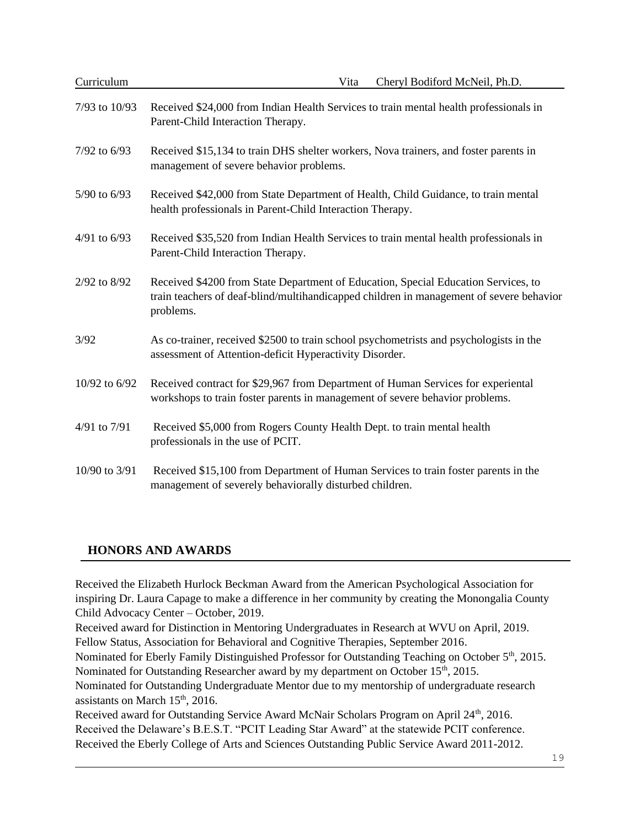| Curriculum     | Cheryl Bodiford McNeil, Ph.D.<br>Vita                                                                                                                                                      |  |
|----------------|--------------------------------------------------------------------------------------------------------------------------------------------------------------------------------------------|--|
| 7/93 to 10/93  | Received \$24,000 from Indian Health Services to train mental health professionals in<br>Parent-Child Interaction Therapy.                                                                 |  |
| 7/92 to 6/93   | Received \$15,134 to train DHS shelter workers, Nova trainers, and foster parents in<br>management of severe behavior problems.                                                            |  |
| 5/90 to 6/93   | Received \$42,000 from State Department of Health, Child Guidance, to train mental<br>health professionals in Parent-Child Interaction Therapy.                                            |  |
| 4/91 to $6/93$ | Received \$35,520 from Indian Health Services to train mental health professionals in<br>Parent-Child Interaction Therapy.                                                                 |  |
| 2/92 to 8/92   | Received \$4200 from State Department of Education, Special Education Services, to<br>train teachers of deaf-blind/multihandicapped children in management of severe behavior<br>problems. |  |
| 3/92           | As co-trainer, received \$2500 to train school psychometrists and psychologists in the<br>assessment of Attention-deficit Hyperactivity Disorder.                                          |  |
| 10/92 to 6/92  | Received contract for \$29,967 from Department of Human Services for experiental<br>workshops to train foster parents in management of severe behavior problems.                           |  |
| 4/91 to 7/91   | Received \$5,000 from Rogers County Health Dept. to train mental health<br>professionals in the use of PCIT.                                                                               |  |
| 10/90 to 3/91  | Received \$15,100 from Department of Human Services to train foster parents in the<br>management of severely behaviorally disturbed children.                                              |  |

# **HONORS AND AWARDS**

Received the Elizabeth Hurlock Beckman Award from the American Psychological Association for inspiring Dr. Laura Capage to make a difference in her community by creating the Monongalia County Child Advocacy Center – October, 2019.

Received award for Distinction in Mentoring Undergraduates in Research at WVU on April, 2019. Fellow Status, Association for Behavioral and Cognitive Therapies, September 2016.

Nominated for Eberly Family Distinguished Professor for Outstanding Teaching on October 5<sup>th</sup>, 2015. Nominated for Outstanding Researcher award by my department on October 15<sup>th</sup>, 2015.

Nominated for Outstanding Undergraduate Mentor due to my mentorship of undergraduate research assistants on March 15<sup>th</sup>, 2016.

Received award for Outstanding Service Award McNair Scholars Program on April 24<sup>th</sup>, 2016. Received the Delaware's B.E.S.T. "PCIT Leading Star Award" at the statewide PCIT conference. Received the Eberly College of Arts and Sciences Outstanding Public Service Award 2011-2012.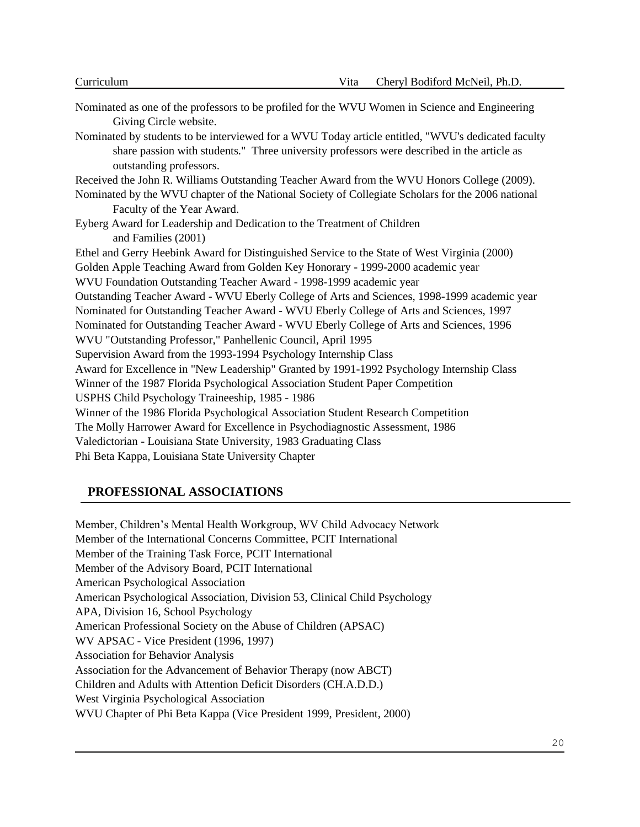Nominated as one of the professors to be profiled for the WVU Women in Science and Engineering Giving Circle website. Nominated by students to be interviewed for a WVU Today article entitled, "WVU's dedicated faculty share passion with students." Three university professors were described in the article as outstanding professors. Received the John R. Williams Outstanding Teacher Award from the WVU Honors College (2009). Nominated by the WVU chapter of the National Society of Collegiate Scholars for the 2006 national Faculty of the Year Award. Eyberg Award for Leadership and Dedication to the Treatment of Children and Families (2001) Ethel and Gerry Heebink Award for Distinguished Service to the State of West Virginia (2000) Golden Apple Teaching Award from Golden Key Honorary - 1999-2000 academic year WVU Foundation Outstanding Teacher Award - 1998-1999 academic year Outstanding Teacher Award - WVU Eberly College of Arts and Sciences, 1998-1999 academic year Nominated for Outstanding Teacher Award - WVU Eberly College of Arts and Sciences, 1997 Nominated for Outstanding Teacher Award - WVU Eberly College of Arts and Sciences, 1996 WVU "Outstanding Professor," Panhellenic Council, April 1995 Supervision Award from the 1993-1994 Psychology Internship Class Award for Excellence in "New Leadership" Granted by 1991-1992 Psychology Internship Class Winner of the 1987 Florida Psychological Association Student Paper Competition USPHS Child Psychology Traineeship, 1985 - 1986 Winner of the 1986 Florida Psychological Association Student Research Competition The Molly Harrower Award for Excellence in Psychodiagnostic Assessment, 1986 Valedictorian - Louisiana State University, 1983 Graduating Class Phi Beta Kappa, Louisiana State University Chapter

### **PROFESSIONAL ASSOCIATIONS**

Member, Children's Mental Health Workgroup, WV Child Advocacy Network Member of the International Concerns Committee, PCIT International Member of the Training Task Force, PCIT International Member of the Advisory Board, PCIT International American Psychological Association American Psychological Association, Division 53, Clinical Child Psychology APA, Division 16, School Psychology American Professional Society on the Abuse of Children (APSAC) WV APSAC - Vice President (1996, 1997) Association for Behavior Analysis Association for the Advancement of Behavior Therapy (now ABCT) Children and Adults with Attention Deficit Disorders (CH.A.D.D.) West Virginia Psychological Association WVU Chapter of Phi Beta Kappa (Vice President 1999, President, 2000)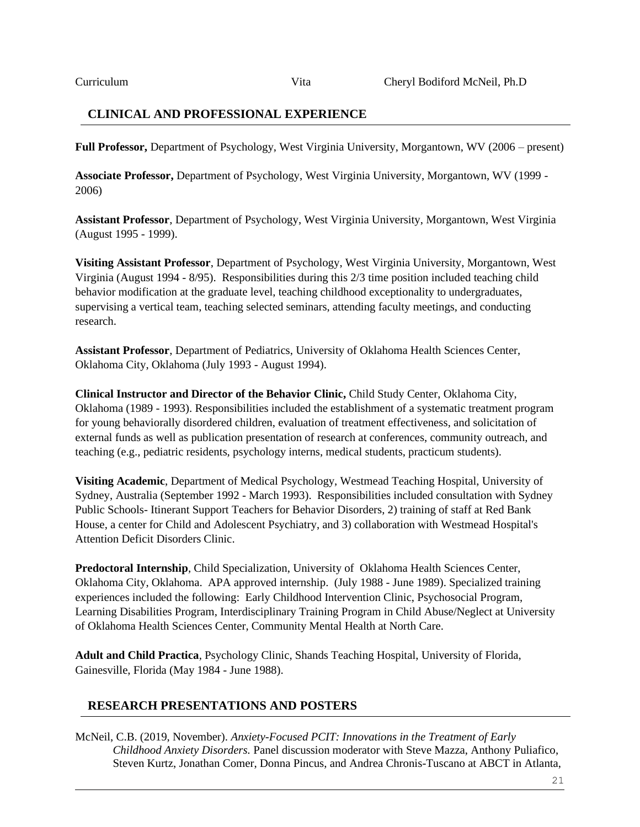### **CLINICAL AND PROFESSIONAL EXPERIENCE**

**Full Professor,** Department of Psychology, West Virginia University, Morgantown, WV (2006 – present)

**Associate Professor,** Department of Psychology, West Virginia University, Morgantown, WV (1999 - 2006)

**Assistant Professor**, Department of Psychology, West Virginia University, Morgantown, West Virginia (August 1995 - 1999).

**Visiting Assistant Professor**, Department of Psychology, West Virginia University, Morgantown, West Virginia (August 1994 - 8/95). Responsibilities during this 2/3 time position included teaching child behavior modification at the graduate level, teaching childhood exceptionality to undergraduates, supervising a vertical team, teaching selected seminars, attending faculty meetings, and conducting research.

**Assistant Professor**, Department of Pediatrics, University of Oklahoma Health Sciences Center, Oklahoma City, Oklahoma (July 1993 - August 1994).

**Clinical Instructor and Director of the Behavior Clinic,** Child Study Center, Oklahoma City, Oklahoma (1989 - 1993). Responsibilities included the establishment of a systematic treatment program for young behaviorally disordered children, evaluation of treatment effectiveness, and solicitation of external funds as well as publication presentation of research at conferences, community outreach, and teaching (e.g., pediatric residents, psychology interns, medical students, practicum students).

**Visiting Academic**, Department of Medical Psychology, Westmead Teaching Hospital, University of Sydney, Australia (September 1992 - March 1993). Responsibilities included consultation with Sydney Public Schools- Itinerant Support Teachers for Behavior Disorders, 2) training of staff at Red Bank House, a center for Child and Adolescent Psychiatry, and 3) collaboration with Westmead Hospital's Attention Deficit Disorders Clinic.

**Predoctoral Internship**, Child Specialization, University of Oklahoma Health Sciences Center, Oklahoma City, Oklahoma. APA approved internship. (July 1988 - June 1989). Specialized training experiences included the following: Early Childhood Intervention Clinic, Psychosocial Program, Learning Disabilities Program, Interdisciplinary Training Program in Child Abuse/Neglect at University of Oklahoma Health Sciences Center, Community Mental Health at North Care.

**Adult and Child Practica**, Psychology Clinic, Shands Teaching Hospital, University of Florida, Gainesville, Florida (May 1984 - June 1988).

### **RESEARCH PRESENTATIONS AND POSTERS**

McNeil, C.B. (2019, November). *Anxiety-Focused PCIT: Innovations in the Treatment of Early Childhood Anxiety Disorders.* Panel discussion moderator with Steve Mazza, Anthony Puliafico, Steven Kurtz, Jonathan Comer, Donna Pincus, and Andrea Chronis-Tuscano at ABCT in Atlanta,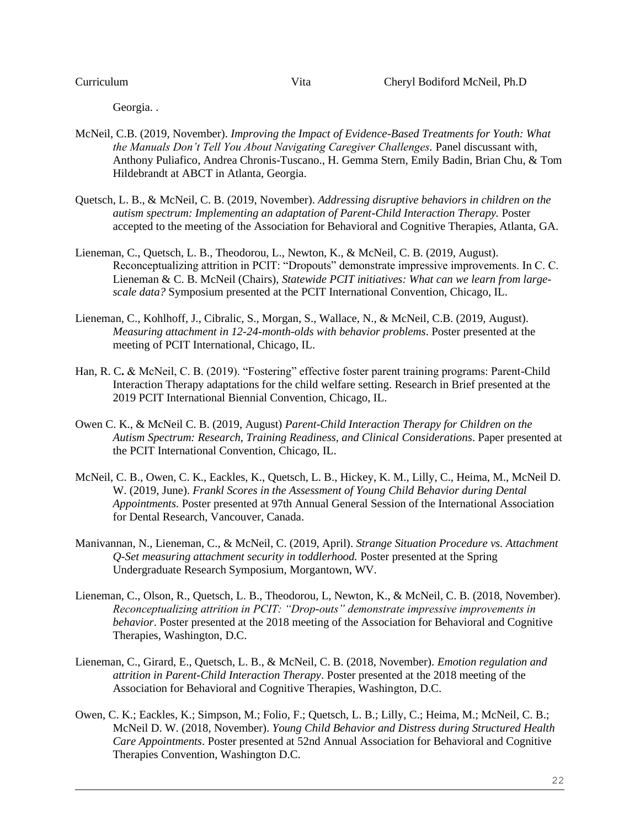Georgia. .

- McNeil, C.B. (2019, November). *Improving the Impact of Evidence-Based Treatments for Youth: What the Manuals Don't Tell You About Navigating Caregiver Challenges.* Panel discussant with, Anthony Puliafico, Andrea Chronis-Tuscano., H. Gemma Stern, Emily Badin, Brian Chu, & Tom Hildebrandt at ABCT in Atlanta, Georgia.
- Quetsch, L. B., & McNeil, C. B. (2019, November). *Addressing disruptive behaviors in children on the autism spectrum: Implementing an adaptation of Parent-Child Interaction Therapy.* Poster accepted to the meeting of the Association for Behavioral and Cognitive Therapies, Atlanta, GA.
- Lieneman, C., Quetsch, L. B., Theodorou, L., Newton, K., & McNeil, C. B. (2019, August). Reconceptualizing attrition in PCIT: "Dropouts" demonstrate impressive improvements. In C. C. Lieneman & C. B. McNeil (Chairs), *Statewide PCIT initiatives: What can we learn from largescale data?* Symposium presented at the PCIT International Convention, Chicago, IL.
- Lieneman, C., Kohlhoff, J., Cibralic, S., Morgan, S., Wallace, N., & McNeil, C.B. (2019, August). *Measuring attachment in 12-24-month-olds with behavior problems*. Poster presented at the meeting of PCIT International, Chicago, IL.
- Han, R. C**.** & McNeil, C. B. (2019). "Fostering" effective foster parent training programs: Parent-Child Interaction Therapy adaptations for the child welfare setting. Research in Brief presented at the 2019 PCIT International Biennial Convention, Chicago, IL.
- Owen C. K., & McNeil C. B. (2019, August) *Parent-Child Interaction Therapy for Children on the Autism Spectrum: Research, Training Readiness, and Clinical Considerations*. Paper presented at the PCIT International Convention, Chicago, IL.
- McNeil, C. B., Owen, C. K., Eackles, K., Quetsch, L. B., Hickey, K. M., Lilly, C., Heima, M., McNeil D. W. (2019, June). *Frankl Scores in the Assessment of Young Child Behavior during Dental Appointments.* Poster presented at 97th Annual General Session of the International Association for Dental Research, Vancouver, Canada.
- Manivannan, N., Lieneman, C.*,* & McNeil, C. (2019, April). *Strange Situation Procedure vs. Attachment Q-Set measuring attachment security in toddlerhood.* Poster presented at the Spring Undergraduate Research Symposium, Morgantown, WV.
- Lieneman, C., Olson, R., Quetsch, L. B., Theodorou, L, Newton, K., & McNeil, C. B. (2018, November). *Reconceptualizing attrition in PCIT: "Drop-outs" demonstrate impressive improvements in behavior*. Poster presented at the 2018 meeting of the Association for Behavioral and Cognitive Therapies, Washington, D.C.
- Lieneman, C., Girard, E., Quetsch, L. B., & McNeil, C. B. (2018, November). *Emotion regulation and attrition in Parent-Child Interaction Therapy*. Poster presented at the 2018 meeting of the Association for Behavioral and Cognitive Therapies, Washington, D.C.
- Owen, C. K.; Eackles, K.; Simpson, M.; Folio, F.; Quetsch, L. B.; Lilly, C.; Heima, M.; McNeil, C. B.; McNeil D. W. (2018, November). *Young Child Behavior and Distress during Structured Health Care Appointments*. Poster presented at 52nd Annual Association for Behavioral and Cognitive Therapies Convention, Washington D.C.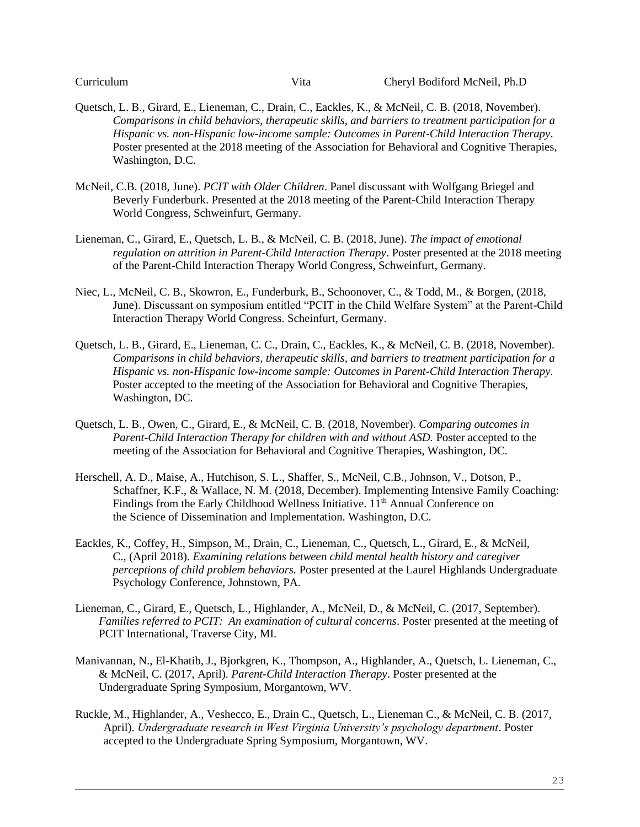- Quetsch, L. B., Girard, E., Lieneman, C., Drain, C., Eackles, K., & McNeil, C. B. (2018, November). *Comparisons in child behaviors, therapeutic skills, and barriers to treatment participation for a Hispanic vs. non-Hispanic low-income sample: Outcomes in Parent-Child Interaction Therapy*. Poster presented at the 2018 meeting of the Association for Behavioral and Cognitive Therapies, Washington, D.C.
- McNeil, C.B. (2018, June). *PCIT with Older Children*. Panel discussant with Wolfgang Briegel and Beverly Funderburk. Presented at the 2018 meeting of the Parent-Child Interaction Therapy World Congress, Schweinfurt, Germany.
- Lieneman, C., Girard, E., Quetsch, L. B., & McNeil, C. B. (2018, June). *The impact of emotional regulation on attrition in Parent-Child Interaction Therapy*. Poster presented at the 2018 meeting of the Parent-Child Interaction Therapy World Congress, Schweinfurt, Germany.
- Niec, L., McNeil, C. B., Skowron, E., Funderburk, B., Schoonover, C., & Todd, M., & Borgen, (2018, June). Discussant on symposium entitled "PCIT in the Child Welfare System" at the Parent-Child Interaction Therapy World Congress. Scheinfurt, Germany.
- Quetsch, L. B., Girard, E., Lieneman, C. C., Drain, C., Eackles, K., & McNeil, C. B. (2018, November). *Comparisons in child behaviors, therapeutic skills, and barriers to treatment participation for a Hispanic vs. non-Hispanic low-income sample: Outcomes in Parent-Child Interaction Therapy.*  Poster accepted to the meeting of the Association for Behavioral and Cognitive Therapies, Washington, DC.
- Quetsch, L. B., Owen, C., Girard, E., & McNeil, C. B. (2018, November). *Comparing outcomes in*  Parent-Child Interaction Therapy for children with and without ASD. Poster accepted to the meeting of the Association for Behavioral and Cognitive Therapies, Washington, DC.
- Herschell, A. D., Maise, A., Hutchison, S. L., Shaffer, S., McNeil, C.B., Johnson, V., Dotson, P., Schaffner, K.F., & Wallace, N. M. (2018, December). Implementing Intensive Family Coaching: Findings from the Early Childhood Wellness Initiative.  $11<sup>th</sup>$  Annual Conference on the Science of Dissemination and Implementation. Washington, D.C.
- Eackles, K., Coffey, H., Simpson, M., Drain, C., Lieneman, C., Quetsch, L., Girard, E.*,* & McNeil, C., (April 2018). *Examining relations between child mental health history and caregiver perceptions of child problem behaviors.* Poster presented at the Laurel Highlands Undergraduate Psychology Conference, Johnstown, PA.
- Lieneman, C., Girard, E., Quetsch, L., Highlander, A., McNeil, D., & McNeil, C. (2017, September). *Families referred to PCIT: An examination of cultural concerns*. Poster presented at the meeting of PCIT International, Traverse City, MI.
- Manivannan, N., El-Khatib, J., Bjorkgren, K., Thompson, A., Highlander, A., Quetsch, L. Lieneman, C., & McNeil, C. (2017, April). *Parent-Child Interaction Therapy*. Poster presented at the Undergraduate Spring Symposium, Morgantown, WV.
- Ruckle, M., Highlander, A., Veshecco, E., Drain C., Quetsch, L., Lieneman C., & McNeil, C. B. (2017, April). *Undergraduate research in West Virginia University's psychology department*. Poster accepted to the Undergraduate Spring Symposium, Morgantown, WV.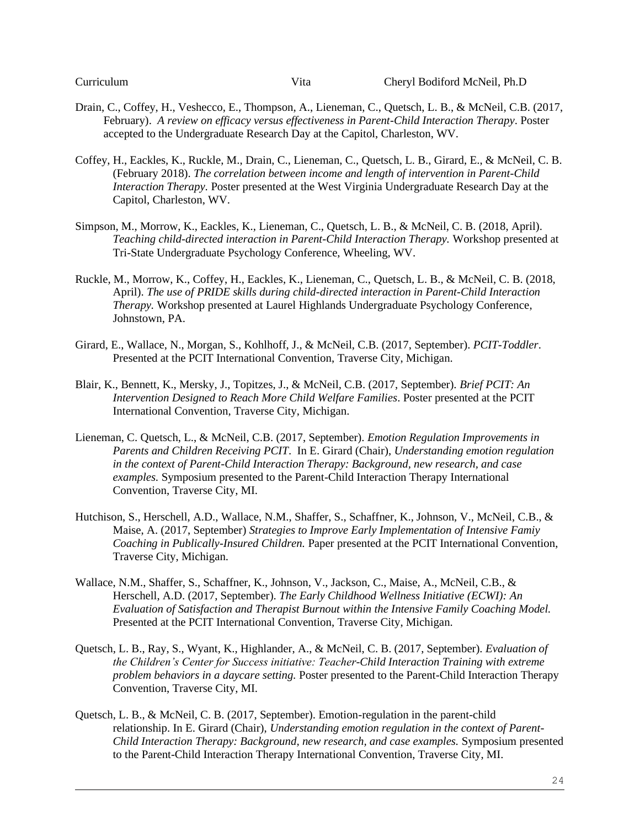- Drain, C., Coffey, H., Veshecco, E., Thompson, A., Lieneman, C., Quetsch, L. B., & McNeil, C.B. (2017, February). *A review on efficacy versus effectiveness in Parent-Child Interaction Therapy*. Poster accepted to the Undergraduate Research Day at the Capitol, Charleston, WV.
- Coffey, H., Eackles, K., Ruckle, M., Drain, C., Lieneman, C., Quetsch, L. B., Girard, E., & McNeil, C. B. (February 2018). *The correlation between income and length of intervention in Parent-Child Interaction Therapy.* Poster presented at the West Virginia Undergraduate Research Day at the Capitol, Charleston, WV.
- Simpson, M., Morrow, K., Eackles, K., Lieneman, C., Quetsch, L. B., & McNeil, C. B. (2018, April). *Teaching child-directed interaction in Parent-Child Interaction Therapy.* Workshop presented at Tri-State Undergraduate Psychology Conference, Wheeling, WV.
- Ruckle, M., Morrow, K., Coffey, H., Eackles, K., Lieneman, C., Quetsch, L. B., & McNeil, C. B. (2018, April). *The use of PRIDE skills during child-directed interaction in Parent-Child Interaction Therapy.* Workshop presented at Laurel Highlands Undergraduate Psychology Conference, Johnstown, PA.
- Girard, E., Wallace, N., Morgan, S., Kohlhoff, J., & McNeil, C.B. (2017, September). *PCIT-Toddler*. Presented at the PCIT International Convention, Traverse City, Michigan.
- Blair, K., Bennett, K., Mersky, J., Topitzes, J., & McNeil, C.B. (2017, September). *Brief PCIT: An Intervention Designed to Reach More Child Welfare Families*. Poster presented at the PCIT International Convention, Traverse City, Michigan.
- Lieneman, C. Quetsch, L., & McNeil, C.B. (2017, September). *Emotion Regulation Improvements in Parents and Children Receiving PCIT*. In E. Girard (Chair), *Understanding emotion regulation in the context of Parent-Child Interaction Therapy: Background, new research, and case examples.* Symposium presented to the Parent-Child Interaction Therapy International Convention, Traverse City, MI.
- Hutchison, S., Herschell, A.D., Wallace, N.M., Shaffer, S., Schaffner, K., Johnson, V., McNeil, C.B., & Maise, A. (2017, September) *Strategies to Improve Early Implementation of Intensive Famiy Coaching in Publically-Insured Children.* Paper presented at the PCIT International Convention, Traverse City, Michigan.
- Wallace, N.M., Shaffer, S., Schaffner, K., Johnson, V., Jackson, C., Maise, A., McNeil, C.B., & Herschell, A.D. (2017, September). *The Early Childhood Wellness Initiative (ECWI): An Evaluation of Satisfaction and Therapist Burnout within the Intensive Family Coaching Model.* Presented at the PCIT International Convention, Traverse City, Michigan.
- Quetsch, L. B., Ray, S., Wyant, K., Highlander, A., & McNeil, C. B. (2017, September). *Evaluation of the Children's Center for Success initiative: Teacher-Child Interaction Training with extreme problem behaviors in a daycare setting.* Poster presented to the Parent-Child Interaction Therapy Convention, Traverse City, MI.
- Quetsch, L. B., & McNeil, C. B. (2017, September). Emotion-regulation in the parent-child relationship. In E. Girard (Chair), *Understanding emotion regulation in the context of Parent-Child Interaction Therapy: Background, new research, and case examples.* Symposium presented to the Parent-Child Interaction Therapy International Convention, Traverse City, MI.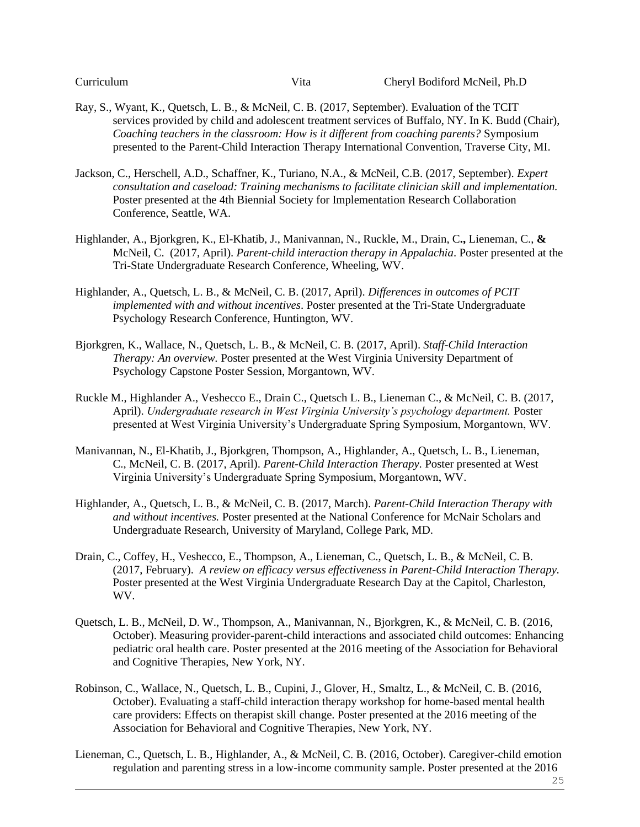- Ray, S., Wyant, K., Quetsch, L. B., & McNeil, C. B. (2017, September). Evaluation of the TCIT services provided by child and adolescent treatment services of Buffalo, NY. In K. Budd (Chair), *Coaching teachers in the classroom: How is it different from coaching parents?* Symposium presented to the Parent-Child Interaction Therapy International Convention, Traverse City, MI.
- Jackson, C., Herschell, A.D., Schaffner, K., Turiano, N.A., & McNeil, C.B. (2017, September). *Expert consultation and caseload: Training mechanisms to facilitate clinician skill and implementation.* Poster presented at the 4th Biennial Society for Implementation Research Collaboration Conference, Seattle, WA.
- Highlander, A., Bjorkgren, K., El-Khatib, J., Manivannan, N., Ruckle, M., Drain, C**.,** Lieneman, C., **&** McNeil, C. (2017, April). *Parent-child interaction therapy in Appalachia*. Poster presented at the Tri-State Undergraduate Research Conference, Wheeling, WV.
- Highlander, A., Quetsch, L. B., & McNeil, C. B. (2017, April). *Differences in outcomes of PCIT implemented with and without incentives*. Poster presented at the Tri-State Undergraduate Psychology Research Conference, Huntington, WV.
- Bjorkgren, K., Wallace, N., Quetsch, L. B., & McNeil, C. B. (2017, April). *Staff-Child Interaction Therapy: An overview.* Poster presented at the West Virginia University Department of Psychology Capstone Poster Session, Morgantown, WV.
- Ruckle M., Highlander A., Veshecco E., Drain C., Quetsch L. B., Lieneman C., & McNeil, C. B. (2017, April). *Undergraduate research in West Virginia University's psychology department.* Poster presented at West Virginia University's Undergraduate Spring Symposium, Morgantown, WV.
- Manivannan, N., El-Khatib, J., Bjorkgren, Thompson, A., Highlander, A., Quetsch, L. B., Lieneman, C., McNeil, C. B. (2017, April). *Parent-Child Interaction Therapy.* Poster presented at West Virginia University's Undergraduate Spring Symposium, Morgantown, WV.
- Highlander, A., Quetsch, L. B., & McNeil, C. B. (2017, March). *Parent-Child Interaction Therapy with and without incentives.* Poster presented at the National Conference for McNair Scholars and Undergraduate Research, University of Maryland, College Park, MD.
- Drain, C., Coffey, H., Veshecco, E., Thompson, A., Lieneman, C., Quetsch, L. B., & McNeil, C. B. (2017, February). *A review on efficacy versus effectiveness in Parent-Child Interaction Therapy.* Poster presented at the West Virginia Undergraduate Research Day at the Capitol, Charleston, WV.
- Quetsch, L. B., McNeil, D. W., Thompson, A., Manivannan, N., Bjorkgren, K., & McNeil, C. B. (2016, October). Measuring provider-parent-child interactions and associated child outcomes: Enhancing pediatric oral health care. Poster presented at the 2016 meeting of the Association for Behavioral and Cognitive Therapies, New York, NY.
- Robinson, C., Wallace, N., Quetsch, L. B., Cupini, J., Glover, H., Smaltz, L., & McNeil, C. B. (2016, October). Evaluating a staff-child interaction therapy workshop for home-based mental health care providers: Effects on therapist skill change. Poster presented at the 2016 meeting of the Association for Behavioral and Cognitive Therapies, New York, NY.
- Lieneman, C., Quetsch, L. B., Highlander, A., & McNeil, C. B. (2016, October). Caregiver-child emotion regulation and parenting stress in a low-income community sample. Poster presented at the 2016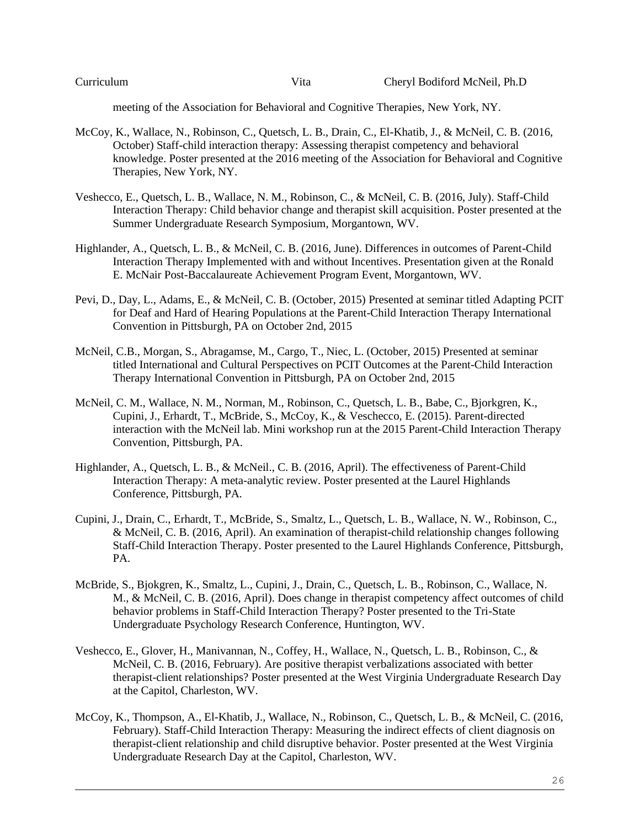meeting of the Association for Behavioral and Cognitive Therapies, New York, NY.

- McCoy, K., Wallace, N., Robinson, C., Quetsch, L. B., Drain, C., El-Khatib, J., & McNeil, C. B. (2016, October) Staff-child interaction therapy: Assessing therapist competency and behavioral knowledge. Poster presented at the 2016 meeting of the Association for Behavioral and Cognitive Therapies, New York, NY.
- Veshecco, E., Quetsch, L. B., Wallace, N. M., Robinson, C., & McNeil, C. B. (2016, July). Staff-Child Interaction Therapy: Child behavior change and therapist skill acquisition. Poster presented at the Summer Undergraduate Research Symposium, Morgantown, WV.
- Highlander, A., Quetsch, L. B., & McNeil, C. B. (2016, June). Differences in outcomes of Parent-Child Interaction Therapy Implemented with and without Incentives. Presentation given at the Ronald E. McNair Post-Baccalaureate Achievement Program Event, Morgantown, WV.
- Pevi, D., Day, L., Adams, E., & McNeil, C. B. (October, 2015) Presented at seminar titled Adapting PCIT for Deaf and Hard of Hearing Populations at the Parent-Child Interaction Therapy International Convention in Pittsburgh, PA on October 2nd, 2015
- McNeil, C.B., Morgan, S., Abragamse, M., Cargo, T., Niec, L. (October, 2015) Presented at seminar titled International and Cultural Perspectives on PCIT Outcomes at the Parent-Child Interaction Therapy International Convention in Pittsburgh, PA on October 2nd, 2015
- McNeil, C. M., Wallace, N. M., Norman, M., Robinson, C., Quetsch, L. B., Babe, C., Bjorkgren, K., Cupini, J., Erhardt, T., McBride, S., McCoy, K., & Veschecco, E. (2015). Parent-directed interaction with the McNeil lab. Mini workshop run at the 2015 Parent-Child Interaction Therapy Convention, Pittsburgh, PA.
- Highlander, A., Quetsch, L. B., & McNeil., C. B. (2016, April). The effectiveness of Parent-Child Interaction Therapy: A meta-analytic review. Poster presented at the Laurel Highlands Conference, Pittsburgh, PA.
- Cupini, J., Drain, C., Erhardt, T., McBride, S., Smaltz, L., Quetsch, L. B., Wallace, N. W., Robinson, C., & McNeil, C. B. (2016, April). An examination of therapist-child relationship changes following Staff-Child Interaction Therapy. Poster presented to the Laurel Highlands Conference, Pittsburgh, PA.
- McBride, S., Bjokgren, K., Smaltz, L., Cupini, J., Drain, C., Quetsch, L. B., Robinson, C., Wallace, N. M., & McNeil, C. B. (2016, April). Does change in therapist competency affect outcomes of child behavior problems in Staff-Child Interaction Therapy? Poster presented to the Tri-State Undergraduate Psychology Research Conference, Huntington, WV.
- Veshecco, E., Glover, H., Manivannan, N., Coffey, H., Wallace, N., Quetsch, L. B., Robinson, C., & McNeil, C. B. (2016, February). Are positive therapist verbalizations associated with better therapist-client relationships? Poster presented at the West Virginia Undergraduate Research Day at the Capitol, Charleston, WV.
- McCoy, K., Thompson, A., El-Khatib, J., Wallace, N., Robinson, C., Quetsch, L. B., & McNeil, C. (2016, February). Staff-Child Interaction Therapy: Measuring the indirect effects of client diagnosis on therapist-client relationship and child disruptive behavior. Poster presented at the West Virginia Undergraduate Research Day at the Capitol, Charleston, WV.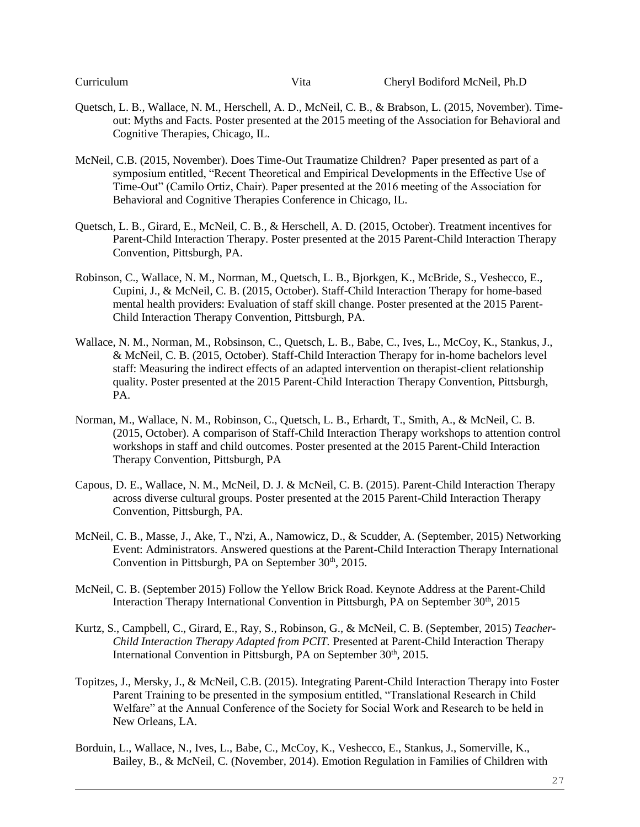- Quetsch, L. B., Wallace, N. M., Herschell, A. D., McNeil, C. B., & Brabson, L. (2015, November). Timeout: Myths and Facts. Poster presented at the 2015 meeting of the Association for Behavioral and Cognitive Therapies, Chicago, IL.
- McNeil, C.B. (2015, November). Does Time-Out Traumatize Children? Paper presented as part of a symposium entitled, "Recent Theoretical and Empirical Developments in the Effective Use of Time-Out" (Camilo Ortiz, Chair). Paper presented at the 2016 meeting of the Association for Behavioral and Cognitive Therapies Conference in Chicago, IL.
- Quetsch, L. B., Girard, E., McNeil, C. B., & Herschell, A. D. (2015, October). Treatment incentives for Parent-Child Interaction Therapy. Poster presented at the 2015 Parent-Child Interaction Therapy Convention, Pittsburgh, PA.
- Robinson, C., Wallace, N. M., Norman, M., Quetsch, L. B., Bjorkgen, K., McBride, S., Veshecco, E., Cupini, J., & McNeil, C. B. (2015, October). Staff-Child Interaction Therapy for home-based mental health providers: Evaluation of staff skill change. Poster presented at the 2015 Parent-Child Interaction Therapy Convention, Pittsburgh, PA.
- Wallace, N. M., Norman, M., Robsinson, C., Quetsch, L. B., Babe, C., Ives, L., McCoy, K., Stankus, J., & McNeil, C. B. (2015, October). Staff-Child Interaction Therapy for in-home bachelors level staff: Measuring the indirect effects of an adapted intervention on therapist-client relationship quality. Poster presented at the 2015 Parent-Child Interaction Therapy Convention, Pittsburgh, PA.
- Norman, M., Wallace, N. M., Robinson, C., Quetsch, L. B., Erhardt, T., Smith, A., & McNeil, C. B. (2015, October). A comparison of Staff-Child Interaction Therapy workshops to attention control workshops in staff and child outcomes. Poster presented at the 2015 Parent-Child Interaction Therapy Convention, Pittsburgh, PA
- Capous, D. E., Wallace, N. M., McNeil, D. J. & McNeil, C. B. (2015). Parent-Child Interaction Therapy across diverse cultural groups. Poster presented at the 2015 Parent-Child Interaction Therapy Convention, Pittsburgh, PA.
- McNeil, C. B., Masse, J., Ake, T., N'zi, A., Namowicz, D., & Scudder, A. (September, 2015) Networking Event: Administrators. Answered questions at the Parent-Child Interaction Therapy International Convention in Pittsburgh, PA on September  $30<sup>th</sup>$ , 2015.
- McNeil, C. B. (September 2015) Follow the Yellow Brick Road. Keynote Address at the Parent-Child Interaction Therapy International Convention in Pittsburgh, PA on September 30<sup>th</sup>, 2015
- Kurtz, S., Campbell, C., Girard, E., Ray, S., Robinson, G., & McNeil, C. B. (September, 2015) *Teacher-Child Interaction Therapy Adapted from PCIT.* Presented at Parent-Child Interaction Therapy International Convention in Pittsburgh, PA on September 30<sup>th</sup>, 2015.
- Topitzes, J., Mersky, J., & McNeil, C.B. (2015). Integrating Parent-Child Interaction Therapy into Foster Parent Training to be presented in the symposium entitled, "Translational Research in Child Welfare" at the Annual Conference of the Society for Social Work and Research to be held in New Orleans, LA.
- Borduin, L., Wallace, N., Ives, L., Babe, C., McCoy, K., Veshecco, E., Stankus, J., Somerville, K., Bailey, B., & McNeil, C. (November, 2014). Emotion Regulation in Families of Children with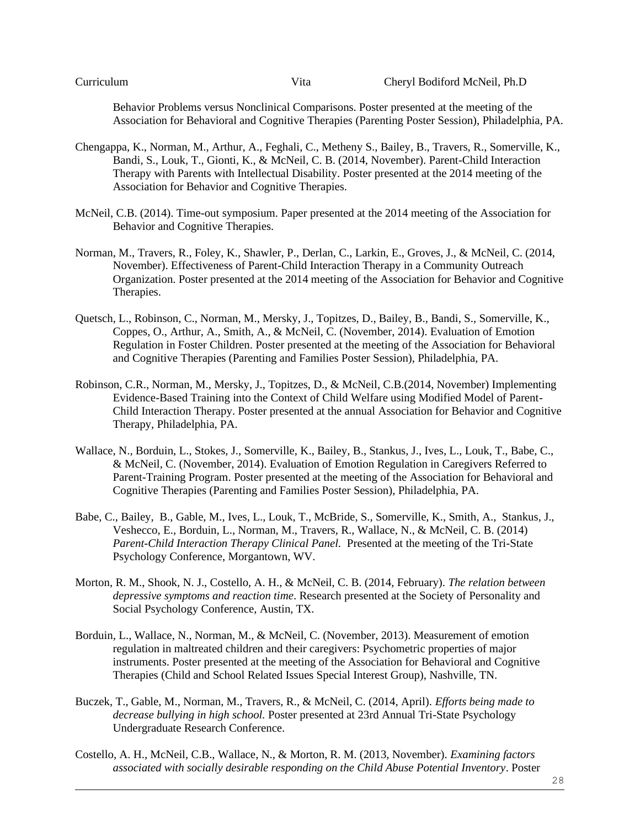Behavior Problems versus Nonclinical Comparisons. Poster presented at the meeting of the Association for Behavioral and Cognitive Therapies (Parenting Poster Session), Philadelphia, PA.

- Chengappa, K., Norman, M., Arthur, A., Feghali, C., Metheny S., Bailey, B., Travers, R., Somerville, K., Bandi, S., Louk, T., Gionti, K., & McNeil, C. B. (2014, November). Parent-Child Interaction Therapy with Parents with Intellectual Disability. Poster presented at the 2014 meeting of the Association for Behavior and Cognitive Therapies.
- McNeil, C.B. (2014). Time-out symposium. Paper presented at the 2014 meeting of the Association for Behavior and Cognitive Therapies.
- Norman, M., Travers, R., Foley, K., Shawler, P., Derlan, C., Larkin, E., Groves, J., & McNeil, C. (2014, November). Effectiveness of Parent-Child Interaction Therapy in a Community Outreach Organization. Poster presented at the 2014 meeting of the Association for Behavior and Cognitive Therapies.
- Quetsch, L., Robinson, C., Norman, M., Mersky, J., Topitzes, D., Bailey, B., Bandi, S., Somerville, K., Coppes, O., Arthur, A., Smith, A., & McNeil, C. (November, 2014). Evaluation of Emotion Regulation in Foster Children. Poster presented at the meeting of the Association for Behavioral and Cognitive Therapies (Parenting and Families Poster Session), Philadelphia, PA.
- Robinson, C.R., Norman, M., Mersky, J., Topitzes, D., & McNeil, C.B.(2014, November) Implementing Evidence-Based Training into the Context of Child Welfare using Modified Model of Parent-Child Interaction Therapy. Poster presented at the annual Association for Behavior and Cognitive Therapy, Philadelphia, PA.
- Wallace, N., Borduin, L., Stokes, J., Somerville, K., Bailey, B., Stankus, J., Ives, L., Louk, T., Babe, C., & McNeil, C. (November, 2014). Evaluation of Emotion Regulation in Caregivers Referred to Parent-Training Program. Poster presented at the meeting of the Association for Behavioral and Cognitive Therapies (Parenting and Families Poster Session), Philadelphia, PA.
- Babe, C., Bailey, B., Gable, M., Ives, L., Louk, T., McBride, S., Somerville, K., Smith, A., Stankus, J., Veshecco, E., Borduin, L., Norman, M., Travers, R., Wallace, N., & McNeil, C. B. (2014) *Parent-Child Interaction Therapy Clinical Panel.* Presented at the meeting of the Tri-State Psychology Conference, Morgantown, WV.
- Morton, R. M., Shook, N. J., Costello, A. H., & McNeil, C. B. (2014, February). *The relation between depressive symptoms and reaction time*. Research presented at the Society of Personality and Social Psychology Conference, Austin, TX.
- Borduin, L., Wallace, N., Norman, M., & McNeil, C. (November, 2013). Measurement of emotion regulation in maltreated children and their caregivers: Psychometric properties of major instruments. Poster presented at the meeting of the Association for Behavioral and Cognitive Therapies (Child and School Related Issues Special Interest Group), Nashville, TN.
- Buczek, T., Gable, M., Norman, M., Travers, R., & McNeil, C. (2014, April). *Efforts being made to decrease bullying in high school.* Poster presented at 23rd Annual Tri-State Psychology Undergraduate Research Conference.
- Costello, A. H., McNeil, C.B., Wallace, N., & Morton, R. M. (2013, November). *Examining factors associated with socially desirable responding on the Child Abuse Potential Inventory*. Poster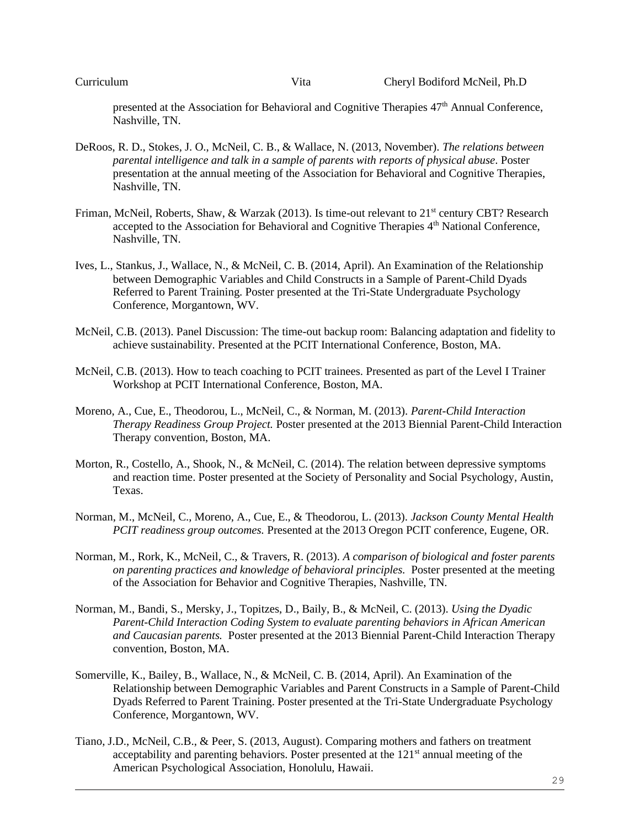presented at the Association for Behavioral and Cognitive Therapies 47th Annual Conference, Nashville, TN.

- DeRoos, R. D., Stokes, J. O., McNeil, C. B., & Wallace, N. (2013, November). *The relations between parental intelligence and talk in a sample of parents with reports of physical abuse*. Poster presentation at the annual meeting of the Association for Behavioral and Cognitive Therapies, Nashville, TN.
- Friman, McNeil, Roberts, Shaw, & Warzak (2013). Is time-out relevant to 21<sup>st</sup> century CBT? Research accepted to the Association for Behavioral and Cognitive Therapies 4<sup>th</sup> National Conference, Nashville, TN.
- Ives, L., Stankus, J., Wallace, N., & McNeil, C. B. (2014, April). An Examination of the Relationship between Demographic Variables and Child Constructs in a Sample of Parent-Child Dyads Referred to Parent Training. Poster presented at the Tri-State Undergraduate Psychology Conference, Morgantown, WV.
- McNeil, C.B. (2013). Panel Discussion: The time-out backup room: Balancing adaptation and fidelity to achieve sustainability. Presented at the PCIT International Conference, Boston, MA.
- McNeil, C.B. (2013). How to teach coaching to PCIT trainees. Presented as part of the Level I Trainer Workshop at PCIT International Conference, Boston, MA.
- Moreno, A., Cue, E., Theodorou, L., McNeil, C., & Norman, M. (2013). *Parent-Child Interaction Therapy Readiness Group Project.* Poster presented at the 2013 Biennial Parent-Child Interaction Therapy convention, Boston, MA.
- Morton, R., Costello, A., Shook, N., & McNeil, C. (2014). The relation between depressive symptoms and reaction time. Poster presented at the Society of Personality and Social Psychology, Austin, Texas.
- Norman, M., McNeil, C., Moreno, A., Cue, E., & Theodorou, L. (2013). *Jackson County Mental Health PCIT readiness group outcomes.* Presented at the 2013 Oregon PCIT conference, Eugene, OR.
- Norman, M., Rork, K., McNeil, C., & Travers, R. (2013). *A comparison of biological and foster parents on parenting practices and knowledge of behavioral principles.* Poster presented at the meeting of the Association for Behavior and Cognitive Therapies, Nashville, TN.
- Norman, M., Bandi, S., Mersky, J., Topitzes, D., Baily, B., & McNeil, C. (2013). *Using the Dyadic Parent-Child Interaction Coding System to evaluate parenting behaviors in African American and Caucasian parents.* Poster presented at the 2013 Biennial Parent-Child Interaction Therapy convention, Boston, MA.
- Somerville, K., Bailey, B., Wallace, N., & McNeil, C. B. (2014, April). An Examination of the Relationship between Demographic Variables and Parent Constructs in a Sample of Parent-Child Dyads Referred to Parent Training. Poster presented at the Tri-State Undergraduate Psychology Conference, Morgantown, WV.
- Tiano, J.D., McNeil, C.B., & Peer, S. (2013, August). Comparing mothers and fathers on treatment acceptability and parenting behaviors. Poster presented at the  $121<sup>st</sup>$  annual meeting of the American Psychological Association, Honolulu, Hawaii.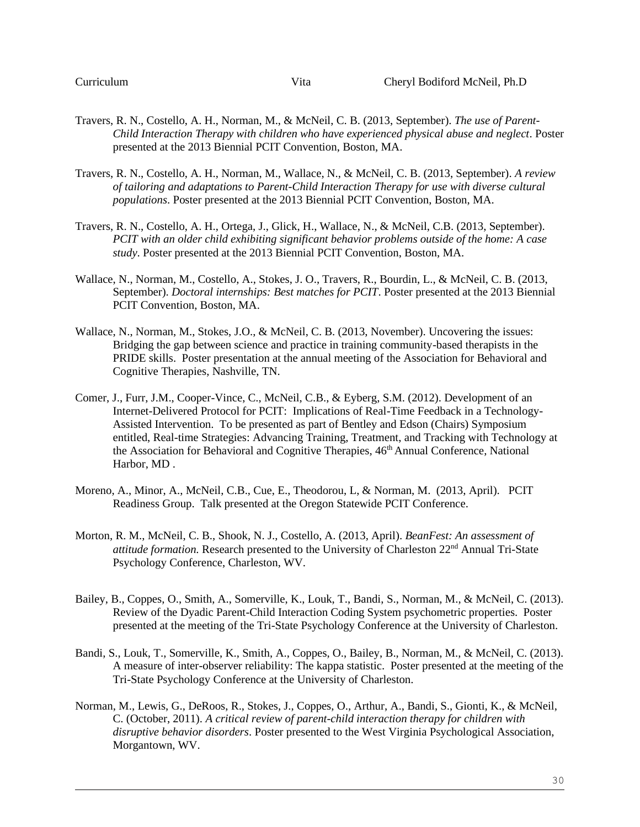- Travers, R. N., Costello, A. H., Norman, M., & McNeil, C. B. (2013, September). *The use of Parent-Child Interaction Therapy with children who have experienced physical abuse and neglect*. Poster presented at the 2013 Biennial PCIT Convention, Boston, MA.
- Travers, R. N., Costello, A. H., Norman, M., Wallace, N., & McNeil, C. B. (2013, September). *A review of tailoring and adaptations to Parent-Child Interaction Therapy for use with diverse cultural populations*. Poster presented at the 2013 Biennial PCIT Convention, Boston, MA.
- Travers, R. N., Costello, A. H., Ortega, J., Glick, H., Wallace, N., & McNeil, C.B. (2013, September). *PCIT with an older child exhibiting significant behavior problems outside of the home: A case study*. Poster presented at the 2013 Biennial PCIT Convention, Boston, MA.
- Wallace, N., Norman, M., Costello, A., Stokes, J. O., Travers, R., Bourdin, L., & McNeil, C. B. (2013, September). *Doctoral internships: Best matches for PCIT*. Poster presented at the 2013 Biennial PCIT Convention, Boston, MA.
- Wallace, N., Norman, M., Stokes, J.O., & McNeil, C. B. (2013, November). Uncovering the issues: Bridging the gap between science and practice in training community-based therapists in the PRIDE skills. Poster presentation at the annual meeting of the Association for Behavioral and Cognitive Therapies, Nashville, TN.
- Comer, J., Furr, J.M., Cooper-Vince, C., McNeil, C.B., & Eyberg, S.M. (2012). Development of an Internet-Delivered Protocol for PCIT: Implications of Real-Time Feedback in a Technology-Assisted Intervention. To be presented as part of Bentley and Edson (Chairs) Symposium entitled, Real-time Strategies: Advancing Training, Treatment, and Tracking with Technology at the Association for Behavioral and Cognitive Therapies,  $46<sup>th</sup>$  Annual Conference, National Harbor, MD .
- Moreno, A., Minor, A., McNeil, C.B., Cue, E., Theodorou, L, & Norman, M. (2013, April). PCIT Readiness Group. Talk presented at the Oregon Statewide PCIT Conference.
- Morton, R. M., McNeil, C. B., Shook, N. J., Costello, A. (2013, April). *BeanFest: An assessment of attitude formation.* Research presented to the University of Charleston 22nd Annual Tri-State Psychology Conference, Charleston, WV.
- Bailey, B., Coppes, O., Smith, A., Somerville, K., Louk, T., Bandi, S., Norman, M., & McNeil, C. (2013). Review of the Dyadic Parent-Child Interaction Coding System psychometric properties. Poster presented at the meeting of the Tri-State Psychology Conference at the University of Charleston.
- Bandi, S., Louk, T., Somerville, K., Smith, A., Coppes, O., Bailey, B., Norman, M., & McNeil, C. (2013). A measure of inter-observer reliability: The kappa statistic. Poster presented at the meeting of the Tri-State Psychology Conference at the University of Charleston.
- Norman, M., Lewis, G., DeRoos, R., Stokes, J., Coppes, O., Arthur, A., Bandi, S., Gionti, K., & McNeil, C. (October, 2011). *A critical review of parent-child interaction therapy for children with disruptive behavior disorders*. Poster presented to the West Virginia Psychological Association, Morgantown, WV.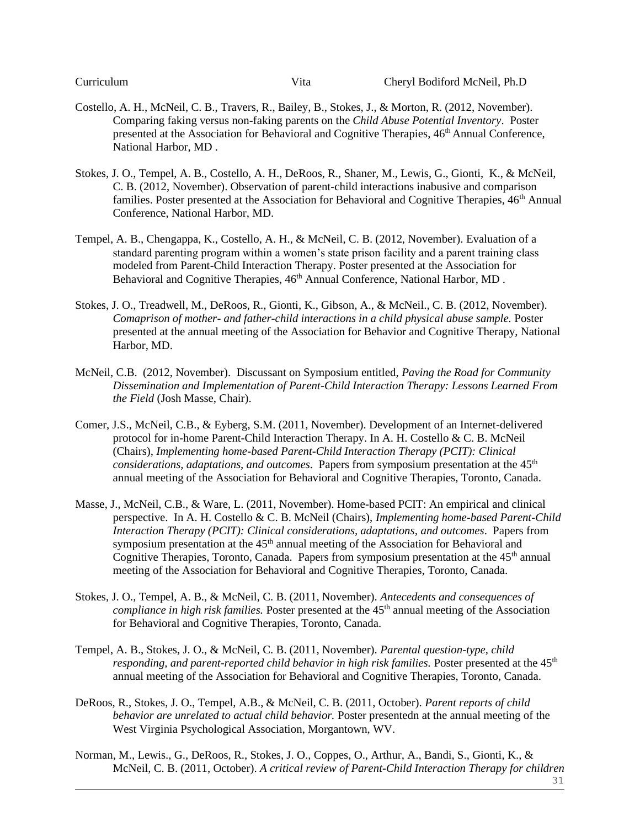- Costello, A. H., McNeil, C. B., Travers, R., Bailey, B., Stokes, J., & Morton, R. (2012, November). Comparing faking versus non-faking parents on the *Child Abuse Potential Inventory*. Poster presented at the Association for Behavioral and Cognitive Therapies, 46<sup>th</sup> Annual Conference, National Harbor, MD .
- Stokes, J. O., Tempel, A. B., Costello, A. H., DeRoos, R., Shaner, M., Lewis, G., Gionti, K., & McNeil, C. B. (2012, November). Observation of parent-child interactions inabusive and comparison families. Poster presented at the Association for Behavioral and Cognitive Therapies,  $46<sup>th</sup>$  Annual Conference, National Harbor, MD.
- Tempel, A. B., Chengappa, K., Costello, A. H., & McNeil, C. B. (2012, November). Evaluation of a standard parenting program within a women's state prison facility and a parent training class modeled from Parent-Child Interaction Therapy. Poster presented at the Association for Behavioral and Cognitive Therapies,  $46<sup>th</sup>$  Annual Conference, National Harbor, MD.
- Stokes, J. O., Treadwell, M., DeRoos, R., Gionti, K., Gibson, A., & McNeil., C. B. (2012, November). *Comaprison of mother- and father-child interactions in a child physical abuse sample.* Poster presented at the annual meeting of the Association for Behavior and Cognitive Therapy, National Harbor, MD.
- McNeil, C.B. (2012, November). Discussant on Symposium entitled, *Paving the Road for Community Dissemination and Implementation of Parent-Child Interaction Therapy: Lessons Learned From the Field* (Josh Masse, Chair).
- Comer, J.S., McNeil, C.B., & Eyberg, S.M. (2011, November). Development of an Internet-delivered protocol for in-home Parent-Child Interaction Therapy. In A. H. Costello & C. B. McNeil (Chairs), *Implementing home-based Parent-Child Interaction Therapy (PCIT): Clinical considerations, adaptations, and outcomes.* Papers from symposium presentation at the 45<sup>th</sup> annual meeting of the Association for Behavioral and Cognitive Therapies, Toronto, Canada.
- Masse, J., McNeil, C.B., & Ware, L. (2011, November). Home-based PCIT: An empirical and clinical perspective. In A. H. Costello & C. B. McNeil (Chairs), *Implementing home-based Parent-Child Interaction Therapy (PCIT): Clinical considerations, adaptations, and outcomes*. Papers from symposium presentation at the  $45<sup>th</sup>$  annual meeting of the Association for Behavioral and Cognitive Therapies, Toronto, Canada. Papers from symposium presentation at the  $45<sup>th</sup>$  annual meeting of the Association for Behavioral and Cognitive Therapies, Toronto, Canada.
- Stokes, J. O., Tempel, A. B., & McNeil, C. B. (2011, November). *Antecedents and consequences of compliance in high risk families.* Poster presented at the 45<sup>th</sup> annual meeting of the Association for Behavioral and Cognitive Therapies, Toronto, Canada.
- Tempel, A. B., Stokes, J. O., & McNeil, C. B. (2011, November). *Parental question-type, child*  responding, and parent-reported child behavior in high risk families. Poster presented at the 45<sup>th</sup> annual meeting of the Association for Behavioral and Cognitive Therapies, Toronto, Canada.
- DeRoos, R., Stokes, J. O., Tempel, A.B., & McNeil, C. B. (2011, October). *Parent reports of child behavior are unrelated to actual child behavior.* Poster presentedn at the annual meeting of the West Virginia Psychological Association, Morgantown, WV.
- Norman, M., Lewis., G., DeRoos, R., Stokes, J. O., Coppes, O., Arthur, A., Bandi, S., Gionti, K., & McNeil, C. B. (2011, October). *A critical review of Parent-Child Interaction Therapy for children*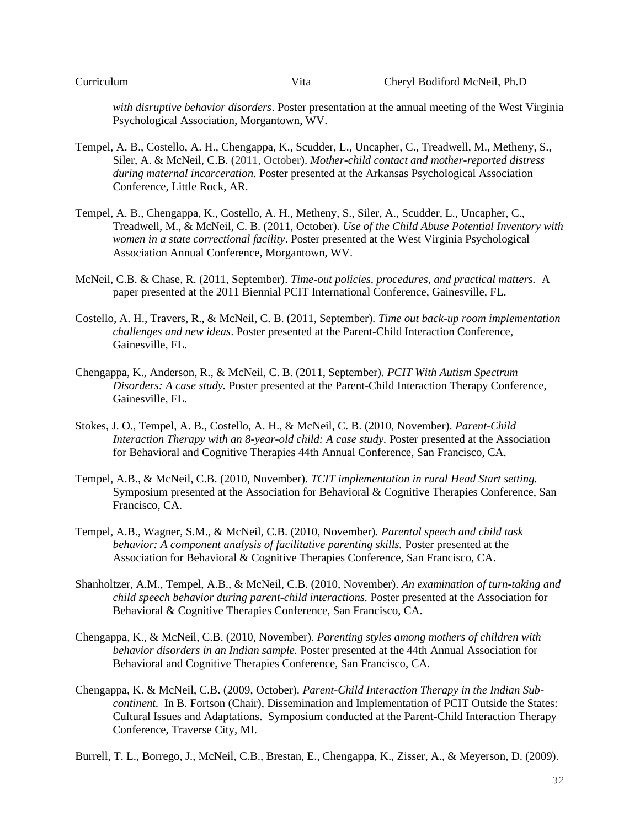*with disruptive behavior disorders*. Poster presentation at the annual meeting of the West Virginia Psychological Association, Morgantown, WV.

- Tempel, A. B., Costello, A. H., Chengappa, K., Scudder, L., Uncapher, C., Treadwell, M., Metheny, S., Siler, A. & McNeil, C.B. (2011, October). *Mother-child contact and mother-reported distress during maternal incarceration.* Poster presented at the Arkansas Psychological Association Conference, Little Rock, AR.
- Tempel, A. B., Chengappa, K., Costello, A. H., Metheny, S., Siler, A., Scudder, L., Uncapher, C., Treadwell, M., & McNeil, C. B. (2011, October). *Use of the Child Abuse Potential Inventory with women in a state correctional facility*. Poster presented at the West Virginia Psychological Association Annual Conference, Morgantown, WV.
- McNeil, C.B. & Chase, R. (2011, September). *Time-out policies, procedures, and practical matters.* A paper presented at the 2011 Biennial PCIT International Conference, Gainesville, FL.
- Costello, A. H., Travers, R., & McNeil, C. B. (2011, September). *Time out back-up room implementation challenges and new ideas*. Poster presented at the Parent-Child Interaction Conference, Gainesville, FL.
- Chengappa, K., Anderson, R., & McNeil, C. B. (2011, September). *PCIT With Autism Spectrum Disorders: A case study.* Poster presented at the Parent-Child Interaction Therapy Conference, Gainesville, FL.
- Stokes, J. O., Tempel, A. B., Costello, A. H., & McNeil, C. B. (2010, November). *Parent-Child Interaction Therapy with an 8-year-old child: A case study.* Poster presented at the Association for Behavioral and Cognitive Therapies 44th Annual Conference, San Francisco, CA.
- Tempel, A.B., & McNeil, C.B. (2010, November). *TCIT implementation in rural Head Start setting.* Symposium presented at the Association for Behavioral & Cognitive Therapies Conference, San Francisco, CA.
- Tempel, A.B., Wagner, S.M., & McNeil, C.B. (2010, November). *Parental speech and child task behavior: A component analysis of facilitative parenting skills.* Poster presented at the Association for Behavioral & Cognitive Therapies Conference, San Francisco, CA.
- Shanholtzer, A.M., Tempel, A.B., & McNeil, C.B. (2010, November). *An examination of turn-taking and child speech behavior during parent-child interactions.* Poster presented at the Association for Behavioral & Cognitive Therapies Conference, San Francisco, CA.
- Chengappa, K., & McNeil, C.B. (2010, November). *Parenting styles among mothers of children with behavior disorders in an Indian sample.* Poster presented at the 44th Annual Association for Behavioral and Cognitive Therapies Conference, San Francisco, CA.
- Chengappa, K. & McNeil, C.B. (2009, October). *Parent-Child Interaction Therapy in the Indian Subcontinent.* In B. Fortson (Chair), Dissemination and Implementation of PCIT Outside the States: Cultural Issues and Adaptations. Symposium conducted at the Parent-Child Interaction Therapy Conference, Traverse City, MI.

Burrell, T. L., Borrego, J., McNeil, C.B., Brestan, E., Chengappa, K., Zisser, A., & Meyerson, D. (2009).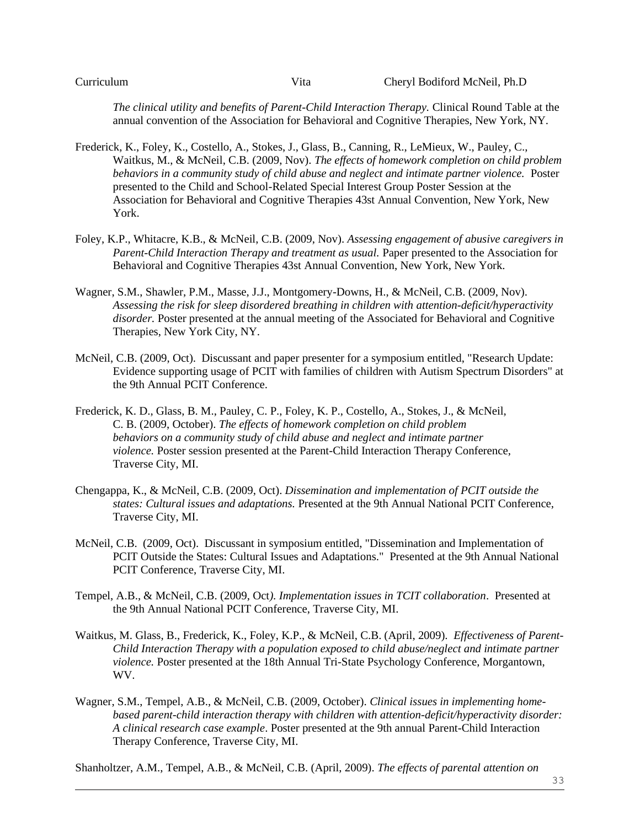*The clinical utility and benefits of Parent-Child Interaction Therapy.* Clinical Round Table at the annual convention of the Association for Behavioral and Cognitive Therapies, New York, NY.

- Frederick, K., Foley, K., Costello, A., Stokes, J., Glass, B., Canning, R., LeMieux, W., Pauley, C., Waitkus, M., & McNeil, C.B. (2009, Nov). *The effects of homework completion on child problem behaviors in a community study of child abuse and neglect and intimate partner violence.* Poster presented to the Child and School-Related Special Interest Group Poster Session at the Association for Behavioral and Cognitive Therapies 43st Annual Convention, New York, New York.
- Foley, K.P., Whitacre, K.B., & McNeil, C.B. (2009, Nov). *Assessing engagement of abusive caregivers in Parent-Child Interaction Therapy and treatment as usual.* Paper presented to the Association for Behavioral and Cognitive Therapies 43st Annual Convention, New York, New York.
- Wagner, S.M., Shawler, P.M., Masse, J.J., Montgomery-Downs, H., & McNeil, C.B. (2009, Nov). *Assessing the risk for sleep disordered breathing in children with attention-deficit/hyperactivity disorder.* Poster presented at the annual meeting of the Associated for Behavioral and Cognitive Therapies, New York City, NY.
- McNeil, C.B. (2009, Oct). Discussant and paper presenter for a symposium entitled, "Research Update: Evidence supporting usage of PCIT with families of children with Autism Spectrum Disorders" at the 9th Annual PCIT Conference.
- Frederick, K. D., Glass, B. M., Pauley, C. P., Foley, K. P., Costello, A., Stokes, J., & McNeil, C. B. (2009, October). *The effects of homework completion on child problem behaviors on a community study of child abuse and neglect and intimate partner violence.* Poster session presented at the Parent-Child Interaction Therapy Conference, Traverse City, MI.
- Chengappa, K., & McNeil, C.B. (2009, Oct). *Dissemination and implementation of PCIT outside the states: Cultural issues and adaptations.* Presented at the 9th Annual National PCIT Conference, Traverse City, MI.
- McNeil, C.B. (2009, Oct). Discussant in symposium entitled, "Dissemination and Implementation of PCIT Outside the States: Cultural Issues and Adaptations." Presented at the 9th Annual National PCIT Conference, Traverse City, MI.
- Tempel, A.B., & McNeil, C.B. (2009, Oct*). Implementation issues in TCIT collaboration*. Presented at the 9th Annual National PCIT Conference, Traverse City, MI.
- Waitkus, M. Glass, B., Frederick, K., Foley, K.P., & McNeil, C.B. (April, 2009). *Effectiveness of Parent-Child Interaction Therapy with a population exposed to child abuse/neglect and intimate partner violence.* Poster presented at the 18th Annual Tri-State Psychology Conference, Morgantown, WV.
- Wagner, S.M., Tempel, A.B., & McNeil, C.B. (2009, October). *Clinical issues in implementing homebased parent-child interaction therapy with children with attention-deficit/hyperactivity disorder: A clinical research case example*. Poster presented at the 9th annual Parent-Child Interaction Therapy Conference, Traverse City, MI.

Shanholtzer, A.M., Tempel, A.B., & McNeil, C.B. (April, 2009). *The effects of parental attention on*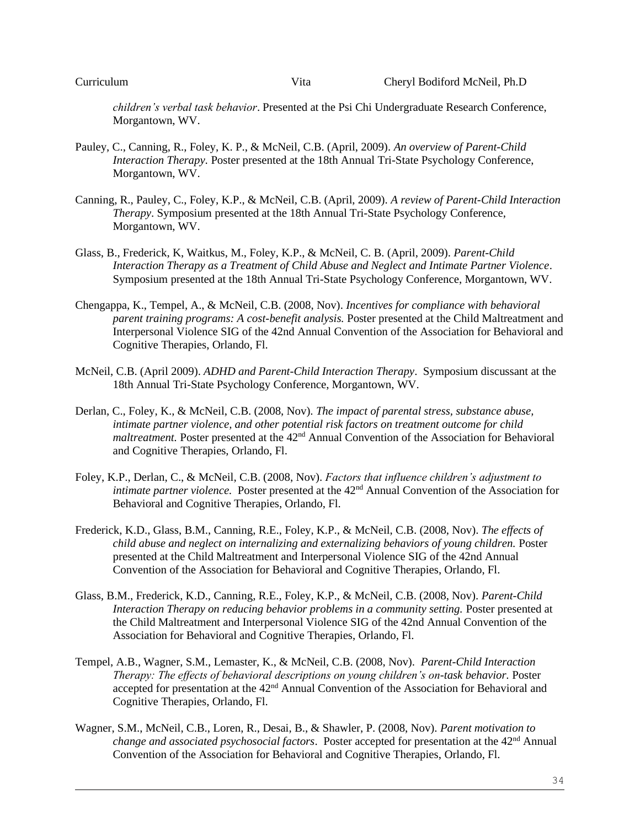*children's verbal task behavior*. Presented at the Psi Chi Undergraduate Research Conference, Morgantown, WV.

- Pauley, C., Canning, R., Foley, K. P., & McNeil, C.B. (April, 2009). *An overview of Parent-Child Interaction Therapy.* Poster presented at the 18th Annual Tri-State Psychology Conference, Morgantown, WV.
- Canning, R., Pauley, C., Foley, K.P., & McNeil, C.B. (April, 2009). *A review of Parent-Child Interaction Therapy*. Symposium presented at the 18th Annual Tri-State Psychology Conference, Morgantown, WV.
- Glass, B., Frederick, K, Waitkus, M., Foley, K.P., & McNeil, C. B. (April, 2009). *Parent-Child Interaction Therapy as a Treatment of Child Abuse and Neglect and Intimate Partner Violence*. Symposium presented at the 18th Annual Tri-State Psychology Conference, Morgantown, WV.
- Chengappa, K., Tempel, A., & McNeil, C.B. (2008, Nov). *Incentives for compliance with behavioral parent training programs: A cost-benefit analysis.* Poster presented at the Child Maltreatment and Interpersonal Violence SIG of the 42nd Annual Convention of the Association for Behavioral and Cognitive Therapies, Orlando, Fl.
- McNeil, C.B. (April 2009). *ADHD and Parent-Child Interaction Therapy*. Symposium discussant at the 18th Annual Tri-State Psychology Conference, Morgantown, WV.
- Derlan, C., Foley, K., & McNeil, C.B. (2008, Nov). *The impact of parental stress, substance abuse, intimate partner violence, and other potential risk factors on treatment outcome for child maltreatment.* Poster presented at the 42<sup>nd</sup> Annual Convention of the Association for Behavioral and Cognitive Therapies, Orlando, Fl.
- Foley, K.P., Derlan, C., & McNeil, C.B. (2008, Nov). *Factors that influence children's adjustment to intimate partner violence.* Poster presented at the 42<sup>nd</sup> Annual Convention of the Association for Behavioral and Cognitive Therapies, Orlando, Fl.
- Frederick, K.D., Glass, B.M., Canning, R.E., Foley, K.P., & McNeil, C.B. (2008, Nov). *The effects of child abuse and neglect on internalizing and externalizing behaviors of young children.* Poster presented at the Child Maltreatment and Interpersonal Violence SIG of the 42nd Annual Convention of the Association for Behavioral and Cognitive Therapies, Orlando, Fl.
- Glass, B.M., Frederick, K.D., Canning, R.E., Foley, K.P., & McNeil, C.B. (2008, Nov). *Parent-Child Interaction Therapy on reducing behavior problems in a community setting.* Poster presented at the Child Maltreatment and Interpersonal Violence SIG of the 42nd Annual Convention of the Association for Behavioral and Cognitive Therapies, Orlando, Fl.
- Tempel, A.B., Wagner, S.M., Lemaster, K., & McNeil, C.B. (2008, Nov). *Parent-Child Interaction Therapy: The effects of behavioral descriptions on young children's on-task behavior.* Poster accepted for presentation at the 42<sup>nd</sup> Annual Convention of the Association for Behavioral and Cognitive Therapies, Orlando, Fl.
- Wagner, S.M., McNeil, C.B., Loren, R., Desai, B., & Shawler, P. (2008, Nov). *Parent motivation to change and associated psychosocial factors.* Poster accepted for presentation at the 42<sup>nd</sup> Annual Convention of the Association for Behavioral and Cognitive Therapies, Orlando, Fl.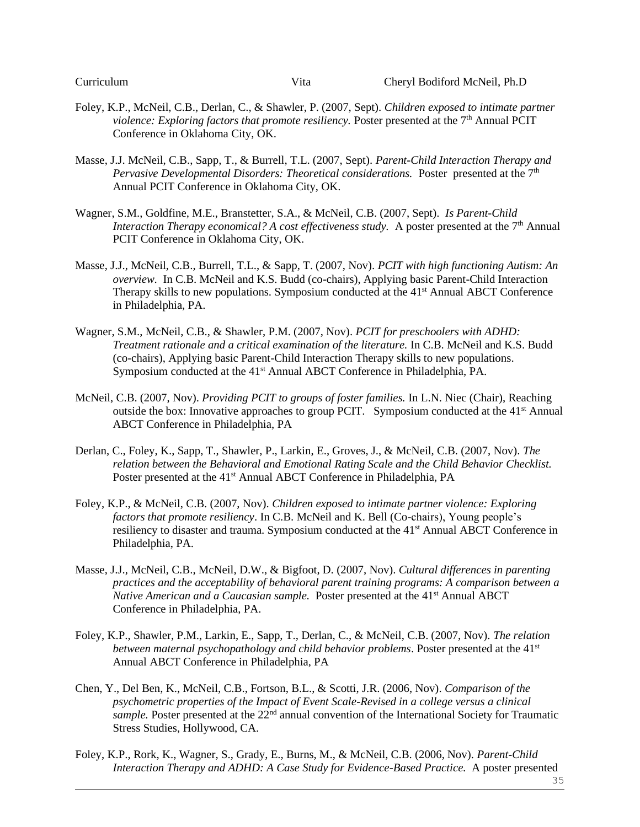- Foley, K.P., McNeil, C.B., Derlan, C., & Shawler, P. (2007, Sept). *Children exposed to intimate partner violence: Exploring factors that promote resiliency.* Poster presented at the 7<sup>th</sup> Annual PCIT Conference in Oklahoma City, OK.
- Masse, J.J. McNeil, C.B., Sapp, T., & Burrell, T.L. (2007, Sept). *Parent-Child Interaction Therapy and Pervasive Developmental Disorders: Theoretical considerations.* Poster presented at the 7<sup>th</sup> Annual PCIT Conference in Oklahoma City, OK.
- Wagner, S.M., Goldfine, M.E., Branstetter, S.A., & McNeil, C.B. (2007, Sept). *Is Parent-Child Interaction Therapy economical? A cost effectiveness study.* A poster presented at the 7<sup>th</sup> Annual PCIT Conference in Oklahoma City, OK.
- Masse, J.J., McNeil, C.B., Burrell, T.L., & Sapp, T. (2007, Nov). *PCIT with high functioning Autism: An overview.* In C.B. McNeil and K.S. Budd (co-chairs), Applying basic Parent-Child Interaction Therapy skills to new populations. Symposium conducted at the 41<sup>st</sup> Annual ABCT Conference in Philadelphia, PA.
- Wagner, S.M., McNeil, C.B., & Shawler, P.M. (2007, Nov). *PCIT for preschoolers with ADHD: Treatment rationale and a critical examination of the literature.* In C.B. McNeil and K.S. Budd (co-chairs), Applying basic Parent-Child Interaction Therapy skills to new populations. Symposium conducted at the 41<sup>st</sup> Annual ABCT Conference in Philadelphia, PA.
- McNeil, C.B. (2007, Nov). *Providing PCIT to groups of foster families.* In L.N. Niec (Chair), Reaching outside the box: Innovative approaches to group PCIT. Symposium conducted at the  $41<sup>st</sup>$  Annual ABCT Conference in Philadelphia, PA
- Derlan, C., Foley, K., Sapp, T., Shawler, P., Larkin, E., Groves, J., & McNeil, C.B. (2007, Nov). *The relation between the Behavioral and Emotional Rating Scale and the Child Behavior Checklist.* Poster presented at the 41<sup>st</sup> Annual ABCT Conference in Philadelphia, PA
- Foley, K.P., & McNeil, C.B. (2007, Nov). *Children exposed to intimate partner violence: Exploring factors that promote resiliency*. In C.B. McNeil and K. Bell (Co-chairs), Young people's resiliency to disaster and trauma. Symposium conducted at the 41st Annual ABCT Conference in Philadelphia, PA.
- Masse, J.J., McNeil, C.B., McNeil, D.W., & Bigfoot, D. (2007, Nov). *Cultural differences in parenting practices and the acceptability of behavioral parent training programs: A comparison between a Native American and a Caucasian sample.* Poster presented at the 41<sup>st</sup> Annual ABCT Conference in Philadelphia, PA.
- Foley, K.P., Shawler, P.M., Larkin, E., Sapp, T., Derlan, C., & McNeil, C.B. (2007, Nov). *The relation between maternal psychopathology and child behavior problems*. Poster presented at the 41st Annual ABCT Conference in Philadelphia, PA
- Chen, Y., Del Ben, K., McNeil, C.B., Fortson, B.L., & Scotti, J.R. (2006, Nov). *Comparison of the psychometric properties of the Impact of Event Scale-Revised in a college versus a clinical sample*. Poster presented at the 22<sup>nd</sup> annual convention of the International Society for Traumatic Stress Studies, Hollywood, CA.
- Foley, K.P., Rork, K., Wagner, S., Grady, E., Burns, M., & McNeil, C.B. (2006, Nov). *Parent-Child Interaction Therapy and ADHD: A Case Study for Evidence-Based Practice.* A poster presented

35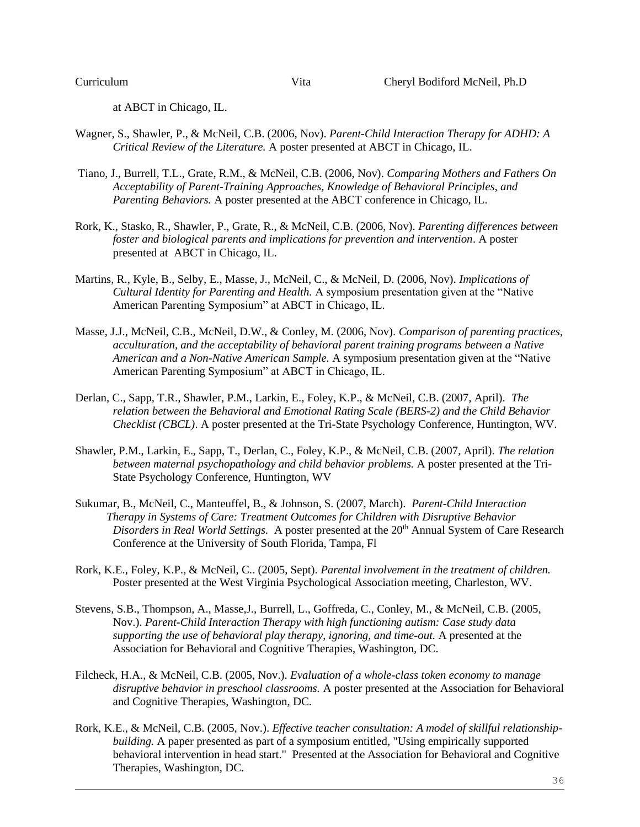at ABCT in Chicago, IL.

- Wagner, S., Shawler, P., & McNeil, C.B. (2006, Nov). *Parent-Child Interaction Therapy for ADHD: A Critical Review of the Literature.* A poster presented at ABCT in Chicago, IL.
- Tiano, J., Burrell, T.L., Grate, R.M., & McNeil, C.B. (2006, Nov). *Comparing Mothers and Fathers On Acceptability of Parent-Training Approaches, Knowledge of Behavioral Principles, and Parenting Behaviors.* A poster presented at the ABCT conference in Chicago, IL.
- Rork, K., Stasko, R., Shawler, P., Grate, R., & McNeil, C.B. (2006, Nov). *Parenting differences between foster and biological parents and implications for prevention and intervention*. A poster presented at ABCT in Chicago, IL.
- Martins, R., Kyle, B., Selby, E., Masse, J., McNeil, C., & McNeil, D. (2006, Nov). *Implications of Cultural Identity for Parenting and Health.* A symposium presentation given at the "Native American Parenting Symposium" at ABCT in Chicago, IL.
- Masse, J.J., McNeil, C.B., McNeil, D.W., & Conley, M. (2006, Nov). *Comparison of parenting practices, acculturation, and the acceptability of behavioral parent training programs between a Native American and a Non-Native American Sample.* A symposium presentation given at the "Native American Parenting Symposium" at ABCT in Chicago, IL.
- Derlan, C., Sapp, T.R., Shawler, P.M., Larkin, E., Foley, K.P., & McNeil, C.B. (2007, April). *The relation between the Behavioral and Emotional Rating Scale (BERS-2) and the Child Behavior Checklist (CBCL)*. A poster presented at the Tri-State Psychology Conference, Huntington, WV.
- Shawler, P.M., Larkin, E., Sapp, T., Derlan, C., Foley, K.P., & McNeil, C.B. (2007, April). *The relation between maternal psychopathology and child behavior problems.* A poster presented at the Tri-State Psychology Conference, Huntington, WV
- Sukumar, B., McNeil, C., Manteuffel, B., & Johnson, S. (2007, March). *Parent-Child Interaction Therapy in Systems of Care: Treatment Outcomes for Children with Disruptive Behavior Disorders in Real World Settings.* A poster presented at the 20<sup>th</sup> Annual System of Care Research Conference at the University of South Florida, Tampa, Fl
- Rork, K.E., Foley, K.P., & McNeil, C.. (2005, Sept). *Parental involvement in the treatment of children.* Poster presented at the West Virginia Psychological Association meeting, Charleston, WV.
- Stevens, S.B., Thompson, A., Masse,J., Burrell, L., Goffreda, C., Conley, M., & McNeil, C.B. (2005, Nov.). *Parent-Child Interaction Therapy with high functioning autism: Case study data supporting the use of behavioral play therapy, ignoring, and time-out.* A presented at the Association for Behavioral and Cognitive Therapies, Washington, DC.
- Filcheck, H.A., & McNeil, C.B. (2005, Nov.). *Evaluation of a whole-class token economy to manage disruptive behavior in preschool classrooms.* A poster presented at the Association for Behavioral and Cognitive Therapies, Washington, DC.
- Rork, K.E., & McNeil, C.B. (2005, Nov.). *Effective teacher consultation: A model of skillful relationshipbuilding.* A paper presented as part of a symposium entitled, "Using empirically supported behavioral intervention in head start." Presented at the Association for Behavioral and Cognitive Therapies, Washington, DC.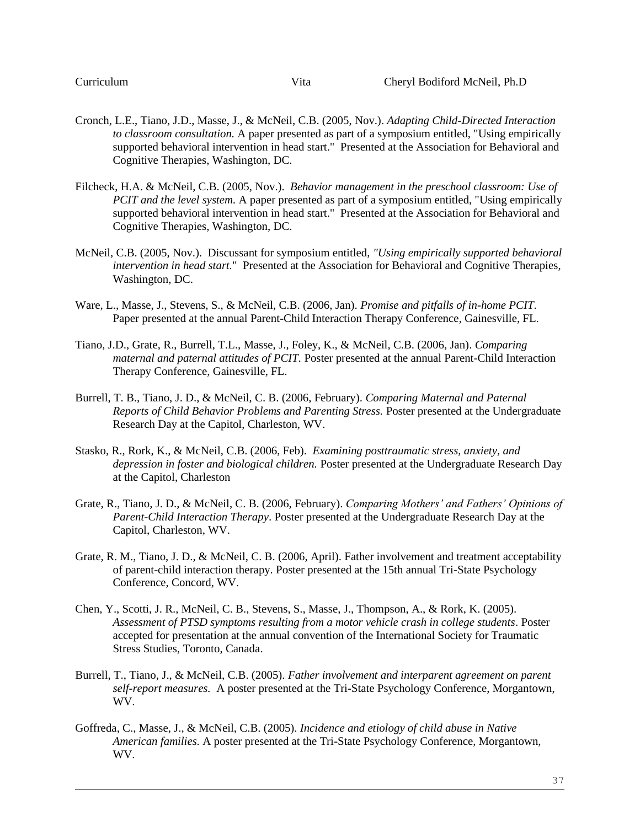- Cronch, L.E., Tiano, J.D., Masse, J., & McNeil, C.B. (2005, Nov.). *Adapting Child-Directed Interaction to classroom consultation.* A paper presented as part of a symposium entitled, "Using empirically supported behavioral intervention in head start." Presented at the Association for Behavioral and Cognitive Therapies, Washington, DC.
- Filcheck, H.A. & McNeil, C.B. (2005, Nov.). *Behavior management in the preschool classroom: Use of PCIT and the level system.* A paper presented as part of a symposium entitled, "Using empirically supported behavioral intervention in head start." Presented at the Association for Behavioral and Cognitive Therapies, Washington, DC.
- McNeil, C.B. (2005, Nov.). Discussant for symposium entitled, *"Using empirically supported behavioral intervention in head start.*" Presented at the Association for Behavioral and Cognitive Therapies, Washington, DC.
- Ware, L., Masse, J., Stevens, S., & McNeil, C.B. (2006, Jan). *Promise and pitfalls of in-home PCIT*. Paper presented at the annual Parent-Child Interaction Therapy Conference, Gainesville, FL.
- Tiano, J.D., Grate, R., Burrell, T.L., Masse, J., Foley, K., & McNeil, C.B. (2006, Jan). *Comparing maternal and paternal attitudes of PCIT.* Poster presented at the annual Parent-Child Interaction Therapy Conference, Gainesville, FL.
- Burrell, T. B., Tiano, J. D., & McNeil, C. B. (2006, February). *Comparing Maternal and Paternal Reports of Child Behavior Problems and Parenting Stress.* Poster presented at the Undergraduate Research Day at the Capitol, Charleston, WV.
- Stasko, R., Rork, K., & McNeil, C.B. (2006, Feb). *Examining posttraumatic stress, anxiety, and depression in foster and biological children.* Poster presented at the Undergraduate Research Day at the Capitol, Charleston
- Grate, R., Tiano, J. D., & McNeil, C. B. (2006, February). *Comparing Mothers' and Fathers' Opinions of Parent-Child Interaction Therapy*. Poster presented at the Undergraduate Research Day at the Capitol, Charleston, WV.
- Grate, R. M., Tiano, J. D., & McNeil, C. B. (2006, April). Father involvement and treatment acceptability of parent-child interaction therapy. Poster presented at the 15th annual Tri-State Psychology Conference, Concord, WV.
- Chen, Y., Scotti, J. R., McNeil, C. B., Stevens, S., Masse, J., Thompson, A., & Rork, K. (2005). *Assessment of PTSD symptoms resulting from a motor vehicle crash in college students*. Poster accepted for presentation at the annual convention of the International Society for Traumatic Stress Studies, Toronto, Canada.
- Burrell, T., Tiano, J., & McNeil, C.B. (2005). *Father involvement and interparent agreement on parent self-report measures.* A poster presented at the Tri-State Psychology Conference, Morgantown, WV.
- Goffreda, C., Masse, J., & McNeil, C.B. (2005). *Incidence and etiology of child abuse in Native American families.* A poster presented at the Tri-State Psychology Conference, Morgantown, WV.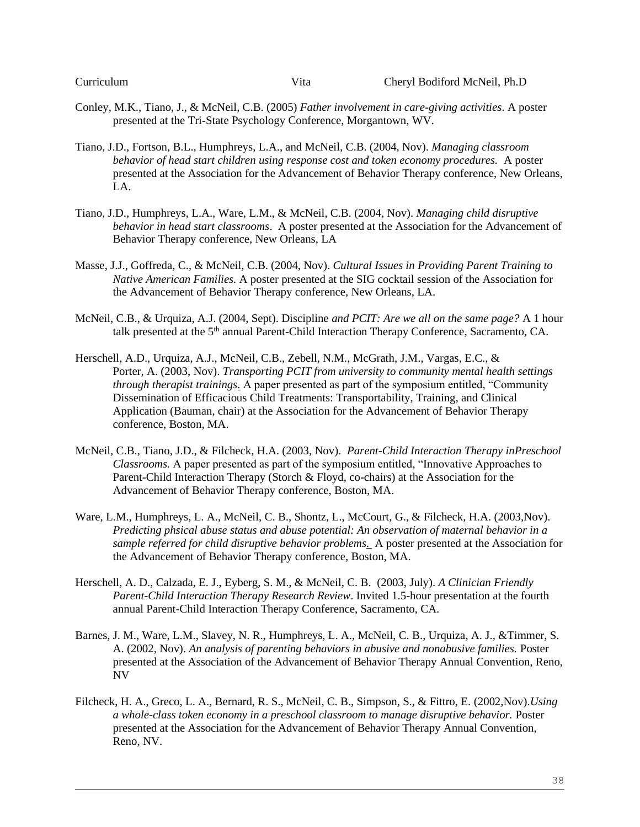| Curriculum |  |
|------------|--|
|            |  |

- Conley, M.K., Tiano, J., & McNeil, C.B. (2005) *Father involvement in care-giving activities*. A poster presented at the Tri-State Psychology Conference, Morgantown, WV.
- Tiano, J.D., Fortson, B.L., Humphreys, L.A., and McNeil, C.B. (2004, Nov). *Managing classroom behavior of head start children using response cost and token economy procedures.* A poster presented at the Association for the Advancement of Behavior Therapy conference, New Orleans, LA.
- Tiano, J.D., Humphreys, L.A., Ware, L.M., & McNeil, C.B. (2004, Nov). *Managing child disruptive behavior in head start classrooms*. A poster presented at the Association for the Advancement of Behavior Therapy conference, New Orleans, LA
- Masse, J.J., Goffreda, C., & McNeil, C.B. (2004, Nov). *Cultural Issues in Providing Parent Training to Native American Families.* A poster presented at the SIG cocktail session of the Association for the Advancement of Behavior Therapy conference, New Orleans, LA.
- McNeil, C.B., & Urquiza, A.J. (2004, Sept). Discipline *and PCIT: Are we all on the same page?* A 1 hour talk presented at the 5<sup>th</sup> annual Parent-Child Interaction Therapy Conference, Sacramento, CA.
- Herschell, A.D., Urquiza, A.J., McNeil, C.B., Zebell, N.M., McGrath, J.M., Vargas, E.C., & Porter, A. (2003, Nov). *Transporting PCIT from university to community mental health settings through therapist trainings.* A paper presented as part of the symposium entitled, "Community Dissemination of Efficacious Child Treatments: Transportability, Training, and Clinical Application (Bauman, chair) at the Association for the Advancement of Behavior Therapy conference, Boston, MA.
- McNeil, C.B., Tiano, J.D., & Filcheck, H.A. (2003, Nov). *Parent-Child Interaction Therapy inPreschool Classrooms.* A paper presented as part of the symposium entitled, "Innovative Approaches to Parent-Child Interaction Therapy (Storch & Floyd, co-chairs) at the Association for the Advancement of Behavior Therapy conference, Boston, MA.
- Ware, L.M., Humphreys, L. A., McNeil, C. B., Shontz, L., McCourt, G., & Filcheck, H.A. (2003,Nov). *Predicting phsical abuse status and abuse potential: An observation of maternal behavior in a sample referred for child disruptive behavior problems*. A poster presented at the Association for the Advancement of Behavior Therapy conference, Boston, MA.
- Herschell, A. D., Calzada, E. J., Eyberg, S. M., & McNeil, C. B. (2003, July). *A Clinician Friendly Parent-Child Interaction Therapy Research Review*. Invited 1.5-hour presentation at the fourth annual Parent-Child Interaction Therapy Conference, Sacramento, CA.
- Barnes, J. M., Ware, L.M., Slavey, N. R., Humphreys, L. A., McNeil, C. B., Urquiza, A. J., &Timmer, S. A. (2002, Nov). *An analysis of parenting behaviors in abusive and nonabusive families.* Poster presented at the Association of the Advancement of Behavior Therapy Annual Convention, Reno, NV
- Filcheck, H. A., Greco, L. A., Bernard, R. S., McNeil, C. B., Simpson, S., & Fittro, E. (2002,Nov).*Using a whole-class token economy in a preschool classroom to manage disruptive behavior.* Poster presented at the Association for the Advancement of Behavior Therapy Annual Convention, Reno, NV.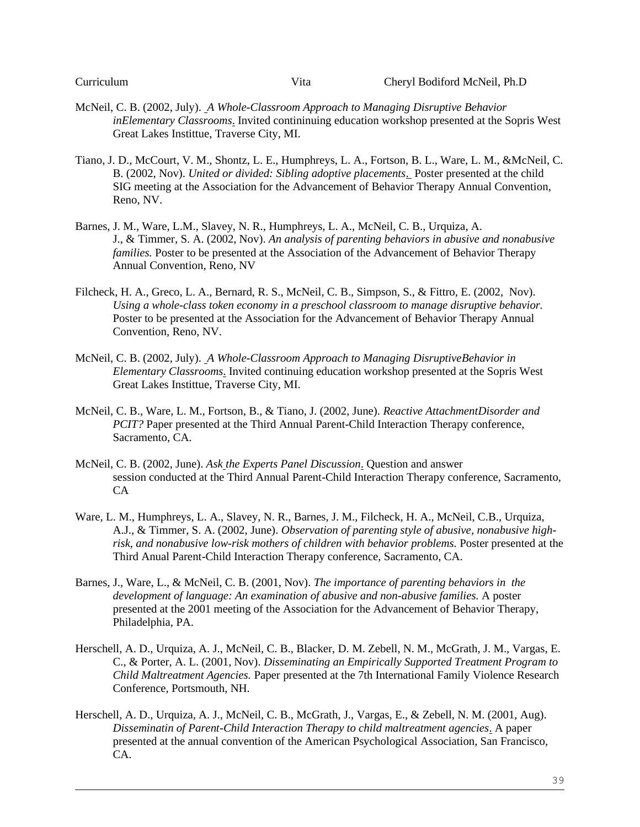- McNeil, C. B. (2002, July). *A Whole-Classroom Approach to Managing Disruptive Behavior inElementary Classrooms*. Invited contininuing education workshop presented at the Sopris West Great Lakes Instittue, Traverse City, MI.
- Tiano, J. D., McCourt, V. M., Shontz, L. E., Humphreys, L. A., Fortson, B. L., Ware, L. M., &McNeil, C. B. (2002, Nov). *United or divided: Sibling adoptive placements*. Poster presented at the child SIG meeting at the Association for the Advancement of Behavior Therapy Annual Convention, Reno, NV.
- Barnes, J. M., Ware, L.M., Slavey, N. R., Humphreys, L. A., McNeil, C. B., Urquiza, A. J., & Timmer, S. A. (2002, Nov). *An analysis of parenting behaviors in abusive and nonabusive families*. Poster to be presented at the Association of the Advancement of Behavior Therapy Annual Convention, Reno, NV
- Filcheck, H. A., Greco, L. A., Bernard, R. S., McNeil, C. B., Simpson, S., & Fittro, E. (2002, Nov). *Using a whole-class token economy in a preschool classroom to manage disruptive behavior.* Poster to be presented at the Association for the Advancement of Behavior Therapy Annual Convention, Reno, NV.
- McNeil, C. B. (2002, July). *A Whole-Classroom Approach to Managing DisruptiveBehavior in Elementary Classrooms*. Invited continuing education workshop presented at the Sopris West Great Lakes Instittue, Traverse City, MI.
- McNeil, C. B., Ware, L. M., Fortson, B., & Tiano, J. (2002, June). *Reactive AttachmentDisorder and PCIT?* Paper presented at the Third Annual Parent-Child Interaction Therapy conference, Sacramento, CA.
- McNeil, C. B. (2002, June). *Ask the Experts Panel Discussion*. Question and answer session conducted at the Third Annual Parent-Child Interaction Therapy conference, Sacramento, CA
- Ware, L. M., Humphreys, L. A., Slavey, N. R., Barnes, J. M., Filcheck, H. A., McNeil, C.B., Urquiza, A.J., & Timmer, S. A. (2002, June). *Observation of parenting style of abusive, nonabusive highrisk, and nonabusive low-risk mothers of children with behavior problems.* Poster presented at the Third Anual Parent-Child Interaction Therapy conference, Sacramento, CA.
- Barnes, J., Ware, L., & McNeil, C. B. (2001, Nov). *The importance of parenting behaviors in the development of language: An examination of abusive and non-abusive families.* A poster presented at the 2001 meeting of the Association for the Advancement of Behavior Therapy, Philadelphia, PA.
- Herschell, A. D., Urquiza, A. J., McNeil, C. B., Blacker, D. M. Zebell, N. M., McGrath, J. M., Vargas, E. C., & Porter, A. L. (2001, Nov). *Disseminating an Empirically Supported Treatment Program to Child Maltreatment Agencies.* Paper presented at the 7th International Family Violence Research Conference, Portsmouth, NH.
- Herschell, A. D., Urquiza, A. J., McNeil, C. B., McGrath, J., Vargas, E., & Zebell, N. M. (2001, Aug). *Disseminatin of Parent-Child Interaction Therapy to child maltreatment agencies*. A paper presented at the annual convention of the American Psychological Association, San Francisco, CA.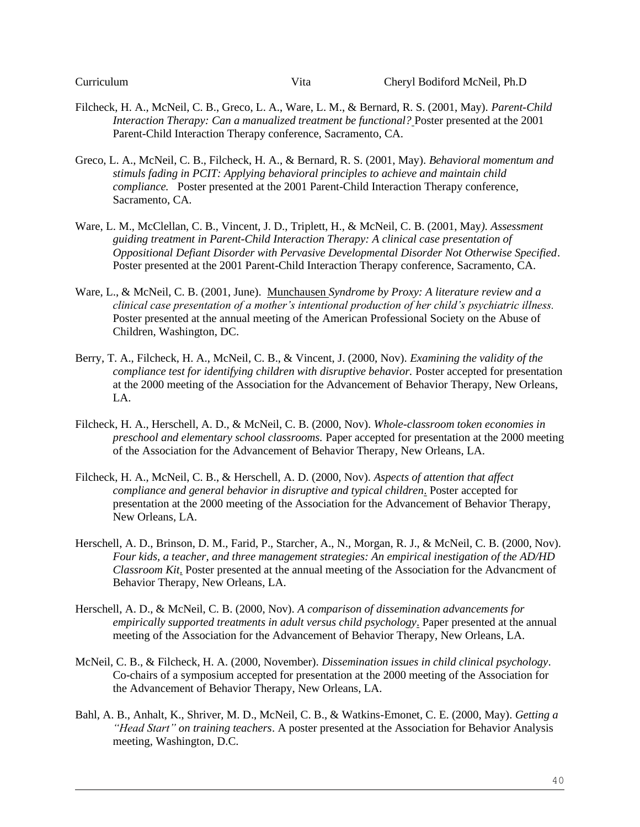- Filcheck, H. A., McNeil, C. B., Greco, L. A., Ware, L. M., & Bernard, R. S. (2001, May). *Parent-Child Interaction Therapy: Can a manualized treatment be functional?* Poster presented at the 2001 Parent-Child Interaction Therapy conference, Sacramento, CA.
- Greco, L. A., McNeil, C. B., Filcheck, H. A., & Bernard, R. S. (2001, May). *Behavioral momentum and stimuls fading in PCIT: Applying behavioral principles to achieve and maintain child compliance.* Poster presented at the 2001 Parent-Child Interaction Therapy conference, Sacramento, CA.
- Ware, L. M., McClellan, C. B., Vincent, J. D., Triplett, H., & McNeil, C. B. (2001, May*). Assessment guiding treatment in Parent-Child Interaction Therapy: A clinical case presentation of Oppositional Defiant Disorder with Pervasive Developmental Disorder Not Otherwise Specified*. Poster presented at the 2001 Parent-Child Interaction Therapy conference, Sacramento, CA.
- Ware, L., & McNeil, C. B. (2001, June). Munchausen *Syndrome by Proxy: A literature review and a clinical case presentation of a mother's intentional production of her child's psychiatric illness.* Poster presented at the annual meeting of the American Professional Society on the Abuse of Children, Washington, DC.
- Berry, T. A., Filcheck, H. A., McNeil, C. B., & Vincent, J. (2000, Nov). *Examining the validity of the compliance test for identifying children with disruptive behavior.* Poster accepted for presentation at the 2000 meeting of the Association for the Advancement of Behavior Therapy, New Orleans, LA.
- Filcheck, H. A., Herschell, A. D., & McNeil, C. B. (2000, Nov). *Whole-classroom token economies in preschool and elementary school classrooms.* Paper accepted for presentation at the 2000 meeting of the Association for the Advancement of Behavior Therapy, New Orleans, LA.
- Filcheck, H. A., McNeil, C. B., & Herschell, A. D. (2000, Nov). *Aspects of attention that affect compliance and general behavior in disruptive and typical children*. Poster accepted for presentation at the 2000 meeting of the Association for the Advancement of Behavior Therapy, New Orleans, LA.
- Herschell, A. D., Brinson, D. M., Farid, P., Starcher, A., N., Morgan, R. J., & McNeil, C. B. (2000, Nov). *Four kids, a teacher, and three management strategies: An empirical inestigation of the AD/HD Classroom Kit*. Poster presented at the annual meeting of the Association for the Advancment of Behavior Therapy, New Orleans, LA.
- Herschell, A. D., & McNeil, C. B. (2000, Nov). *A comparison of dissemination advancements for empirically supported treatments in adult versus child psychology*. Paper presented at the annual meeting of the Association for the Advancement of Behavior Therapy, New Orleans, LA.
- McNeil, C. B., & Filcheck, H. A. (2000, November). *Dissemination issues in child clinical psychology*. Co-chairs of a symposium accepted for presentation at the 2000 meeting of the Association for the Advancement of Behavior Therapy, New Orleans, LA.
- Bahl, A. B., Anhalt, K., Shriver, M. D., McNeil, C. B., & Watkins-Emonet, C. E. (2000, May). *Getting a "Head Start" on training teachers*. A poster presented at the Association for Behavior Analysis meeting, Washington, D.C.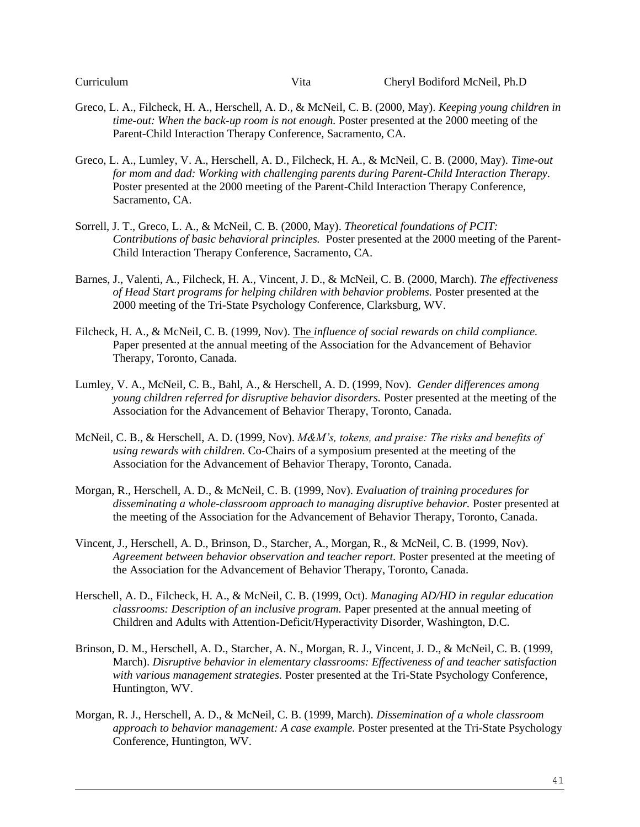- Greco, L. A., Filcheck, H. A., Herschell, A. D., & McNeil, C. B. (2000, May). *Keeping young children in time-out: When the back-up room is not enough.* Poster presented at the 2000 meeting of the Parent-Child Interaction Therapy Conference, Sacramento, CA.
- Greco, L. A., Lumley, V. A., Herschell, A. D., Filcheck, H. A., & McNeil, C. B. (2000, May). *Time-out for mom and dad: Working with challenging parents during Parent-Child Interaction Therapy.* Poster presented at the 2000 meeting of the Parent-Child Interaction Therapy Conference, Sacramento, CA.
- Sorrell, J. T., Greco, L. A., & McNeil, C. B. (2000, May). *Theoretical foundations of PCIT: Contributions of basic behavioral principles.* Poster presented at the 2000 meeting of the Parent-Child Interaction Therapy Conference, Sacramento, CA.
- Barnes, J., Valenti, A., Filcheck, H. A., Vincent, J. D., & McNeil, C. B. (2000, March). *The effectiveness of Head Start programs for helping children with behavior problems.* Poster presented at the 2000 meeting of the Tri-State Psychology Conference, Clarksburg, WV.
- Filcheck, H. A., & McNeil, C. B. (1999, Nov). The *influence of social rewards on child compliance.* Paper presented at the annual meeting of the Association for the Advancement of Behavior Therapy, Toronto, Canada.
- Lumley, V. A., McNeil, C. B., Bahl, A., & Herschell, A. D. (1999, Nov). *Gender differences among young children referred for disruptive behavior disorders.* Poster presented at the meeting of the Association for the Advancement of Behavior Therapy, Toronto, Canada.
- McNeil, C. B., & Herschell, A. D. (1999, Nov). *M&M's, tokens, and praise: The risks and benefits of using rewards with children.* Co-Chairs of a symposium presented at the meeting of the Association for the Advancement of Behavior Therapy, Toronto, Canada.
- Morgan, R., Herschell, A. D., & McNeil, C. B. (1999, Nov). *Evaluation of training procedures for disseminating a whole-classroom approach to managing disruptive behavior.* Poster presented at the meeting of the Association for the Advancement of Behavior Therapy, Toronto, Canada.
- Vincent, J., Herschell, A. D., Brinson, D., Starcher, A., Morgan, R., & McNeil, C. B. (1999, Nov). *Agreement between behavior observation and teacher report.* Poster presented at the meeting of the Association for the Advancement of Behavior Therapy, Toronto, Canada.
- Herschell, A. D., Filcheck, H. A., & McNeil, C. B. (1999, Oct). *Managing AD/HD in regular education classrooms: Description of an inclusive program.* Paper presented at the annual meeting of Children and Adults with Attention-Deficit/Hyperactivity Disorder, Washington, D.C.
- Brinson, D. M., Herschell, A. D., Starcher, A. N., Morgan, R. J., Vincent, J. D., & McNeil, C. B. (1999, March). *Disruptive behavior in elementary classrooms: Effectiveness of and teacher satisfaction with various management strategies.* Poster presented at the Tri-State Psychology Conference, Huntington, WV.
- Morgan, R. J., Herschell, A. D., & McNeil, C. B. (1999, March). *Dissemination of a whole classroom approach to behavior management: A case example.* Poster presented at the Tri-State Psychology Conference, Huntington, WV.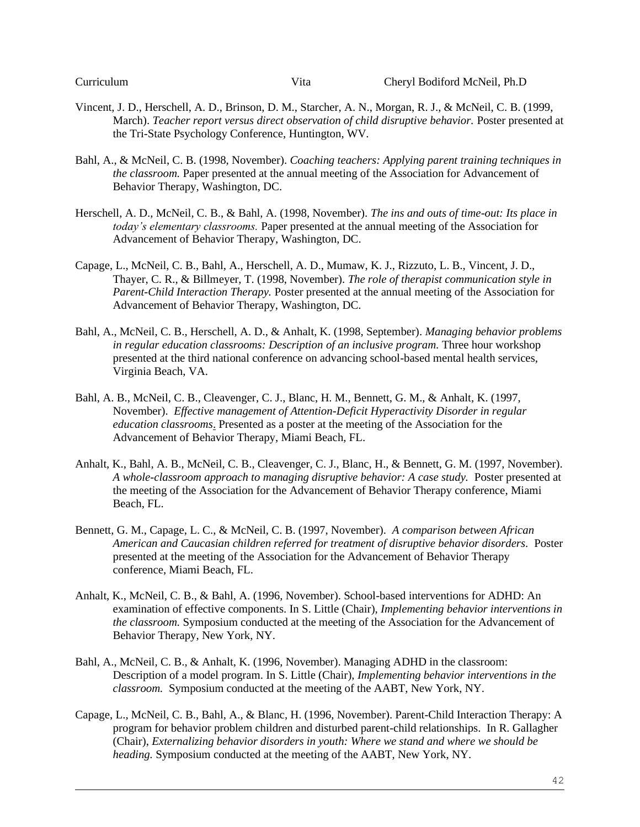- Vincent, J. D., Herschell, A. D., Brinson, D. M., Starcher, A. N., Morgan, R. J., & McNeil, C. B. (1999, March). *Teacher report versus direct observation of child disruptive behavior.* Poster presented at the Tri-State Psychology Conference, Huntington, WV.
- Bahl, A., & McNeil, C. B. (1998, November). *Coaching teachers: Applying parent training techniques in the classroom.* Paper presented at the annual meeting of the Association for Advancement of Behavior Therapy, Washington, DC.
- Herschell, A. D., McNeil, C. B., & Bahl, A. (1998, November). *The ins and outs of time-out: Its place in today's elementary classrooms.* Paper presented at the annual meeting of the Association for Advancement of Behavior Therapy, Washington, DC.
- Capage, L., McNeil, C. B., Bahl, A., Herschell, A. D., Mumaw, K. J., Rizzuto, L. B., Vincent, J. D., Thayer, C. R., & Billmeyer, T. (1998, November). *The role of therapist communication style in Parent-Child Interaction Therapy.* Poster presented at the annual meeting of the Association for Advancement of Behavior Therapy, Washington, DC.
- Bahl, A., McNeil, C. B., Herschell, A. D., & Anhalt, K. (1998, September). *Managing behavior problems in regular education classrooms: Description of an inclusive program.* Three hour workshop presented at the third national conference on advancing school-based mental health services, Virginia Beach, VA.
- Bahl, A. B., McNeil, C. B., Cleavenger, C. J., Blanc, H. M., Bennett, G. M., & Anhalt, K. (1997, November). *Effective management of Attention-Deficit Hyperactivity Disorder in regular education classrooms*. Presented as a poster at the meeting of the Association for the Advancement of Behavior Therapy, Miami Beach, FL.
- Anhalt, K., Bahl, A. B., McNeil, C. B., Cleavenger, C. J., Blanc, H., & Bennett, G. M. (1997, November). *A whole-classroom approach to managing disruptive behavior: A case study.* Poster presented at the meeting of the Association for the Advancement of Behavior Therapy conference, Miami Beach, FL.
- Bennett, G. M., Capage, L. C., & McNeil, C. B. (1997, November). *A comparison between African American and Caucasian children referred for treatment of disruptive behavior disorders.* Poster presented at the meeting of the Association for the Advancement of Behavior Therapy conference, Miami Beach, FL.
- Anhalt, K., McNeil, C. B., & Bahl, A. (1996, November). School-based interventions for ADHD: An examination of effective components. In S. Little (Chair), *Implementing behavior interventions in the classroom.* Symposium conducted at the meeting of the Association for the Advancement of Behavior Therapy, New York, NY.
- Bahl, A., McNeil, C. B., & Anhalt, K. (1996, November). Managing ADHD in the classroom: Description of a model program. In S. Little (Chair), *Implementing behavior interventions in the classroom.* Symposium conducted at the meeting of the AABT, New York, NY.
- Capage, L., McNeil, C. B., Bahl, A., & Blanc, H. (1996, November). Parent-Child Interaction Therapy: A program for behavior problem children and disturbed parent-child relationships. In R. Gallagher (Chair), *Externalizing behavior disorders in youth: Where we stand and where we should be heading.* Symposium conducted at the meeting of the AABT, New York, NY.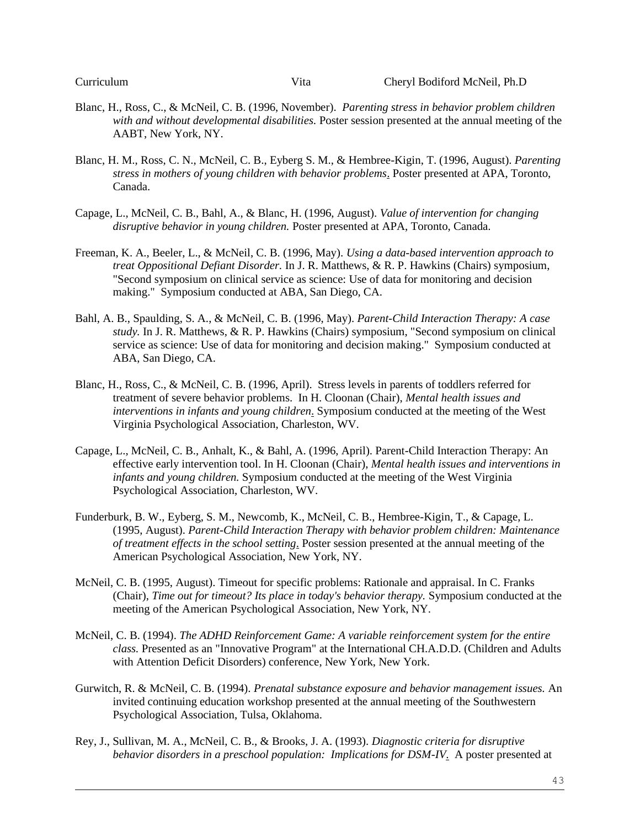- Blanc, H., Ross, C., & McNeil, C. B. (1996, November). *Parenting stress in behavior problem children with and without developmental disabilities.* Poster session presented at the annual meeting of the AABT, New York, NY.
- Blanc, H. M., Ross, C. N., McNeil, C. B., Eyberg S. M., & Hembree-Kigin, T. (1996, August). *Parenting stress in mothers of young children with behavior problems*. Poster presented at APA, Toronto, Canada.
- Capage, L., McNeil, C. B., Bahl, A., & Blanc, H. (1996, August). *Value of intervention for changing disruptive behavior in young children.* Poster presented at APA, Toronto, Canada.
- Freeman, K. A., Beeler, L., & McNeil, C. B. (1996, May). *Using a data-based intervention approach to treat Oppositional Defiant Disorder.* In J. R. Matthews, & R. P. Hawkins (Chairs) symposium, "Second symposium on clinical service as science: Use of data for monitoring and decision making." Symposium conducted at ABA, San Diego, CA.
- Bahl, A. B., Spaulding, S. A., & McNeil, C. B. (1996, May). *Parent-Child Interaction Therapy: A case study.* In J. R. Matthews, & R. P. Hawkins (Chairs) symposium, "Second symposium on clinical service as science: Use of data for monitoring and decision making." Symposium conducted at ABA, San Diego, CA.
- Blanc, H., Ross, C., & McNeil, C. B. (1996, April). Stress levels in parents of toddlers referred for treatment of severe behavior problems. In H. Cloonan (Chair), *Mental health issues and interventions in infants and young children*. Symposium conducted at the meeting of the West Virginia Psychological Association, Charleston, WV.
- Capage, L., McNeil, C. B., Anhalt, K., & Bahl, A. (1996, April). Parent-Child Interaction Therapy: An effective early intervention tool. In H. Cloonan (Chair), *Mental health issues and interventions in infants and young children.* Symposium conducted at the meeting of the West Virginia Psychological Association, Charleston, WV.
- Funderburk, B. W., Eyberg, S. M., Newcomb, K., McNeil, C. B., Hembree-Kigin, T., & Capage, L. (1995, August). *Parent-Child Interaction Therapy with behavior problem children: Maintenance of treatment effects in the school setting*. Poster session presented at the annual meeting of the American Psychological Association, New York, NY.
- McNeil, C. B. (1995, August). Timeout for specific problems: Rationale and appraisal. In C. Franks (Chair), *Time out for timeout? Its place in today's behavior therapy.* Symposium conducted at the meeting of the American Psychological Association, New York, NY.
- McNeil, C. B. (1994). *The ADHD Reinforcement Game: A variable reinforcement system for the entire class.* Presented as an "Innovative Program" at the International CH.A.D.D. (Children and Adults with Attention Deficit Disorders) conference, New York, New York.
- Gurwitch, R. & McNeil, C. B. (1994). *Prenatal substance exposure and behavior management issues.* An invited continuing education workshop presented at the annual meeting of the Southwestern Psychological Association, Tulsa, Oklahoma.
- Rey, J., Sullivan, M. A., McNeil, C. B., & Brooks, J. A. (1993). *Diagnostic criteria for disruptive behavior disorders in a preschool population: Implications for DSM-IV*. A poster presented at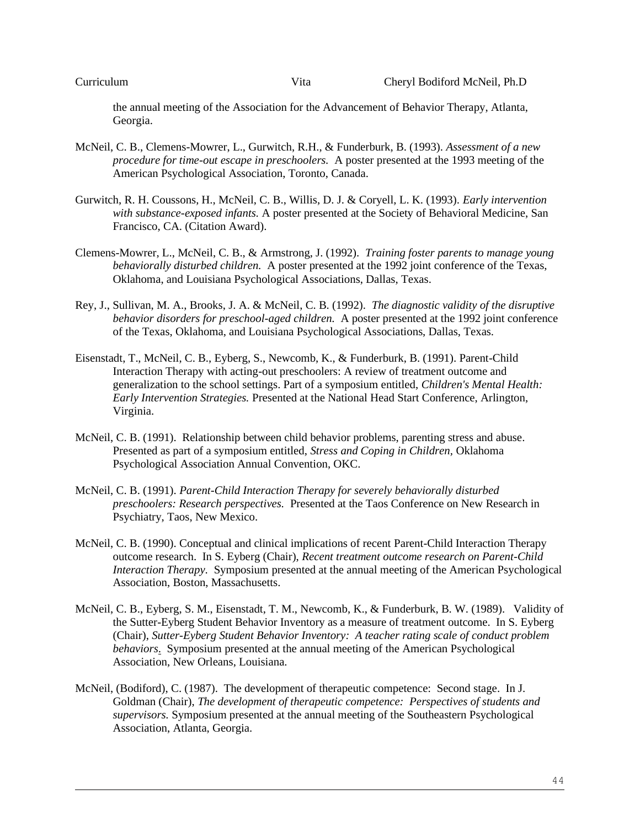the annual meeting of the Association for the Advancement of Behavior Therapy, Atlanta, Georgia.

- McNeil, C. B., Clemens-Mowrer, L., Gurwitch, R.H., & Funderburk, B. (1993). *Assessment of a new procedure for time-out escape in preschoolers.* A poster presented at the 1993 meeting of the American Psychological Association, Toronto, Canada.
- Gurwitch, R. H. Coussons, H., McNeil, C. B., Willis, D. J. & Coryell, L. K. (1993). *Early intervention with substance-exposed infants.* A poster presented at the Society of Behavioral Medicine, San Francisco, CA. (Citation Award).
- Clemens-Mowrer, L., McNeil, C. B., & Armstrong, J. (1992). *Training foster parents to manage young behaviorally disturbed children.* A poster presented at the 1992 joint conference of the Texas, Oklahoma, and Louisiana Psychological Associations, Dallas, Texas.
- Rey, J., Sullivan, M. A., Brooks, J. A. & McNeil, C. B. (1992). *The diagnostic validity of the disruptive behavior disorders for preschool-aged children.* A poster presented at the 1992 joint conference of the Texas, Oklahoma, and Louisiana Psychological Associations, Dallas, Texas.
- Eisenstadt, T., McNeil, C. B., Eyberg, S., Newcomb, K., & Funderburk, B. (1991). Parent-Child Interaction Therapy with acting-out preschoolers: A review of treatment outcome and generalization to the school settings. Part of a symposium entitled, *Children's Mental Health: Early Intervention Strategies.* Presented at the National Head Start Conference, Arlington, Virginia.
- McNeil, C. B. (1991). Relationship between child behavior problems, parenting stress and abuse. Presented as part of a symposium entitled, *Stress and Coping in Children,* Oklahoma Psychological Association Annual Convention, OKC.
- McNeil, C. B. (1991). *Parent-Child Interaction Therapy for severely behaviorally disturbed preschoolers: Research perspectives.* Presented at the Taos Conference on New Research in Psychiatry, Taos, New Mexico.
- McNeil, C. B. (1990). Conceptual and clinical implications of recent Parent-Child Interaction Therapy outcome research. In S. Eyberg (Chair), *Recent treatment outcome research on Parent-Child Interaction Therapy.* Symposium presented at the annual meeting of the American Psychological Association, Boston, Massachusetts.
- McNeil, C. B., Eyberg, S. M., Eisenstadt, T. M., Newcomb, K., & Funderburk, B. W. (1989). Validity of the Sutter-Eyberg Student Behavior Inventory as a measure of treatment outcome. In S. Eyberg (Chair), *Sutter-Eyberg Student Behavior Inventory: A teacher rating scale of conduct problem behaviors*. Symposium presented at the annual meeting of the American Psychological Association, New Orleans, Louisiana.
- McNeil, (Bodiford), C. (1987). The development of therapeutic competence: Second stage. In J. Goldman (Chair), *The development of therapeutic competence: Perspectives of students and supervisors.* Symposium presented at the annual meeting of the Southeastern Psychological Association, Atlanta, Georgia.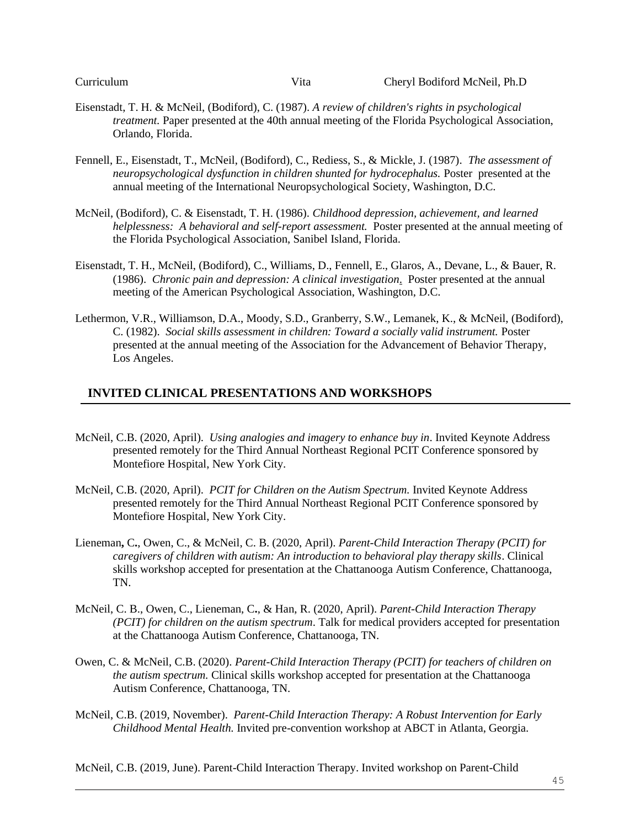- Eisenstadt, T. H. & McNeil, (Bodiford), C. (1987). *A review of children's rights in psychological treatment.* Paper presented at the 40th annual meeting of the Florida Psychological Association, Orlando, Florida.
- Fennell, E., Eisenstadt, T., McNeil, (Bodiford), C., Rediess, S., & Mickle, J. (1987). *The assessment of neuropsychological dysfunction in children shunted for hydrocephalus.* Poster presented at the annual meeting of the International Neuropsychological Society, Washington, D.C.
- McNeil, (Bodiford), C. & Eisenstadt, T. H. (1986). *Childhood depression, achievement, and learned helplessness: A behavioral and self-report assessment.* Poster presented at the annual meeting of the Florida Psychological Association, Sanibel Island, Florida.
- Eisenstadt, T. H., McNeil, (Bodiford), C., Williams, D., Fennell, E., Glaros, A., Devane, L., & Bauer, R. (1986). *Chronic pain and depression: A clinical investigation*. Poster presented at the annual meeting of the American Psychological Association, Washington, D.C.
- Lethermon, V.R., Williamson, D.A., Moody, S.D., Granberry, S.W., Lemanek, K., & McNeil, (Bodiford), C. (1982). *Social skills assessment in children: Toward a socially valid instrument.* Poster presented at the annual meeting of the Association for the Advancement of Behavior Therapy, Los Angeles.

#### **INVITED CLINICAL PRESENTATIONS AND WORKSHOPS**

- McNeil, C.B. (2020, April). *Using analogies and imagery to enhance buy in*. Invited Keynote Address presented remotely for the Third Annual Northeast Regional PCIT Conference sponsored by Montefiore Hospital, New York City.
- McNeil, C.B. (2020, April). *PCIT for Children on the Autism Spectrum.* Invited Keynote Address presented remotely for the Third Annual Northeast Regional PCIT Conference sponsored by Montefiore Hospital, New York City.
- Lieneman**,** C**.**, Owen, C., & McNeil, C. B. (2020, April). *Parent-Child Interaction Therapy (PCIT) for caregivers of children with autism: An introduction to behavioral play therapy skills*. Clinical skills workshop accepted for presentation at the Chattanooga Autism Conference, Chattanooga, TN.
- McNeil, C. B., Owen, C., Lieneman, C**.**, & Han, R. (2020, April). *Parent-Child Interaction Therapy (PCIT) for children on the autism spectrum*. Talk for medical providers accepted for presentation at the Chattanooga Autism Conference, Chattanooga, TN.
- Owen, C. & McNeil, C.B. (2020). *Parent-Child Interaction Therapy (PCIT) for teachers of children on the autism spectrum.* Clinical skills workshop accepted for presentation at the Chattanooga Autism Conference, Chattanooga, TN.
- McNeil, C.B. (2019, November). *Parent-Child Interaction Therapy: A Robust Intervention for Early Childhood Mental Health.* Invited pre-convention workshop at ABCT in Atlanta, Georgia.

McNeil, C.B. (2019, June). Parent-Child Interaction Therapy. Invited workshop on Parent-Child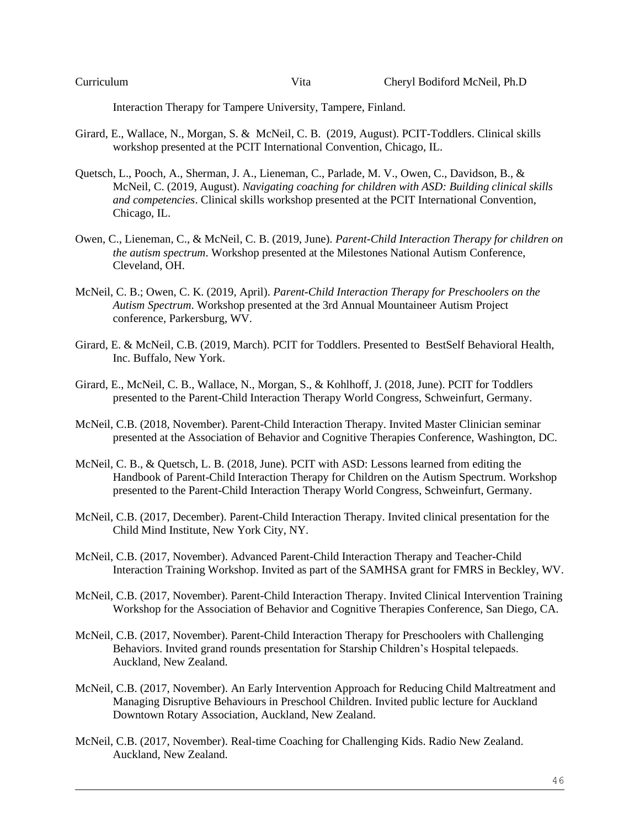Interaction Therapy for Tampere University, Tampere, Finland.

- Girard, E., Wallace, N., Morgan, S. & McNeil, C. B. (2019, August). PCIT-Toddlers. Clinical skills workshop presented at the PCIT International Convention, Chicago, IL.
- Quetsch, L., Pooch, A., Sherman, J. A., Lieneman, C., Parlade, M. V., Owen, C., Davidson, B., & McNeil, C. (2019, August). *Navigating coaching for children with ASD: Building clinical skills and competencies*. Clinical skills workshop presented at the PCIT International Convention, Chicago, IL.
- Owen, C., Lieneman, C., & McNeil, C. B. (2019, June). *Parent-Child Interaction Therapy for children on the autism spectrum*. Workshop presented at the Milestones National Autism Conference, Cleveland, OH.
- McNeil, C. B.; Owen, C. K. (2019, April). *Parent-Child Interaction Therapy for Preschoolers on the Autism Spectrum*. Workshop presented at the 3rd Annual Mountaineer Autism Project conference, Parkersburg, WV.
- Girard, E. & McNeil, C.B. (2019, March). PCIT for Toddlers. Presented to BestSelf Behavioral Health, Inc. Buffalo, New York.
- Girard, E., McNeil, C. B., Wallace, N., Morgan, S., & Kohlhoff, J. (2018, June). PCIT for Toddlers presented to the Parent-Child Interaction Therapy World Congress, Schweinfurt, Germany.
- McNeil, C.B. (2018, November). Parent-Child Interaction Therapy. Invited Master Clinician seminar presented at the Association of Behavior and Cognitive Therapies Conference, Washington, DC.
- McNeil, C. B., & Quetsch, L. B. (2018, June). PCIT with ASD: Lessons learned from editing the Handbook of Parent-Child Interaction Therapy for Children on the Autism Spectrum. Workshop presented to the Parent-Child Interaction Therapy World Congress, Schweinfurt, Germany.
- McNeil, C.B. (2017, December). Parent-Child Interaction Therapy. Invited clinical presentation for the Child Mind Institute, New York City, NY.
- McNeil, C.B. (2017, November). Advanced Parent-Child Interaction Therapy and Teacher-Child Interaction Training Workshop. Invited as part of the SAMHSA grant for FMRS in Beckley, WV.
- McNeil, C.B. (2017, November). Parent-Child Interaction Therapy. Invited Clinical Intervention Training Workshop for the Association of Behavior and Cognitive Therapies Conference, San Diego, CA.
- McNeil, C.B. (2017, November). Parent-Child Interaction Therapy for Preschoolers with Challenging Behaviors. Invited grand rounds presentation for Starship Children's Hospital telepaeds. Auckland, New Zealand.
- McNeil, C.B. (2017, November). An Early Intervention Approach for Reducing Child Maltreatment and Managing Disruptive Behaviours in Preschool Children. Invited public lecture for Auckland Downtown Rotary Association, Auckland, New Zealand.
- McNeil, C.B. (2017, November). Real-time Coaching for Challenging Kids. Radio New Zealand. Auckland, New Zealand.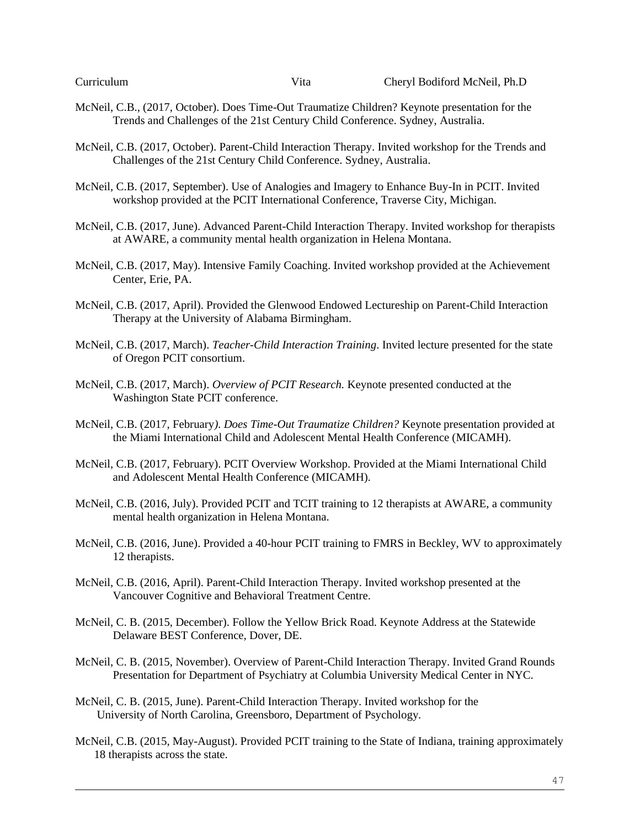- McNeil, C.B., (2017, October). Does Time-Out Traumatize Children? Keynote presentation for the Trends and Challenges of the 21st Century Child Conference. Sydney, Australia.
- McNeil, C.B. (2017, October). Parent-Child Interaction Therapy. Invited workshop for the Trends and Challenges of the 21st Century Child Conference. Sydney, Australia.
- McNeil, C.B. (2017, September). Use of Analogies and Imagery to Enhance Buy-In in PCIT. Invited workshop provided at the PCIT International Conference, Traverse City, Michigan.
- McNeil, C.B. (2017, June). Advanced Parent-Child Interaction Therapy. Invited workshop for therapists at AWARE, a community mental health organization in Helena Montana.
- McNeil, C.B. (2017, May). Intensive Family Coaching. Invited workshop provided at the Achievement Center, Erie, PA.
- McNeil, C.B. (2017, April). Provided the Glenwood Endowed Lectureship on Parent-Child Interaction Therapy at the University of Alabama Birmingham.
- McNeil, C.B. (2017, March). *Teacher-Child Interaction Training*. Invited lecture presented for the state of Oregon PCIT consortium.
- McNeil, C.B. (2017, March). *Overview of PCIT Research.* Keynote presented conducted at the Washington State PCIT conference.
- McNeil, C.B. (2017, February*). Does Time-Out Traumatize Children?* Keynote presentation provided at the Miami International Child and Adolescent Mental Health Conference (MICAMH).
- McNeil, C.B. (2017, February). PCIT Overview Workshop. Provided at the Miami International Child and Adolescent Mental Health Conference (MICAMH).
- McNeil, C.B. (2016, July). Provided PCIT and TCIT training to 12 therapists at AWARE, a community mental health organization in Helena Montana.
- McNeil, C.B. (2016, June). Provided a 40-hour PCIT training to FMRS in Beckley, WV to approximately 12 therapists.
- McNeil, C.B. (2016, April). Parent-Child Interaction Therapy. Invited workshop presented at the Vancouver Cognitive and Behavioral Treatment Centre.
- McNeil, C. B. (2015, December). Follow the Yellow Brick Road. Keynote Address at the Statewide Delaware BEST Conference, Dover, DE.
- McNeil, C. B. (2015, November). Overview of Parent-Child Interaction Therapy. Invited Grand Rounds Presentation for Department of Psychiatry at Columbia University Medical Center in NYC.
- McNeil, C. B. (2015, June). Parent-Child Interaction Therapy. Invited workshop for the University of North Carolina, Greensboro, Department of Psychology.
- McNeil, C.B. (2015, May-August). Provided PCIT training to the State of Indiana, training approximately 18 therapists across the state.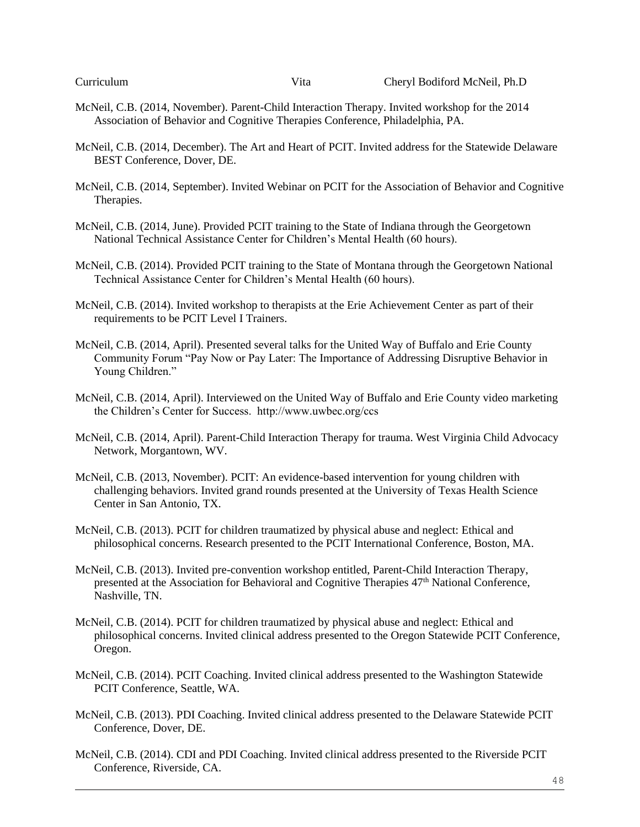- McNeil, C.B. (2014, November). Parent-Child Interaction Therapy. Invited workshop for the 2014 Association of Behavior and Cognitive Therapies Conference, Philadelphia, PA.
- McNeil, C.B. (2014, December). The Art and Heart of PCIT. Invited address for the Statewide Delaware BEST Conference, Dover, DE.
- McNeil, C.B. (2014, September). Invited Webinar on PCIT for the Association of Behavior and Cognitive Therapies.
- McNeil, C.B. (2014, June). Provided PCIT training to the State of Indiana through the Georgetown National Technical Assistance Center for Children's Mental Health (60 hours).
- McNeil, C.B. (2014). Provided PCIT training to the State of Montana through the Georgetown National Technical Assistance Center for Children's Mental Health (60 hours).
- McNeil, C.B. (2014). Invited workshop to therapists at the Erie Achievement Center as part of their requirements to be PCIT Level I Trainers.
- McNeil, C.B. (2014, April). Presented several talks for the United Way of Buffalo and Erie County Community Forum "Pay Now or Pay Later: The Importance of Addressing Disruptive Behavior in Young Children."
- McNeil, C.B. (2014, April). Interviewed on the United Way of Buffalo and Erie County video marketing the Children's Center for Success. http://www.uwbec.org/ccs
- McNeil, C.B. (2014, April). Parent-Child Interaction Therapy for trauma. West Virginia Child Advocacy Network, Morgantown, WV.
- McNeil, C.B. (2013, November). PCIT: An evidence-based intervention for young children with challenging behaviors. Invited grand rounds presented at the University of Texas Health Science Center in San Antonio, TX.
- McNeil, C.B. (2013). PCIT for children traumatized by physical abuse and neglect: Ethical and philosophical concerns. Research presented to the PCIT International Conference, Boston, MA.
- McNeil, C.B. (2013). Invited pre-convention workshop entitled, Parent-Child Interaction Therapy, presented at the Association for Behavioral and Cognitive Therapies 47<sup>th</sup> National Conference, Nashville, TN.
- McNeil, C.B. (2014). PCIT for children traumatized by physical abuse and neglect: Ethical and philosophical concerns. Invited clinical address presented to the Oregon Statewide PCIT Conference, Oregon.
- McNeil, C.B. (2014). PCIT Coaching. Invited clinical address presented to the Washington Statewide PCIT Conference, Seattle, WA.
- McNeil, C.B. (2013). PDI Coaching. Invited clinical address presented to the Delaware Statewide PCIT Conference, Dover, DE.
- McNeil, C.B. (2014). CDI and PDI Coaching. Invited clinical address presented to the Riverside PCIT Conference, Riverside, CA.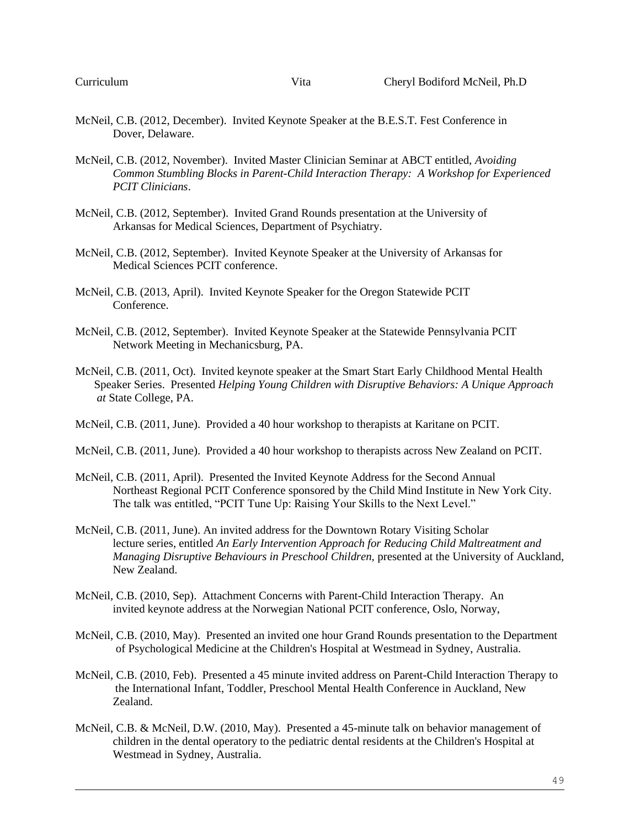- McNeil, C.B. (2012, December). Invited Keynote Speaker at the B.E.S.T. Fest Conference in Dover, Delaware.
- McNeil, C.B. (2012, November). Invited Master Clinician Seminar at ABCT entitled, *Avoiding Common Stumbling Blocks in Parent-Child Interaction Therapy: A Workshop for Experienced PCIT Clinicians*.
- McNeil, C.B. (2012, September). Invited Grand Rounds presentation at the University of Arkansas for Medical Sciences, Department of Psychiatry.
- McNeil, C.B. (2012, September). Invited Keynote Speaker at the University of Arkansas for Medical Sciences PCIT conference.
- McNeil, C.B. (2013, April). Invited Keynote Speaker for the Oregon Statewide PCIT Conference.
- McNeil, C.B. (2012, September). Invited Keynote Speaker at the Statewide Pennsylvania PCIT Network Meeting in Mechanicsburg, PA.
- McNeil, C.B. (2011, Oct). Invited keynote speaker at the Smart Start Early Childhood Mental Health Speaker Series. Presented *Helping Young Children with Disruptive Behaviors: A Unique Approach at* State College, PA.
- McNeil, C.B. (2011, June). Provided a 40 hour workshop to therapists at Karitane on PCIT.
- McNeil, C.B. (2011, June). Provided a 40 hour workshop to therapists across New Zealand on PCIT.
- McNeil, C.B. (2011, April). Presented the Invited Keynote Address for the Second Annual Northeast Regional PCIT Conference sponsored by the Child Mind Institute in New York City. The talk was entitled, "PCIT Tune Up: Raising Your Skills to the Next Level."
- McNeil, C.B. (2011, June). An invited address for the Downtown Rotary Visiting Scholar lecture series, entitled *An Early Intervention Approach for Reducing Child Maltreatment and Managing Disruptive Behaviours in Preschool Children,* presented at the University of Auckland, New Zealand.
- McNeil, C.B. (2010, Sep). Attachment Concerns with Parent-Child Interaction Therapy. An invited keynote address at the Norwegian National PCIT conference, Oslo, Norway,
- McNeil, C.B. (2010, May). Presented an invited one hour Grand Rounds presentation to the Department of Psychological Medicine at the Children's Hospital at Westmead in Sydney, Australia.
- McNeil, C.B. (2010, Feb). Presented a 45 minute invited address on Parent-Child Interaction Therapy to the International Infant, Toddler, Preschool Mental Health Conference in Auckland, New Zealand.
- McNeil, C.B. & McNeil, D.W. (2010, May). Presented a 45-minute talk on behavior management of children in the dental operatory to the pediatric dental residents at the Children's Hospital at Westmead in Sydney, Australia.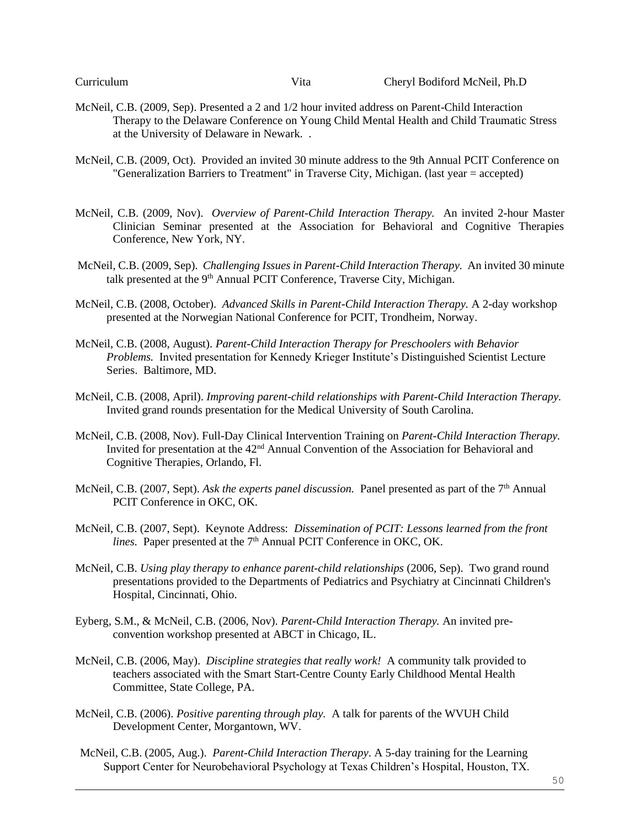- McNeil, C.B. (2009, Sep). Presented a 2 and 1/2 hour invited address on Parent-Child Interaction Therapy to the Delaware Conference on Young Child Mental Health and Child Traumatic Stress at the University of Delaware in Newark. .
- McNeil, C.B. (2009, Oct). Provided an invited 30 minute address to the 9th Annual PCIT Conference on "Generalization Barriers to Treatment" in Traverse City, Michigan. (last year = accepted)
- McNeil, C.B. (2009, Nov). *Overview of Parent-Child Interaction Therapy.* An invited 2-hour Master Clinician Seminar presented at the Association for Behavioral and Cognitive Therapies Conference, New York, NY.
- McNeil, C.B. (2009, Sep). *Challenging Issues in Parent-Child Interaction Therapy.* An invited 30 minute talk presented at the 9<sup>th</sup> Annual PCIT Conference, Traverse City, Michigan.
- McNeil, C.B. (2008, October). *Advanced Skills in Parent-Child Interaction Therapy.* A 2-day workshop presented at the Norwegian National Conference for PCIT, Trondheim, Norway.
- McNeil, C.B. (2008, August). *Parent-Child Interaction Therapy for Preschoolers with Behavior Problems.* Invited presentation for Kennedy Krieger Institute's Distinguished Scientist Lecture Series. Baltimore, MD.
- McNeil, C.B. (2008, April). *Improving parent-child relationships with Parent-Child Interaction Therapy.*  Invited grand rounds presentation for the Medical University of South Carolina.
- McNeil, C.B. (2008, Nov). Full-Day Clinical Intervention Training on *Parent-Child Interaction Therapy.*  Invited for presentation at the 42<sup>nd</sup> Annual Convention of the Association for Behavioral and Cognitive Therapies, Orlando, Fl.
- McNeil, C.B. (2007, Sept). *Ask the experts panel discussion*. Panel presented as part of the 7<sup>th</sup> Annual PCIT Conference in OKC, OK.
- McNeil, C.B. (2007, Sept). Keynote Address: *Dissemination of PCIT: Lessons learned from the front lines.* Paper presented at the 7<sup>th</sup> Annual PCIT Conference in OKC, OK.
- McNeil, C.B. *Using play therapy to enhance parent-child relationships* (2006, Sep). Two grand round presentations provided to the Departments of Pediatrics and Psychiatry at Cincinnati Children's Hospital, Cincinnati, Ohio.
- Eyberg, S.M., & McNeil, C.B. (2006, Nov). *Parent-Child Interaction Therapy.* An invited preconvention workshop presented at ABCT in Chicago, IL.
- McNeil, C.B. (2006, May). *Discipline strategies that really work!* A community talk provided to teachers associated with the Smart Start-Centre County Early Childhood Mental Health Committee, State College, PA.
- McNeil, C.B. (2006). *Positive parenting through play.* A talk for parents of the WVUH Child Development Center, Morgantown, WV.
- McNeil, C.B. (2005, Aug.). *Parent-Child Interaction Therapy*. A 5-day training for the Learning Support Center for Neurobehavioral Psychology at Texas Children's Hospital, Houston, TX.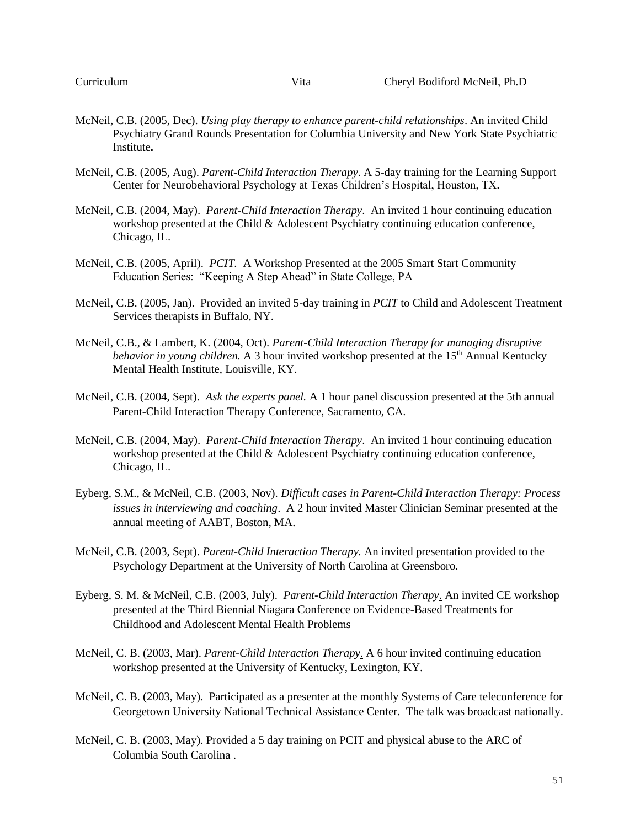- McNeil, C.B. (2005, Dec). *Using play therapy to enhance parent-child relationships*. An invited Child Psychiatry Grand Rounds Presentation for Columbia University and New York State Psychiatric Institute**.**
- McNeil, C.B. (2005, Aug). *Parent-Child Interaction Therapy*. A 5-day training for the Learning Support Center for Neurobehavioral Psychology at Texas Children's Hospital, Houston, TX**.**
- McNeil, C.B. (2004, May). *Parent-Child Interaction Therapy*. An invited 1 hour continuing education workshop presented at the Child & Adolescent Psychiatry continuing education conference, Chicago, IL.
- McNeil, C.B. (2005, April). *PCIT.* A Workshop Presented at the 2005 Smart Start Community Education Series: "Keeping A Step Ahead" in State College, PA
- McNeil, C.B. (2005, Jan). Provided an invited 5-day training in *PCIT* to Child and Adolescent Treatment Services therapists in Buffalo, NY.
- McNeil, C.B., & Lambert, K. (2004, Oct). *Parent-Child Interaction Therapy for managing disruptive behavior in young children.* A 3 hour invited workshop presented at the 15<sup>th</sup> Annual Kentucky Mental Health Institute, Louisville, KY.
- McNeil, C.B. (2004, Sept). *Ask the experts panel.* A 1 hour panel discussion presented at the 5th annual Parent-Child Interaction Therapy Conference, Sacramento, CA.
- McNeil, C.B. (2004, May). *Parent-Child Interaction Therapy*. An invited 1 hour continuing education workshop presented at the Child & Adolescent Psychiatry continuing education conference, Chicago, IL.
- Eyberg, S.M., & McNeil, C.B. (2003, Nov). *Difficult cases in Parent-Child Interaction Therapy: Process issues in interviewing and coaching*. A 2 hour invited Master Clinician Seminar presented at the annual meeting of AABT, Boston, MA.
- McNeil, C.B. (2003, Sept). *Parent-Child Interaction Therapy.* An invited presentation provided to the Psychology Department at the University of North Carolina at Greensboro.
- Eyberg, S. M. & McNeil, C.B. (2003, July). *Parent-Child Interaction Therapy*. An invited CE workshop presented at the Third Biennial Niagara Conference on Evidence-Based Treatments for Childhood and Adolescent Mental Health Problems
- McNeil, C. B. (2003, Mar). *Parent-Child Interaction Therapy*. A 6 hour invited continuing education workshop presented at the University of Kentucky, Lexington, KY.
- McNeil, C. B. (2003, May). Participated as a presenter at the monthly Systems of Care teleconference for Georgetown University National Technical Assistance Center. The talk was broadcast nationally.
- McNeil, C. B. (2003, May). Provided a 5 day training on PCIT and physical abuse to the ARC of Columbia South Carolina .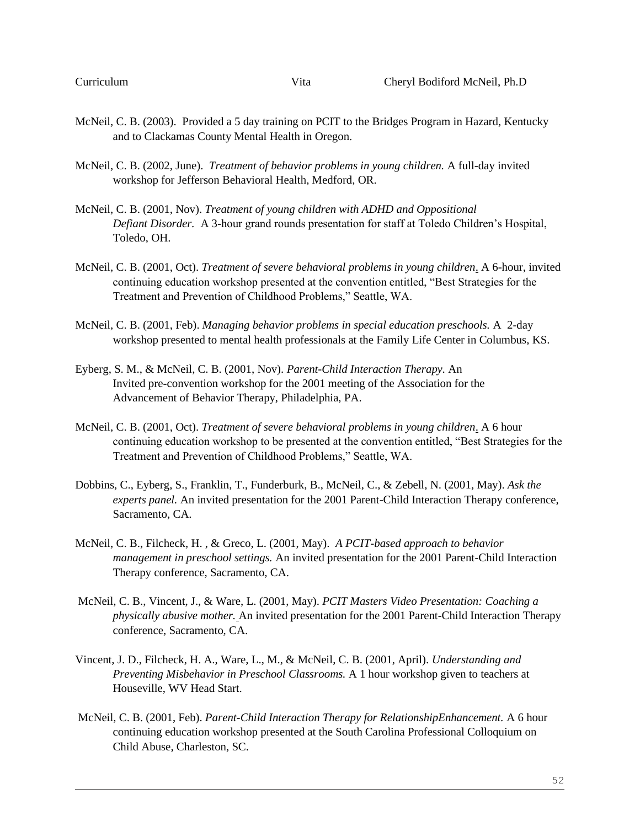- McNeil, C. B. (2003). Provided a 5 day training on PCIT to the Bridges Program in Hazard, Kentucky and to Clackamas County Mental Health in Oregon.
- McNeil, C. B. (2002, June). *Treatment of behavior problems in young children.* A full-day invited workshop for Jefferson Behavioral Health, Medford, OR.
- McNeil, C. B. (2001, Nov). *Treatment of young children with ADHD and Oppositional Defiant Disorder.* A 3-hour grand rounds presentation for staff at Toledo Children's Hospital, Toledo, OH.
- McNeil, C. B. (2001, Oct). *Treatment of severe behavioral problems in young children*. A 6-hour, invited continuing education workshop presented at the convention entitled, "Best Strategies for the Treatment and Prevention of Childhood Problems," Seattle, WA.
- McNeil, C. B. (2001, Feb). *Managing behavior problems in special education preschools.* A 2-day workshop presented to mental health professionals at the Family Life Center in Columbus, KS.
- Eyberg, S. M., & McNeil, C. B. (2001, Nov). *Parent-Child Interaction Therapy.* An Invited pre-convention workshop for the 2001 meeting of the Association for the Advancement of Behavior Therapy, Philadelphia, PA.
- McNeil, C. B. (2001, Oct). *Treatment of severe behavioral problems in young children*. A 6 hour continuing education workshop to be presented at the convention entitled, "Best Strategies for the Treatment and Prevention of Childhood Problems," Seattle, WA.
- Dobbins, C., Eyberg, S., Franklin, T., Funderburk, B., McNeil, C., & Zebell, N. (2001, May). *Ask the experts panel.* An invited presentation for the 2001 Parent-Child Interaction Therapy conference, Sacramento, CA.
- McNeil, C. B., Filcheck, H. , & Greco, L. (2001, May). *A PCIT-based approach to behavior management in preschool settings.* An invited presentation for the 2001 Parent-Child Interaction Therapy conference, Sacramento, CA.
- McNeil, C. B., Vincent, J., & Ware, L. (2001, May). *PCIT Masters Video Presentation: Coaching a physically abusive mother.* An invited presentation for the 2001 Parent-Child Interaction Therapy conference, Sacramento, CA.
- Vincent, J. D., Filcheck, H. A., Ware, L., M., & McNeil, C. B. (2001, April). *Understanding and Preventing Misbehavior in Preschool Classrooms.* A 1 hour workshop given to teachers at Houseville, WV Head Start.
- McNeil, C. B. (2001, Feb). *Parent-Child Interaction Therapy for RelationshipEnhancement.* A 6 hour continuing education workshop presented at the South Carolina Professional Colloquium on Child Abuse, Charleston, SC.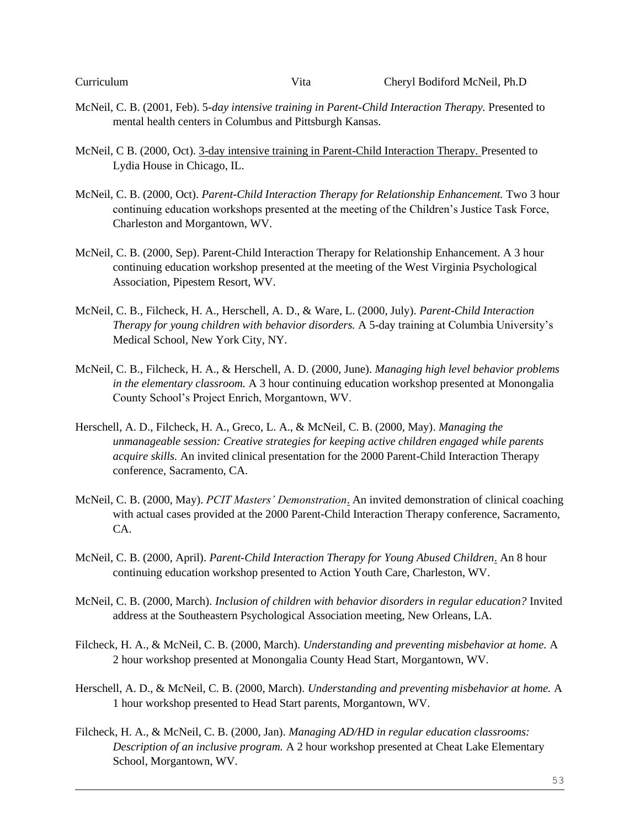- McNeil, C. B. (2001, Feb). 5*-day intensive training in Parent-Child Interaction Therapy.* Presented to mental health centers in Columbus and Pittsburgh Kansas.
- McNeil, C B. (2000, Oct). 3-day intensive training in Parent-Child Interaction Therapy. Presented to Lydia House in Chicago, IL.
- McNeil, C. B. (2000, Oct). *Parent-Child Interaction Therapy for Relationship Enhancement.* Two 3 hour continuing education workshops presented at the meeting of the Children's Justice Task Force, Charleston and Morgantown, WV.
- McNeil, C. B. (2000, Sep). Parent-Child Interaction Therapy for Relationship Enhancement. A 3 hour continuing education workshop presented at the meeting of the West Virginia Psychological Association, Pipestem Resort, WV.
- McNeil, C. B., Filcheck, H. A., Herschell, A. D., & Ware, L. (2000, July). *Parent-Child Interaction Therapy for young children with behavior disorders.* A 5-day training at Columbia University's Medical School, New York City, NY.
- McNeil, C. B., Filcheck, H. A., & Herschell, A. D. (2000, June). *Managing high level behavior problems in the elementary classroom.* A 3 hour continuing education workshop presented at Monongalia County School's Project Enrich, Morgantown, WV.
- Herschell, A. D., Filcheck, H. A., Greco, L. A., & McNeil, C. B. (2000, May). *Managing the unmanageable session: Creative strategies for keeping active children engaged while parents acquire skills.* An invited clinical presentation for the 2000 Parent-Child Interaction Therapy conference, Sacramento, CA.
- McNeil, C. B. (2000, May). *PCIT Masters' Demonstration*. An invited demonstration of clinical coaching with actual cases provided at the 2000 Parent-Child Interaction Therapy conference, Sacramento, CA.
- McNeil, C. B. (2000, April). *Parent-Child Interaction Therapy for Young Abused Children*. An 8 hour continuing education workshop presented to Action Youth Care, Charleston, WV.
- McNeil, C. B. (2000, March). *Inclusion of children with behavior disorders in regular education?* Invited address at the Southeastern Psychological Association meeting, New Orleans, LA.
- Filcheck, H. A., & McNeil, C. B. (2000, March). *Understanding and preventing misbehavior at home.* A 2 hour workshop presented at Monongalia County Head Start, Morgantown, WV.
- Herschell, A. D., & McNeil, C. B. (2000, March). *Understanding and preventing misbehavior at home.* A 1 hour workshop presented to Head Start parents, Morgantown, WV.
- Filcheck, H. A., & McNeil, C. B. (2000, Jan). *Managing AD/HD in regular education classrooms: Description of an inclusive program.* A 2 hour workshop presented at Cheat Lake Elementary School, Morgantown, WV.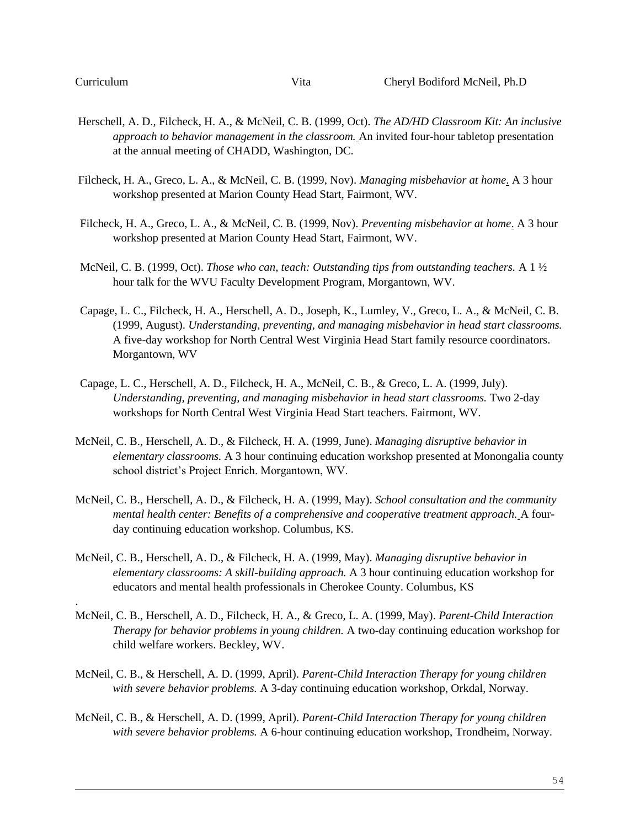.

- Herschell, A. D., Filcheck, H. A., & McNeil, C. B. (1999, Oct). *The AD/HD Classroom Kit: An inclusive approach to behavior management in the classroom.* An invited four-hour tabletop presentation at the annual meeting of CHADD, Washington, DC.
- Filcheck, H. A., Greco, L. A., & McNeil, C. B. (1999, Nov). *Managing misbehavior at home*. A 3 hour workshop presented at Marion County Head Start, Fairmont, WV.
- Filcheck, H. A., Greco, L. A., & McNeil, C. B. (1999, Nov). *Preventing misbehavior at home*. A 3 hour workshop presented at Marion County Head Start, Fairmont, WV.
- McNeil, C. B. (1999, Oct). *Those who can, teach: Outstanding tips from outstanding teachers.* A 1 ½ hour talk for the WVU Faculty Development Program, Morgantown, WV.
- Capage, L. C., Filcheck, H. A., Herschell, A. D., Joseph, K., Lumley, V., Greco, L. A., & McNeil, C. B. (1999, August). *Understanding, preventing, and managing misbehavior in head start classrooms.* A five-day workshop for North Central West Virginia Head Start family resource coordinators. Morgantown, WV
- Capage, L. C., Herschell, A. D., Filcheck, H. A., McNeil, C. B., & Greco, L. A. (1999, July). *Understanding, preventing, and managing misbehavior in head start classrooms.* Two 2-day workshops for North Central West Virginia Head Start teachers. Fairmont, WV.
- McNeil, C. B., Herschell, A. D., & Filcheck, H. A. (1999, June). *Managing disruptive behavior in elementary classrooms.* A 3 hour continuing education workshop presented at Monongalia county school district's Project Enrich. Morgantown, WV.
- McNeil, C. B., Herschell, A. D., & Filcheck, H. A. (1999, May). *School consultation and the community mental health center: Benefits of a comprehensive and cooperative treatment approach.* A fourday continuing education workshop. Columbus, KS.
- McNeil, C. B., Herschell, A. D., & Filcheck, H. A. (1999, May). *Managing disruptive behavior in elementary classrooms: A skill-building approach.* A 3 hour continuing education workshop for educators and mental health professionals in Cherokee County. Columbus, KS
- McNeil, C. B., Herschell, A. D., Filcheck, H. A., & Greco, L. A. (1999, May). *Parent-Child Interaction Therapy for behavior problems in young children.* A two-day continuing education workshop for child welfare workers. Beckley, WV.
- McNeil, C. B., & Herschell, A. D. (1999, April). *Parent-Child Interaction Therapy for young children with severe behavior problems.* A 3-day continuing education workshop, Orkdal, Norway.
- McNeil, C. B., & Herschell, A. D. (1999, April). *Parent-Child Interaction Therapy for young children with severe behavior problems.* A 6-hour continuing education workshop, Trondheim, Norway.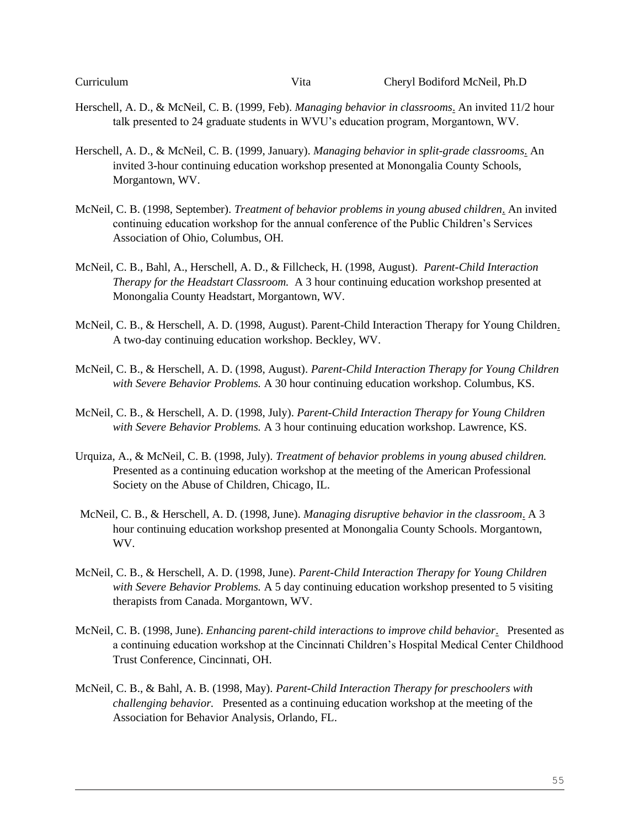- Herschell, A. D., & McNeil, C. B. (1999, Feb). *Managing behavior in classrooms*. An invited 11/2 hour talk presented to 24 graduate students in WVU's education program, Morgantown, WV.
- Herschell, A. D., & McNeil, C. B. (1999, January). *Managing behavior in split-grade classrooms*. An invited 3-hour continuing education workshop presented at Monongalia County Schools, Morgantown, WV.
- McNeil, C. B. (1998, September). *Treatment of behavior problems in young abused children*. An invited continuing education workshop for the annual conference of the Public Children's Services Association of Ohio, Columbus, OH.
- McNeil, C. B., Bahl, A., Herschell, A. D., & Fillcheck, H. (1998, August). *Parent-Child Interaction Therapy for the Headstart Classroom.* A 3 hour continuing education workshop presented at Monongalia County Headstart, Morgantown, WV.
- McNeil, C. B., & Herschell, A. D. (1998, August). Parent-Child Interaction Therapy for Young Children. A two-day continuing education workshop. Beckley, WV.
- McNeil, C. B., & Herschell, A. D. (1998, August). *Parent-Child Interaction Therapy for Young Children with Severe Behavior Problems.* A 30 hour continuing education workshop. Columbus, KS.
- McNeil, C. B., & Herschell, A. D. (1998, July). *Parent-Child Interaction Therapy for Young Children with Severe Behavior Problems.* A 3 hour continuing education workshop. Lawrence, KS.
- Urquiza, A., & McNeil, C. B. (1998, July). *Treatment of behavior problems in young abused children.* Presented as a continuing education workshop at the meeting of the American Professional Society on the Abuse of Children, Chicago, IL.
- McNeil, C. B., & Herschell, A. D. (1998, June). *Managing disruptive behavior in the classroom*. A 3 hour continuing education workshop presented at Monongalia County Schools. Morgantown, WV.
- McNeil, C. B., & Herschell, A. D. (1998, June). *Parent-Child Interaction Therapy for Young Children with Severe Behavior Problems.* A 5 day continuing education workshop presented to 5 visiting therapists from Canada. Morgantown, WV.
- McNeil, C. B. (1998, June). *Enhancing parent-child interactions to improve child behavior*. Presented as a continuing education workshop at the Cincinnati Children's Hospital Medical Center Childhood Trust Conference, Cincinnati, OH.
- McNeil, C. B., & Bahl, A. B. (1998, May). *Parent-Child Interaction Therapy for preschoolers with challenging behavior.* Presented as a continuing education workshop at the meeting of the Association for Behavior Analysis, Orlando, FL.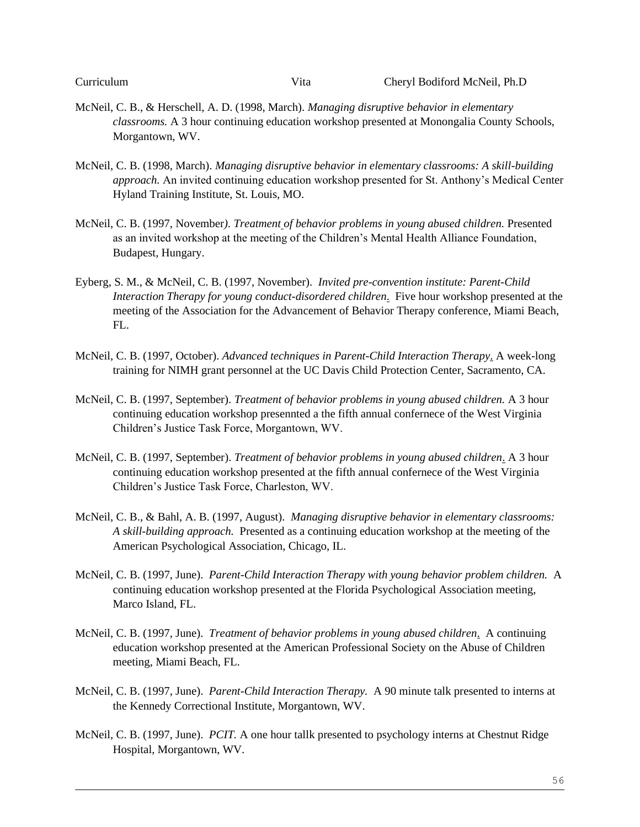Curriculum Vita Cheryl Bodiford McNeil, Ph.D

- McNeil, C. B., & Herschell, A. D. (1998, March). *Managing disruptive behavior in elementary classrooms.* A 3 hour continuing education workshop presented at Monongalia County Schools, Morgantown, WV.
- McNeil, C. B. (1998, March). *Managing disruptive behavior in elementary classrooms: A skill-building approach.* An invited continuing education workshop presented for St. Anthony's Medical Center Hyland Training Institute, St. Louis, MO.
- McNeil, C. B. (1997, November*). Treatment of behavior problems in young abused children.* Presented as an invited workshop at the meeting of the Children's Mental Health Alliance Foundation, Budapest, Hungary.
- Eyberg, S. M., & McNeil, C. B. (1997, November). *Invited pre-convention institute: Parent-Child Interaction Therapy for young conduct-disordered children*. Five hour workshop presented at the meeting of the Association for the Advancement of Behavior Therapy conference, Miami Beach, FL.
- McNeil, C. B. (1997, October). *Advanced techniques in Parent-Child Interaction Therapy*. A week-long training for NIMH grant personnel at the UC Davis Child Protection Center, Sacramento, CA.
- McNeil, C. B. (1997, September). *Treatment of behavior problems in young abused children.* A 3 hour continuing education workshop presennted a the fifth annual confernece of the West Virginia Children's Justice Task Force, Morgantown, WV.
- McNeil, C. B. (1997, September). *Treatment of behavior problems in young abused children*. A 3 hour continuing education workshop presented at the fifth annual confernece of the West Virginia Children's Justice Task Force, Charleston, WV.
- McNeil, C. B., & Bahl, A. B. (1997, August). *Managing disruptive behavior in elementary classrooms: A skill-building approach.* Presented as a continuing education workshop at the meeting of the American Psychological Association, Chicago, IL.
- McNeil, C. B. (1997, June). *Parent-Child Interaction Therapy with young behavior problem children.* A continuing education workshop presented at the Florida Psychological Association meeting, Marco Island, FL.
- McNeil, C. B. (1997, June). *Treatment of behavior problems in young abused children*. A continuing education workshop presented at the American Professional Society on the Abuse of Children meeting, Miami Beach, FL.
- McNeil, C. B. (1997, June). *Parent-Child Interaction Therapy.* A 90 minute talk presented to interns at the Kennedy Correctional Institute, Morgantown, WV.
- McNeil, C. B. (1997, June). *PCIT.* A one hour tallk presented to psychology interns at Chestnut Ridge Hospital, Morgantown, WV.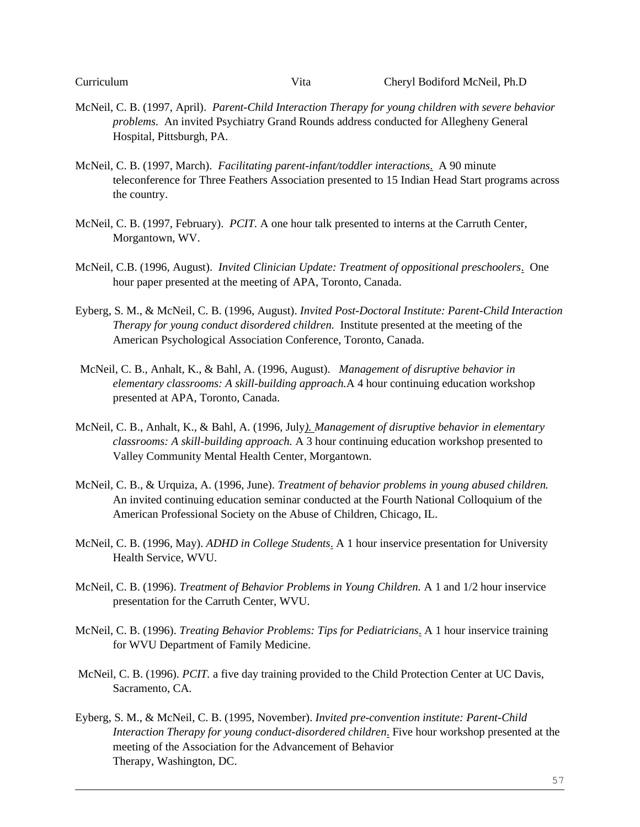- McNeil, C. B. (1997, April). *Parent-Child Interaction Therapy for young children with severe behavior problems.* An invited Psychiatry Grand Rounds address conducted for Allegheny General Hospital, Pittsburgh, PA.
- McNeil, C. B. (1997, March). *Facilitating parent-infant/toddler interactions*. A 90 minute teleconference for Three Feathers Association presented to 15 Indian Head Start programs across the country.
- McNeil, C. B. (1997, February). *PCIT.* A one hour talk presented to interns at the Carruth Center, Morgantown, WV.
- McNeil, C.B. (1996, August). *Invited Clinician Update: Treatment of oppositional preschoolers*. One hour paper presented at the meeting of APA, Toronto, Canada.
- Eyberg, S. M., & McNeil, C. B. (1996, August). *Invited Post-Doctoral Institute: Parent-Child Interaction Therapy for young conduct disordered children.* Institute presented at the meeting of the American Psychological Association Conference, Toronto, Canada.
- McNeil, C. B., Anhalt, K., & Bahl, A. (1996, August). *Management of disruptive behavior in elementary classrooms: A skill-building approach.*A 4 hour continuing education workshop presented at APA, Toronto, Canada.
- McNeil, C. B., Anhalt, K., & Bahl, A. (1996, July*). Management of disruptive behavior in elementary classrooms: A skill-building approach.* A 3 hour continuing education workshop presented to Valley Community Mental Health Center, Morgantown.
- McNeil, C. B., & Urquiza, A. (1996, June). *Treatment of behavior problems in young abused children.* An invited continuing education seminar conducted at the Fourth National Colloquium of the American Professional Society on the Abuse of Children, Chicago, IL.
- McNeil, C. B. (1996, May). *ADHD in College Students*. A 1 hour inservice presentation for University Health Service, WVU.
- McNeil, C. B. (1996). *Treatment of Behavior Problems in Young Children.* A 1 and 1/2 hour inservice presentation for the Carruth Center, WVU.
- McNeil, C. B. (1996). *Treating Behavior Problems: Tips for Pediatricians*. A 1 hour inservice training for WVU Department of Family Medicine.
- McNeil, C. B. (1996). *PCIT.* a five day training provided to the Child Protection Center at UC Davis, Sacramento, CA.
- Eyberg, S. M., & McNeil, C. B. (1995, November). *Invited pre-convention institute: Parent-Child Interaction Therapy for young conduct-disordered children*. Five hour workshop presented at the meeting of the Association for the Advancement of Behavior Therapy, Washington, DC.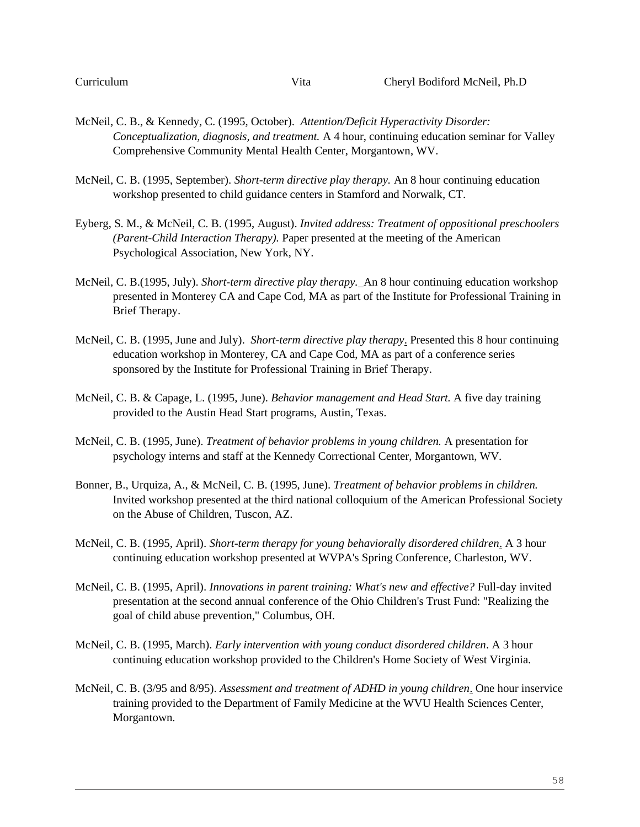- McNeil, C. B., & Kennedy, C. (1995, October). *Attention/Deficit Hyperactivity Disorder: Conceptualization, diagnosis, and treatment.* A 4 hour, continuing education seminar for Valley Comprehensive Community Mental Health Center, Morgantown, WV.
- McNeil, C. B. (1995, September). *Short-term directive play therapy.* An 8 hour continuing education workshop presented to child guidance centers in Stamford and Norwalk, CT.
- Eyberg, S. M., & McNeil, C. B. (1995, August). *Invited address: Treatment of oppositional preschoolers (Parent-Child Interaction Therapy).* Paper presented at the meeting of the American Psychological Association, New York, NY.
- McNeil, C. B.(1995, July). *Short-term directive play therapy.* An 8 hour continuing education workshop presented in Monterey CA and Cape Cod, MA as part of the Institute for Professional Training in Brief Therapy.
- McNeil, C. B. (1995, June and July). *Short-term directive play therapy*. Presented this 8 hour continuing education workshop in Monterey, CA and Cape Cod, MA as part of a conference series sponsored by the Institute for Professional Training in Brief Therapy.
- McNeil, C. B. & Capage, L. (1995, June). *Behavior management and Head Start.* A five day training provided to the Austin Head Start programs, Austin, Texas.
- McNeil, C. B. (1995, June). *Treatment of behavior problems in young children.* A presentation for psychology interns and staff at the Kennedy Correctional Center, Morgantown, WV.
- Bonner, B., Urquiza, A., & McNeil, C. B. (1995, June). *Treatment of behavior problems in children.* Invited workshop presented at the third national colloquium of the American Professional Society on the Abuse of Children, Tuscon, AZ.
- McNeil, C. B. (1995, April). *Short-term therapy for young behaviorally disordered children*. A 3 hour continuing education workshop presented at WVPA's Spring Conference, Charleston, WV.
- McNeil, C. B. (1995, April). *Innovations in parent training: What's new and effective?* Full-day invited presentation at the second annual conference of the Ohio Children's Trust Fund: "Realizing the goal of child abuse prevention," Columbus, OH.
- McNeil, C. B. (1995, March). *Early intervention with young conduct disordered children*. A 3 hour continuing education workshop provided to the Children's Home Society of West Virginia.
- McNeil, C. B. (3/95 and 8/95). *Assessment and treatment of ADHD in young children*. One hour inservice training provided to the Department of Family Medicine at the WVU Health Sciences Center, Morgantown.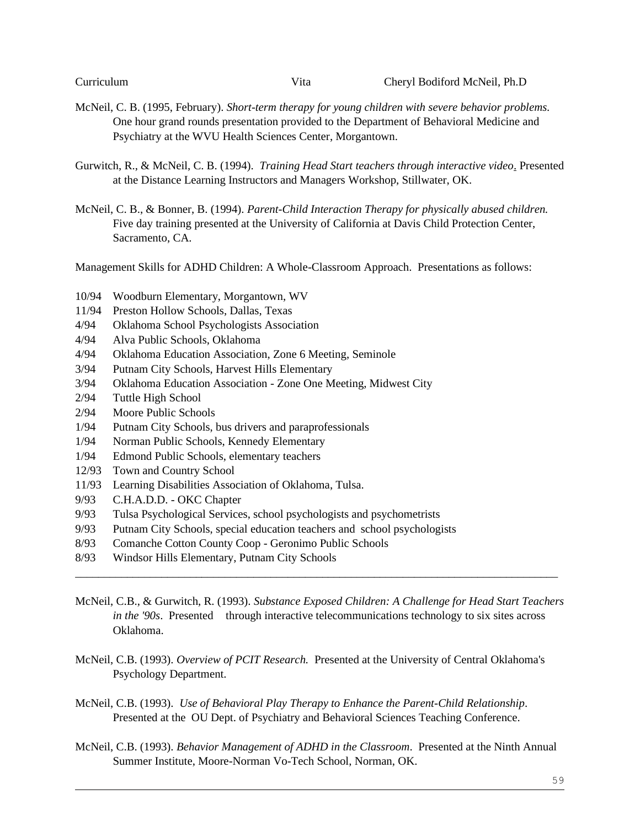- McNeil, C. B. (1995, February). *Short-term therapy for young children with severe behavior problems.* One hour grand rounds presentation provided to the Department of Behavioral Medicine and Psychiatry at the WVU Health Sciences Center, Morgantown.
- Gurwitch, R., & McNeil, C. B. (1994). *Training Head Start teachers through interactive video*. Presented at the Distance Learning Instructors and Managers Workshop, Stillwater, OK.

McNeil, C. B., & Bonner, B. (1994). *Parent-Child Interaction Therapy for physically abused children.*  Five day training presented at the University of California at Davis Child Protection Center, Sacramento, CA.

Management Skills for ADHD Children: A Whole-Classroom Approach. Presentations as follows:

- 10/94 Woodburn Elementary, Morgantown, WV
- 11/94 Preston Hollow Schools, Dallas, Texas
- 4/94 Oklahoma School Psychologists Association
- 4/94 Alva Public Schools, Oklahoma
- 4/94 Oklahoma Education Association, Zone 6 Meeting, Seminole
- 3/94 Putnam City Schools, Harvest Hills Elementary
- 3/94 Oklahoma Education Association Zone One Meeting, Midwest City
- 2/94 Tuttle High School
- 2/94 Moore Public Schools
- 1/94 Putnam City Schools, bus drivers and paraprofessionals
- 1/94 Norman Public Schools, Kennedy Elementary
- 1/94 Edmond Public Schools, elementary teachers
- 12/93 Town and Country School
- 11/93 Learning Disabilities Association of Oklahoma, Tulsa.
- 9/93 C.H.A.D.D. OKC Chapter
- 9/93 Tulsa Psychological Services, school psychologists and psychometrists
- 9/93 Putnam City Schools, special education teachers and school psychologists
- 8/93 Comanche Cotton County Coop Geronimo Public Schools
- 8/93 Windsor Hills Elementary, Putnam City Schools
- McNeil, C.B., & Gurwitch, R. (1993). *Substance Exposed Children: A Challenge for Head Start Teachers in the '90s*. Presented through interactive telecommunications technology to six sites across Oklahoma.

\_\_\_\_\_\_\_\_\_\_\_\_\_\_\_\_\_\_\_\_\_\_\_\_\_\_\_\_\_\_\_\_\_\_\_\_\_\_\_\_\_\_\_\_\_\_\_\_\_\_\_\_\_\_\_\_\_\_\_\_\_\_\_\_\_\_\_\_\_\_\_\_\_\_\_\_\_\_\_\_\_\_\_\_

- McNeil, C.B. (1993). *Overview of PCIT Research.* Presented at the University of Central Oklahoma's Psychology Department.
- McNeil, C.B. (1993). *Use of Behavioral Play Therapy to Enhance the Parent-Child Relationship*. Presented at the OU Dept. of Psychiatry and Behavioral Sciences Teaching Conference.
- McNeil, C.B. (1993). *Behavior Management of ADHD in the Classroom*. Presented at the Ninth Annual Summer Institute, Moore-Norman Vo-Tech School, Norman, OK.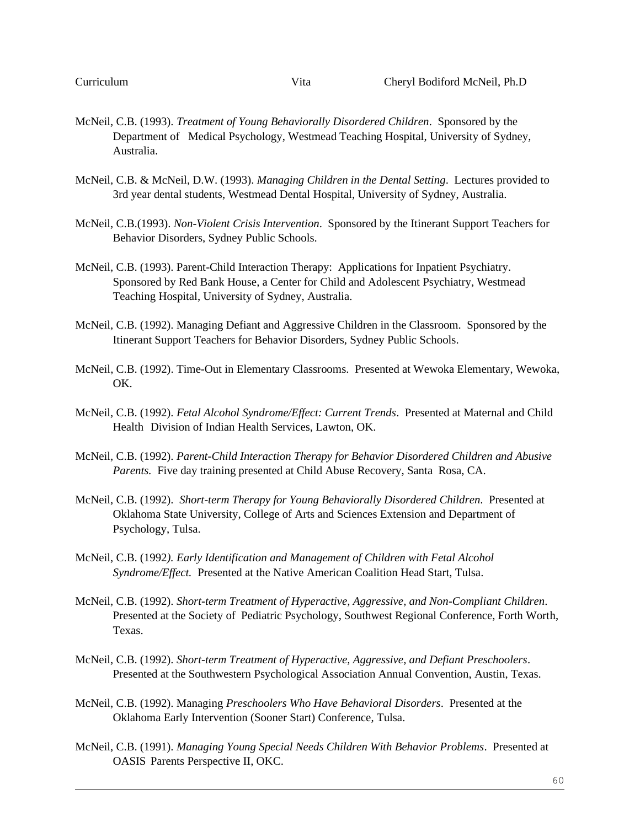- McNeil, C.B. (1993). *Treatment of Young Behaviorally Disordered Children*. Sponsored by the Department of Medical Psychology, Westmead Teaching Hospital, University of Sydney, Australia.
- McNeil, C.B. & McNeil, D.W. (1993). *Managing Children in the Dental Setting*. Lectures provided to 3rd year dental students, Westmead Dental Hospital, University of Sydney, Australia.
- McNeil, C.B.(1993). *Non-Violent Crisis Intervention*. Sponsored by the Itinerant Support Teachers for Behavior Disorders, Sydney Public Schools.
- McNeil, C.B. (1993). Parent-Child Interaction Therapy: Applications for Inpatient Psychiatry. Sponsored by Red Bank House, a Center for Child and Adolescent Psychiatry, Westmead Teaching Hospital, University of Sydney, Australia.
- McNeil, C.B. (1992). Managing Defiant and Aggressive Children in the Classroom. Sponsored by the Itinerant Support Teachers for Behavior Disorders, Sydney Public Schools.
- McNeil, C.B. (1992). Time-Out in Elementary Classrooms. Presented at Wewoka Elementary, Wewoka, OK.
- McNeil, C.B. (1992). *Fetal Alcohol Syndrome/Effect: Current Trends*. Presented at Maternal and Child Health Division of Indian Health Services, Lawton, OK.
- McNeil, C.B. (1992). *Parent-Child Interaction Therapy for Behavior Disordered Children and Abusive Parents.* Five day training presented at Child Abuse Recovery, Santa Rosa, CA.
- McNeil, C.B. (1992). *Short-term Therapy for Young Behaviorally Disordered Children*. Presented at Oklahoma State University, College of Arts and Sciences Extension and Department of Psychology, Tulsa.
- McNeil, C.B. (1992*). Early Identification and Management of Children with Fetal Alcohol Syndrome/Effect.* Presented at the Native American Coalition Head Start, Tulsa.
- McNeil, C.B. (1992). *Short-term Treatment of Hyperactive, Aggressive, and Non-Compliant Children*. Presented at the Society of Pediatric Psychology, Southwest Regional Conference, Forth Worth, Texas.
- McNeil, C.B. (1992). *Short-term Treatment of Hyperactive, Aggressive, and Defiant Preschoolers*. Presented at the Southwestern Psychological Association Annual Convention, Austin, Texas.
- McNeil, C.B. (1992). Managing *Preschoolers Who Have Behavioral Disorders*. Presented at the Oklahoma Early Intervention (Sooner Start) Conference, Tulsa.
- McNeil, C.B. (1991). *Managing Young Special Needs Children With Behavior Problems*. Presented at OASIS Parents Perspective II, OKC.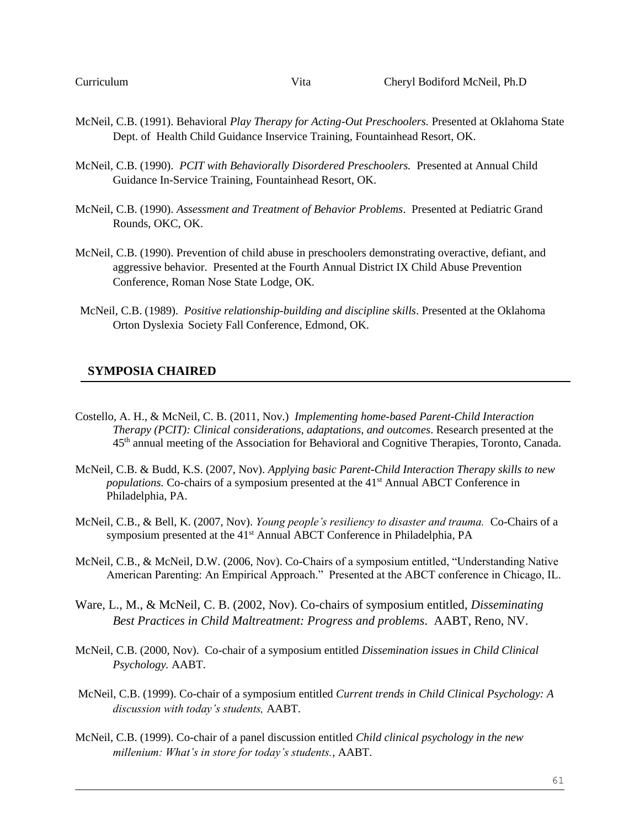- McNeil, C.B. (1991). Behavioral *Play Therapy for Acting-Out Preschoolers.* Presented at Oklahoma State Dept. of Health Child Guidance Inservice Training, Fountainhead Resort, OK.
- McNeil, C.B. (1990). *PCIT with Behaviorally Disordered Preschoolers.* Presented at Annual Child Guidance In-Service Training, Fountainhead Resort, OK.
- McNeil, C.B. (1990). *Assessment and Treatment of Behavior Problems*. Presented at Pediatric Grand Rounds, OKC, OK.
- McNeil, C.B. (1990). Prevention of child abuse in preschoolers demonstrating overactive, defiant, and aggressive behavior. Presented at the Fourth Annual District IX Child Abuse Prevention Conference, Roman Nose State Lodge, OK.
- McNeil, C.B. (1989). *Positive relationship-building and discipline skills*. Presented at the Oklahoma Orton Dyslexia Society Fall Conference, Edmond, OK.

#### **SYMPOSIA CHAIRED**

- Costello, A. H., & McNeil, C. B. (2011, Nov.) *Implementing home-based Parent-Child Interaction Therapy (PCIT): Clinical considerations, adaptations, and outcomes*. Research presented at the 45th annual meeting of the Association for Behavioral and Cognitive Therapies, Toronto, Canada.
- McNeil, C.B. & Budd, K.S. (2007, Nov). *Applying basic Parent-Child Interaction Therapy skills to new populations.* Co-chairs of a symposium presented at the 41<sup>st</sup> Annual ABCT Conference in Philadelphia, PA.
- McNeil, C.B., & Bell, K. (2007, Nov). *Young people's resiliency to disaster and trauma.* Co-Chairs of a symposium presented at the 41<sup>st</sup> Annual ABCT Conference in Philadelphia, PA
- McNeil, C.B., & McNeil, D.W. (2006, Nov). Co-Chairs of a symposium entitled, "Understanding Native American Parenting: An Empirical Approach." Presented at the ABCT conference in Chicago, IL.
- Ware, L., M., & McNeil, C. B. (2002, Nov). Co-chairs of symposium entitled, *Disseminating Best Practices in Child Maltreatment: Progress and problems*. AABT, Reno, NV.
- McNeil, C.B. (2000, Nov). Co-chair of a symposium entitled *Dissemination issues in Child Clinical Psychology.* AABT.
- McNeil, C.B. (1999). Co-chair of a symposium entitled *Current trends in Child Clinical Psychology: A discussion with today's students,* AABT.
- McNeil, C.B. (1999). Co-chair of a panel discussion entitled *Child clinical psychology in the new millenium: What's in store for today's students.*, AABT.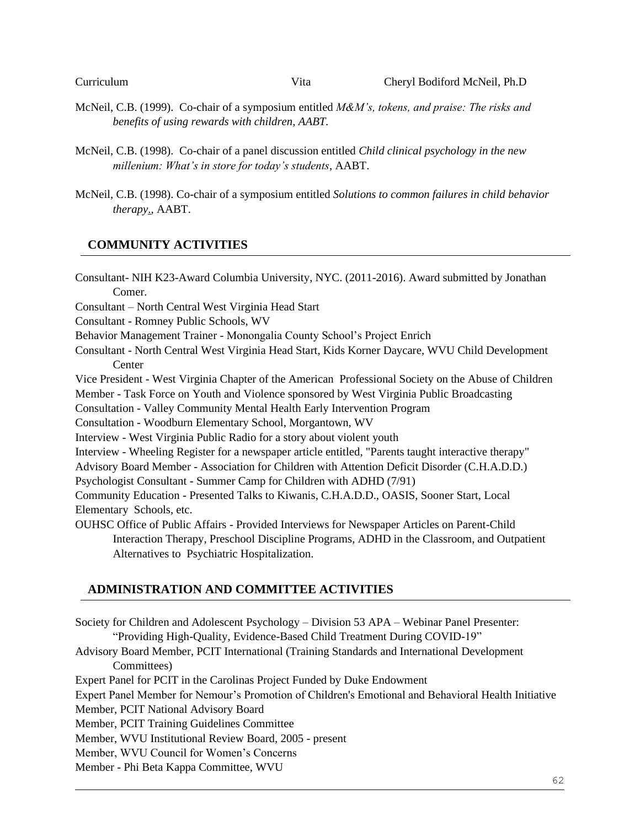- McNeil, C.B. (1999). Co-chair of a symposium entitled *M&M's, tokens, and praise: The risks and benefits of using rewards with children, AABT.*
- McNeil, C.B. (1998). Co-chair of a panel discussion entitled *Child clinical psychology in the new millenium: What's in store for today's students*, AABT.
- McNeil, C.B. (1998). Co-chair of a symposium entitled *Solutions to common failures in child behavior therapy*., AABT.

# **COMMUNITY ACTIVITIES**

Consultant- NIH K23-Award Columbia University, NYC. (2011-2016). Award submitted by Jonathan Comer. Consultant – North Central West Virginia Head Start Consultant - Romney Public Schools, WV Behavior Management Trainer - Monongalia County School's Project Enrich Consultant - North Central West Virginia Head Start, Kids Korner Daycare, WVU Child Development **Center** Vice President - West Virginia Chapter of the American Professional Society on the Abuse of Children Member - Task Force on Youth and Violence sponsored by West Virginia Public Broadcasting Consultation - Valley Community Mental Health Early Intervention Program Consultation - Woodburn Elementary School, Morgantown, WV Interview - West Virginia Public Radio for a story about violent youth Interview - Wheeling Register for a newspaper article entitled, "Parents taught interactive therapy" Advisory Board Member - Association for Children with Attention Deficit Disorder (C.H.A.D.D.) Psychologist Consultant - Summer Camp for Children with ADHD (7/91) Community Education - Presented Talks to Kiwanis, C.H.A.D.D., OASIS, Sooner Start, Local Elementary Schools, etc. OUHSC Office of Public Affairs - Provided Interviews for Newspaper Articles on Parent-Child Interaction Therapy, Preschool Discipline Programs, ADHD in the Classroom, and Outpatient Alternatives to Psychiatric Hospitalization.

# **ADMINISTRATION AND COMMITTEE ACTIVITIES**

Society for Children and Adolescent Psychology – Division 53 APA – Webinar Panel Presenter: "Providing High-Quality, Evidence-Based Child Treatment During COVID-19" Advisory Board Member, PCIT International (Training Standards and International Development Committees) Expert Panel for PCIT in the Carolinas Project Funded by Duke Endowment Expert Panel Member for Nemour's Promotion of Children's Emotional and Behavioral Health Initiative Member, PCIT National Advisory Board Member, PCIT Training Guidelines Committee Member, WVU Institutional Review Board, 2005 - present Member, WVU Council for Women's Concerns Member - Phi Beta Kappa Committee, WVU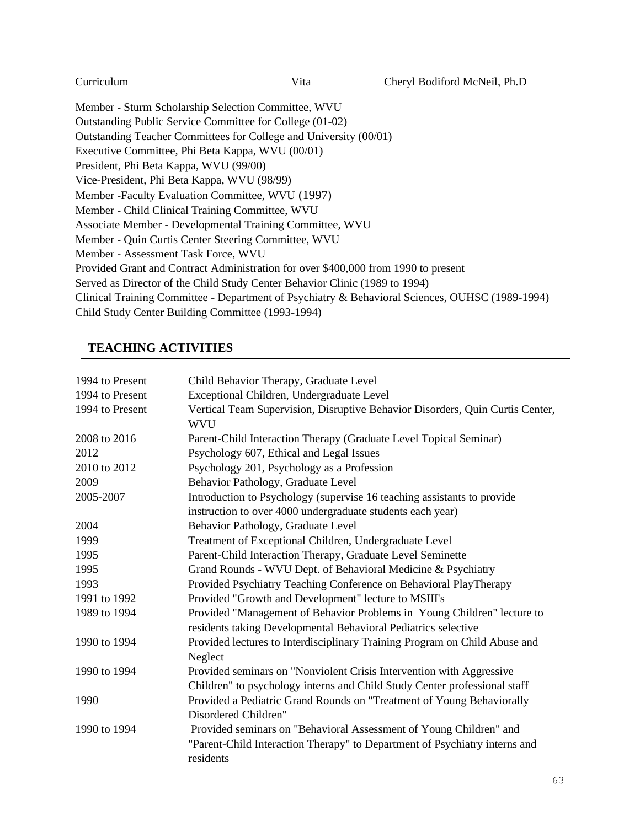Member - Sturm Scholarship Selection Committee, WVU Outstanding Public Service Committee for College (01-02) Outstanding Teacher Committees for College and University (00/01) Executive Committee, Phi Beta Kappa, WVU (00/01) President, Phi Beta Kappa, WVU (99/00) Vice-President, Phi Beta Kappa, WVU (98/99) Member -Faculty Evaluation Committee, WVU (1997) Member - Child Clinical Training Committee, WVU Associate Member - Developmental Training Committee, WVU Member - Quin Curtis Center Steering Committee, WVU Member - Assessment Task Force, WVU Provided Grant and Contract Administration for over \$400,000 from 1990 to present Served as Director of the Child Study Center Behavior Clinic (1989 to 1994) Clinical Training Committee - Department of Psychiatry & Behavioral Sciences, OUHSC (1989-1994) Child Study Center Building Committee (1993-1994)

# **TEACHING ACTIVITIES**

| 1994 to Present | Child Behavior Therapy, Graduate Level                                                                                                                        |
|-----------------|---------------------------------------------------------------------------------------------------------------------------------------------------------------|
| 1994 to Present | Exceptional Children, Undergraduate Level                                                                                                                     |
| 1994 to Present | Vertical Team Supervision, Disruptive Behavior Disorders, Quin Curtis Center,<br><b>WVU</b>                                                                   |
| 2008 to 2016    | Parent-Child Interaction Therapy (Graduate Level Topical Seminar)                                                                                             |
| 2012            | Psychology 607, Ethical and Legal Issues                                                                                                                      |
| 2010 to 2012    | Psychology 201, Psychology as a Profession                                                                                                                    |
| 2009            | Behavior Pathology, Graduate Level                                                                                                                            |
| 2005-2007       | Introduction to Psychology (supervise 16 teaching assistants to provide                                                                                       |
|                 | instruction to over 4000 undergraduate students each year)                                                                                                    |
| 2004            | Behavior Pathology, Graduate Level                                                                                                                            |
| 1999            | Treatment of Exceptional Children, Undergraduate Level                                                                                                        |
| 1995            | Parent-Child Interaction Therapy, Graduate Level Seminette                                                                                                    |
| 1995            | Grand Rounds - WVU Dept. of Behavioral Medicine & Psychiatry                                                                                                  |
| 1993            | Provided Psychiatry Teaching Conference on Behavioral PlayTherapy                                                                                             |
| 1991 to 1992    | Provided "Growth and Development" lecture to MSIII's                                                                                                          |
| 1989 to 1994    | Provided "Management of Behavior Problems in Young Children" lecture to<br>residents taking Developmental Behavioral Pediatrics selective                     |
| 1990 to 1994    | Provided lectures to Interdisciplinary Training Program on Child Abuse and<br>Neglect                                                                         |
| 1990 to 1994    | Provided seminars on "Nonviolent Crisis Intervention with Aggressive<br>Children" to psychology interns and Child Study Center professional staff             |
| 1990            | Provided a Pediatric Grand Rounds on "Treatment of Young Behaviorally<br>Disordered Children"                                                                 |
| 1990 to 1994    | Provided seminars on "Behavioral Assessment of Young Children" and<br>"Parent-Child Interaction Therapy" to Department of Psychiatry interns and<br>residents |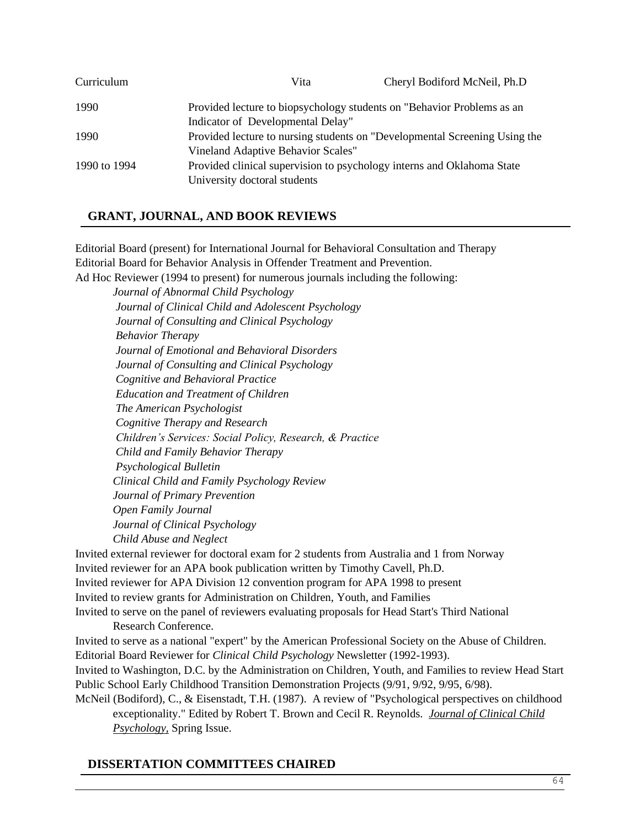| Curriculum   | Vita                                                                       | Cheryl Bodiford McNeil, Ph.D |  |
|--------------|----------------------------------------------------------------------------|------------------------------|--|
| 1990         | Provided lecture to biopsychology students on "Behavior Problems as an     |                              |  |
|              | Indicator of Developmental Delay"                                          |                              |  |
| 1990         | Provided lecture to nursing students on "Developmental Screening Using the |                              |  |
|              | Vineland Adaptive Behavior Scales"                                         |                              |  |
| 1990 to 1994 | Provided clinical supervision to psychology interns and Oklahoma State     |                              |  |
|              | University doctoral students                                               |                              |  |

# **GRANT, JOURNAL, AND BOOK REVIEWS**

Editorial Board (present) for International Journal for Behavioral Consultation and Therapy Editorial Board for Behavior Analysis in Offender Treatment and Prevention. Ad Hoc Reviewer (1994 to present) for numerous journals including the following:

*Journal of Abnormal Child Psychology Journal of Clinical Child and Adolescent Psychology Journal of Consulting and Clinical Psychology Behavior Therapy Journal of Emotional and Behavioral Disorders Journal of Consulting and Clinical Psychology Cognitive and Behavioral Practice Education and Treatment of Children The American Psychologist Cognitive Therapy and Research Children's Services: Social Policy, Research, & Practice Child and Family Behavior Therapy Psychological Bulletin Clinical Child and Family Psychology Review Journal of Primary Prevention Open Family Journal Journal of Clinical Psychology Child Abuse and Neglect* Invited external reviewer for doctoral exam for 2 students from Australia and 1 from Norway Invited reviewer for an APA book publication written by Timothy Cavell, Ph.D. Invited reviewer for APA Division 12 convention program for APA 1998 to present Invited to review grants for Administration on Children, Youth, and Families

Invited to serve on the panel of reviewers evaluating proposals for Head Start's Third National Research Conference.

Invited to serve as a national "expert" by the American Professional Society on the Abuse of Children. Editorial Board Reviewer for *Clinical Child Psychology* Newsletter (1992-1993). Invited to Washington, D.C. by the Administration on Children, Youth, and Families to review Head Start Public School Early Childhood Transition Demonstration Projects (9/91, 9/92, 9/95, 6/98). McNeil (Bodiford), C., & Eisenstadt, T.H. (1987). A review of "Psychological perspectives on childhood

exceptionality." Edited by Robert T. Brown and Cecil R. Reynolds. *Journal of Clinical Child Psychology,* Spring Issue.

### **DISSERTATION COMMITTEES CHAIRED**